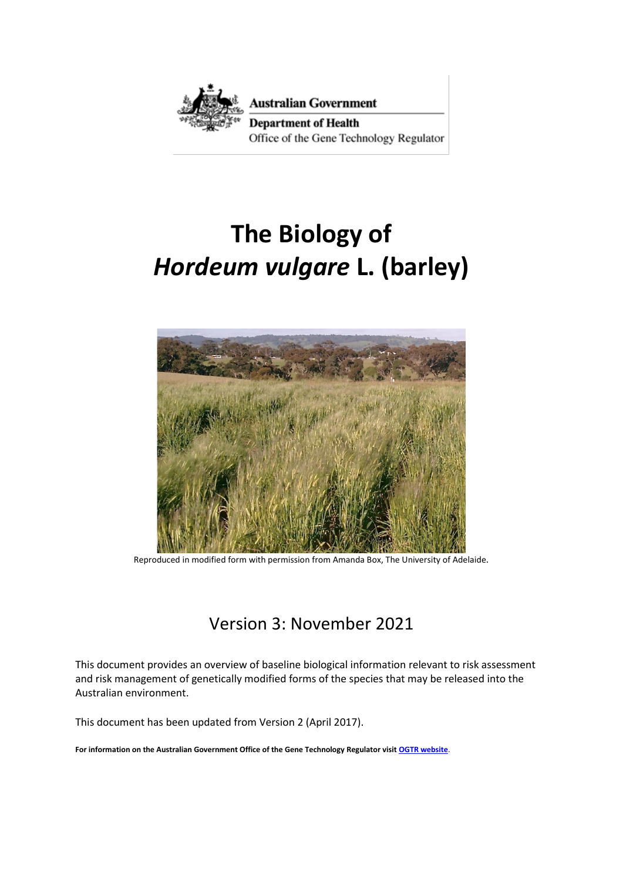

# **The Biology of**  *Hordeum vulgare* **L. (barley)**



Reproduced in modified form with permission from Amanda Box, The University of Adelaide.

# Version 3: November 2021

This document provides an overview of baseline biological information relevant to risk assessment and risk management of genetically modified forms of the species that may be released into the Australian environment.

This document has been updated from Version 2 (April 2017).

**For information on the Australian Government Office of the Gene Technology Regulator visit [OGTR website](http://www.ogtr.gov.au/)**.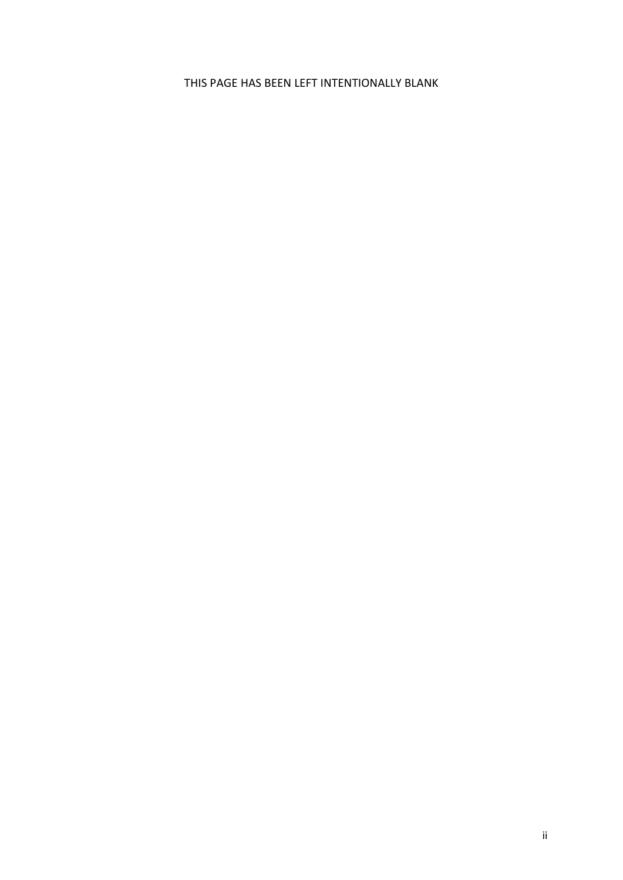# THIS PAGE HAS BEEN LEFT INTENTIONALLY BLANK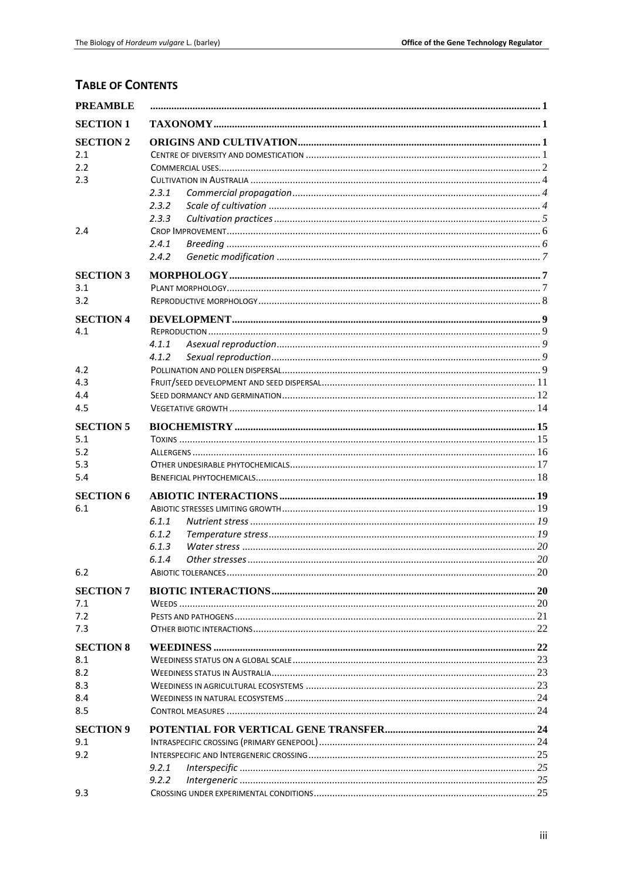# **TABLE OF CONTENTS**

| <b>PREAMBLE</b>  |       |  |
|------------------|-------|--|
| <b>SECTION 1</b> |       |  |
| <b>SECTION 2</b> |       |  |
| 2.1              |       |  |
| 2.2              |       |  |
| 2.3              |       |  |
|                  | 2.3.1 |  |
|                  | 2.3.2 |  |
|                  | 2.3.3 |  |
| 2.4              |       |  |
|                  | 2.4.1 |  |
|                  | 2.4.2 |  |
| <b>SECTION 3</b> |       |  |
| 3.1              |       |  |
| 3.2              |       |  |
| <b>SECTION 4</b> |       |  |
| 4.1              |       |  |
|                  | 4.1.1 |  |
|                  | 4.1.2 |  |
| 4.2              |       |  |
| 4.3              |       |  |
| 4.4              |       |  |
| 4.5              |       |  |
| <b>SECTION 5</b> |       |  |
| 5.1              |       |  |
| 5.2              |       |  |
| 5.3              |       |  |
| 5.4              |       |  |
| <b>SECTION 6</b> |       |  |
| 6.1              |       |  |
|                  | 6.1.1 |  |
|                  | 6.1.2 |  |
|                  | 6.1.3 |  |
|                  | 6.1.4 |  |
| 6.2              |       |  |
|                  |       |  |
| <b>SECTION 7</b> |       |  |
| 7.1              |       |  |
| 7.2              |       |  |
| 7.3              |       |  |
| <b>SECTION 8</b> |       |  |
| 8.1              |       |  |
| 8.2              |       |  |
| 8.3              |       |  |
| 8.4              |       |  |
| 8.5              |       |  |
| <b>SECTION 9</b> |       |  |
| 9.1              |       |  |
| 9.2              |       |  |
|                  | 9.2.1 |  |
|                  | 9.2.2 |  |
| 9.3              |       |  |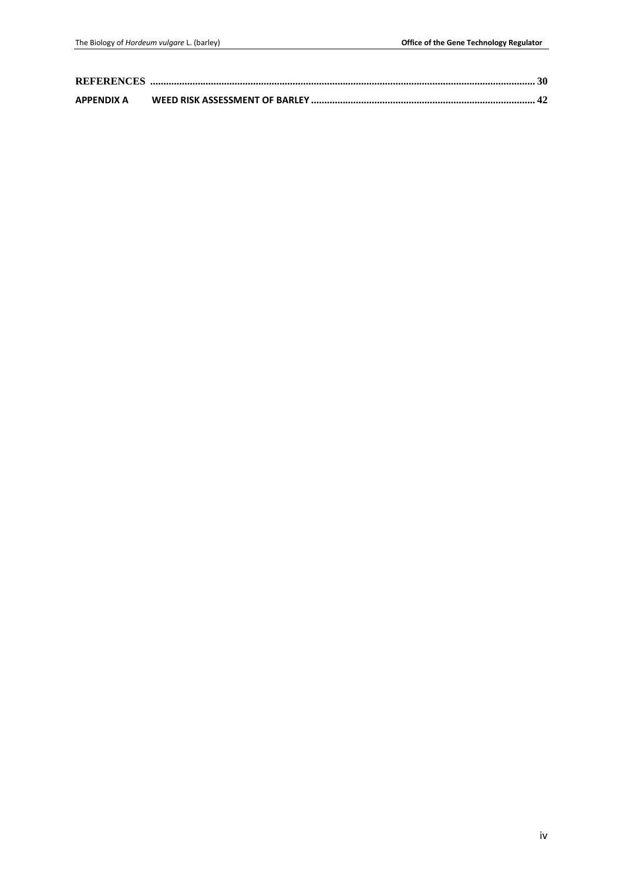| <b>APPENDIX A</b> |  |
|-------------------|--|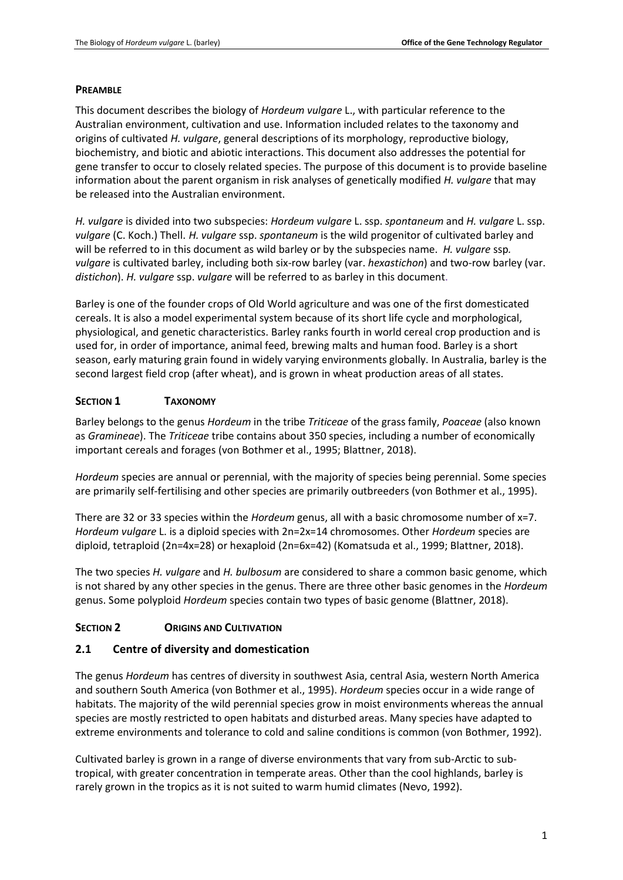#### <span id="page-4-0"></span>**PREAMBLE**

This document describes the biology of *Hordeum vulgare* L., with particular reference to the Australian environment, cultivation and use. Information included relates to the taxonomy and origins of cultivated *H. vulgare*, general descriptions of its morphology, reproductive biology, biochemistry, and biotic and abiotic interactions. This document also addresses the potential for gene transfer to occur to closely related species. The purpose of this document is to provide baseline information about the parent organism in risk analyses of genetically modified *H. vulgare* that may be released into the Australian environment.

*H. vulgare* is divided into two subspecies: *Hordeum vulgare* L. ssp. *spontaneum* and *H. vulgare* L. ssp. *vulgare* (C. Koch.) Thell. *H. vulgare* ssp. *spontaneum* is the wild progenitor of cultivated barley and will be referred to in this document as wild barley or by the subspecies name. *H. vulgare* ssp*. vulgare* is cultivated barley, including both six-row barley (var. *hexastichon*) and two-row barley (var. *distichon*). *H. vulgare* ssp. *vulgare* will be referred to as barley in this document.

Barley is one of the founder crops of Old World agriculture and was one of the first domesticated cereals. It is also a model experimental system because of its short life cycle and morphological, physiological, and genetic characteristics. Barley ranks fourth in world cereal crop production and is used for, in order of importance, animal feed, brewing malts and human food. Barley is a short season, early maturing grain found in widely varying environments globally. In Australia, barley is the second largest field crop (after wheat), and is grown in wheat production areas of all states.

#### <span id="page-4-1"></span>**SECTION 1 TAXONOMY**

Barley belongs to the genus *Hordeum* in the tribe *Triticeae* of the grass family, *Poaceae* (also known as *Gramineae*). The *Triticeae* tribe contains about 350 species, including a number of economically important cereals and forages (von Bothmer et al., 1995; Blattner, 2018).

*Hordeum* species are annual or perennial, with the majority of species being perennial. Some species are primarily self-fertilising and other species are primarily outbreeders (von Bothmer et al., 1995).

There are 32 or 33 species within the *Hordeum* genus, all with a basic chromosome number of x=7. *Hordeum vulgare* L. is a diploid species with 2n=2x=14 chromosomes. Other *Hordeum* species are diploid, tetraploid (2n=4x=28) or hexaploid (2n=6x=42) (Komatsuda et al., 1999; Blattner, 2018).

The two species *H. vulgare* and *H. bulbosum* are considered to share a common basic genome, which is not shared by any other species in the genus. There are three other basic genomes in the *Hordeum* genus. Some polyploid *Hordeum* species contain two types of basic genome (Blattner, 2018).

#### <span id="page-4-2"></span>**SECTION 2 ORIGINS AND CULTIVATION**

#### <span id="page-4-3"></span>**2.1 Centre of diversity and domestication**

The genus *Hordeum* has centres of diversity in southwest Asia, central Asia, western North America and southern South America (von Bothmer et al., 1995). *Hordeum* species occur in a wide range of habitats. The majority of the wild perennial species grow in moist environments whereas the annual species are mostly restricted to open habitats and disturbed areas. Many species have adapted to extreme environments and tolerance to cold and saline conditions is common (von Bothmer, 1992).

Cultivated barley is grown in a range of diverse environments that vary from sub-Arctic to subtropical, with greater concentration in temperate areas. Other than the cool highlands, barley is rarely grown in the tropics as it is not suited to warm humid climates (Nevo, 1992).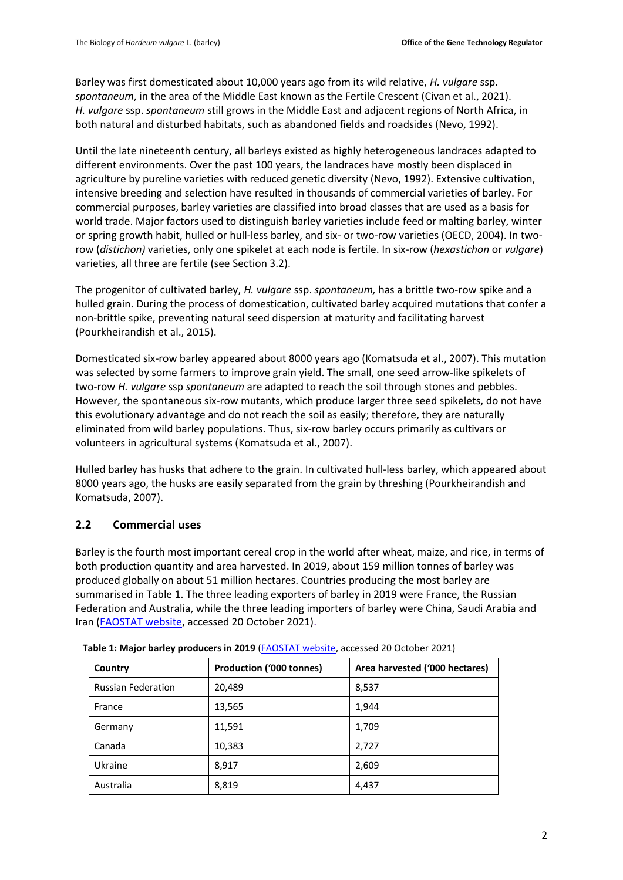Barley was first domesticated about 10,000 years ago from its wild relative, *H. vulgare* ssp. *spontaneum*, in the area of the Middle East known as the Fertile Crescent (Civan et al., 2021). *H. vulgare* ssp. *spontaneum* still grows in the Middle East and adjacent regions of North Africa, in both natural and disturbed habitats, such as abandoned fields and roadsides (Nevo, 1992).

Until the late nineteenth century, all barleys existed as highly heterogeneous landraces adapted to different environments. Over the past 100 years, the landraces have mostly been displaced in agriculture by pureline varieties with reduced genetic diversity (Nevo, 1992). Extensive cultivation, intensive breeding and selection have resulted in thousands of commercial varieties of barley. For commercial purposes, barley varieties are classified into broad classes that are used as a basis for world trade. Major factors used to distinguish barley varieties include feed or malting barley, winter or spring growth habit, hulled or hull-less barley, and six- or two-row varieties (OECD, 2004). In tworow (*distichon)* varieties, only one spikelet at each node is fertile. In six-row (*hexastichon* or *vulgare*) varieties, all three are fertile (see Section 3.2).

The progenitor of cultivated barley, *H. vulgare* ssp. *spontaneum,* has a brittle two-row spike and a hulled grain. During the process of domestication, cultivated barley acquired mutations that confer a non-brittle spike, preventing natural seed dispersion at maturity and facilitating harvest (Pourkheirandish et al., 2015).

Domesticated six-row barley appeared about 8000 years ago (Komatsuda et al., 2007). This mutation was selected by some farmers to improve grain yield. The small, one seed arrow-like spikelets of two-row *H. vulgare* ssp *spontaneum* are adapted to reach the soil through stones and pebbles. However, the spontaneous six-row mutants, which produce larger three seed spikelets, do not have this evolutionary advantage and do not reach the soil as easily; therefore, they are naturally eliminated from wild barley populations. Thus, six-row barley occurs primarily as cultivars or volunteers in agricultural systems (Komatsuda et al., 2007).

Hulled barley has husks that adhere to the grain. In cultivated hull-less barley, which appeared about 8000 years ago, the husks are easily separated from the grain by threshing (Pourkheirandish and Komatsuda, 2007).

#### <span id="page-5-0"></span>**2.2 Commercial uses**

Barley is the fourth most important cereal crop in the world after wheat, maize, and rice, in terms of both production quantity and area harvested. In 2019, about 159 million tonnes of barley was produced globally on about 51 million hectares. Countries producing the most barley are summarised in Table 1. The three leading exporters of barley in 2019 were France, the Russian Federation and Australia, while the three leading importers of barley were China, Saudi Arabia and Iran [\(FAOSTAT website,](https://www.fao.org/faostat/en/#data) accessed 20 October 2021).

| Country                   | <b>Production ('000 tonnes)</b> | Area harvested ('000 hectares) |
|---------------------------|---------------------------------|--------------------------------|
| <b>Russian Federation</b> | 20,489                          | 8,537                          |
| France                    | 13,565                          | 1,944                          |
| Germany                   | 11,591                          | 1,709                          |
| Canada                    | 10,383                          | 2,727                          |
| Ukraine                   | 8,917                           | 2,609                          |
| Australia                 | 8,819                           | 4,437                          |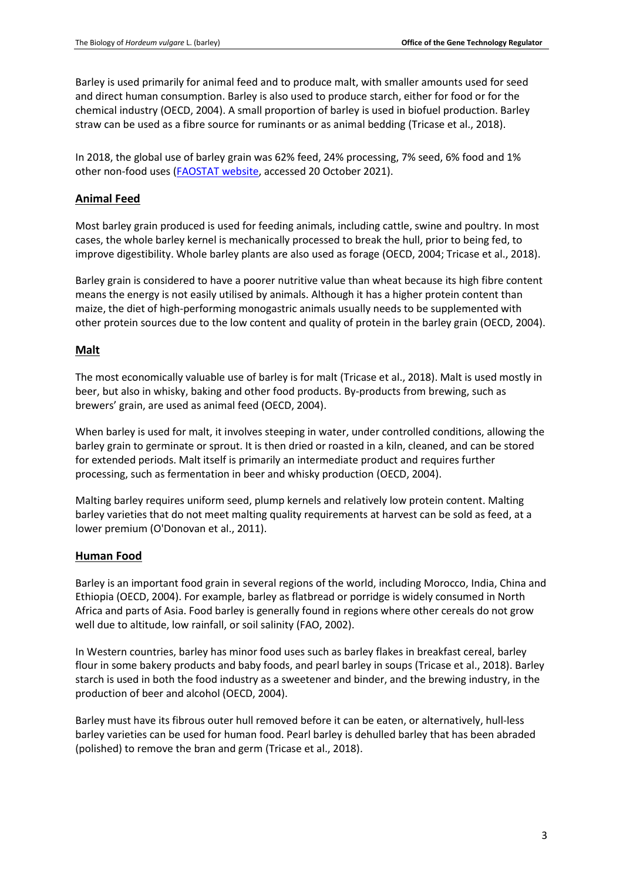Barley is used primarily for animal feed and to produce malt, with smaller amounts used for seed and direct human consumption. Barley is also used to produce starch, either for food or for the chemical industry (OECD, 2004). A small proportion of barley is used in biofuel production. Barley straw can be used as a fibre source for ruminants or as animal bedding (Tricase et al., 2018).

In 2018, the global use of barley grain was 62% feed, 24% processing, 7% seed, 6% food and 1% other non-food uses [\(FAOSTAT website,](https://www.fao.org/faostat/en/#data) accessed 20 October 2021).

#### **Animal Feed**

Most barley grain produced is used for feeding animals, including cattle, swine and poultry. In most cases, the whole barley kernel is mechanically processed to break the hull, prior to being fed, to improve digestibility. Whole barley plants are also used as forage (OECD, 2004; Tricase et al., 2018).

Barley grain is considered to have a poorer nutritive value than wheat because its high fibre content means the energy is not easily utilised by animals. Although it has a higher protein content than maize, the diet of high-performing monogastric animals usually needs to be supplemented with other protein sources due to the low content and quality of protein in the barley grain (OECD, 2004).

#### **Malt**

The most economically valuable use of barley is for malt (Tricase et al., 2018). Malt is used mostly in beer, but also in whisky, baking and other food products. By-products from brewing, such as brewers' grain, are used as animal feed (OECD, 2004).

When barley is used for malt, it involves steeping in water, under controlled conditions, allowing the barley grain to germinate or sprout. It is then dried or roasted in a kiln, cleaned, and can be stored for extended periods. Malt itself is primarily an intermediate product and requires further processing, such as fermentation in beer and whisky production (OECD, 2004).

Malting barley requires uniform seed, plump kernels and relatively low protein content. Malting barley varieties that do not meet malting quality requirements at harvest can be sold as feed, at a lower premium (O'Donovan et al., 2011).

#### **Human Food**

Barley is an important food grain in several regions of the world, including Morocco, India, China and Ethiopia (OECD, 2004). For example, barley as flatbread or porridge is widely consumed in North Africa and parts of Asia. Food barley is generally found in regions where other cereals do not grow well due to altitude, low rainfall, or soil salinity (FAO, 2002).

In Western countries, barley has minor food uses such as barley flakes in breakfast cereal, barley flour in some bakery products and baby foods, and pearl barley in soups (Tricase et al., 2018). Barley starch is used in both the food industry as a sweetener and binder, and the brewing industry, in the production of beer and alcohol (OECD, 2004).

Barley must have its fibrous outer hull removed before it can be eaten, or alternatively, hull-less barley varieties can be used for human food. Pearl barley is dehulled barley that has been abraded (polished) to remove the bran and germ (Tricase et al., 2018).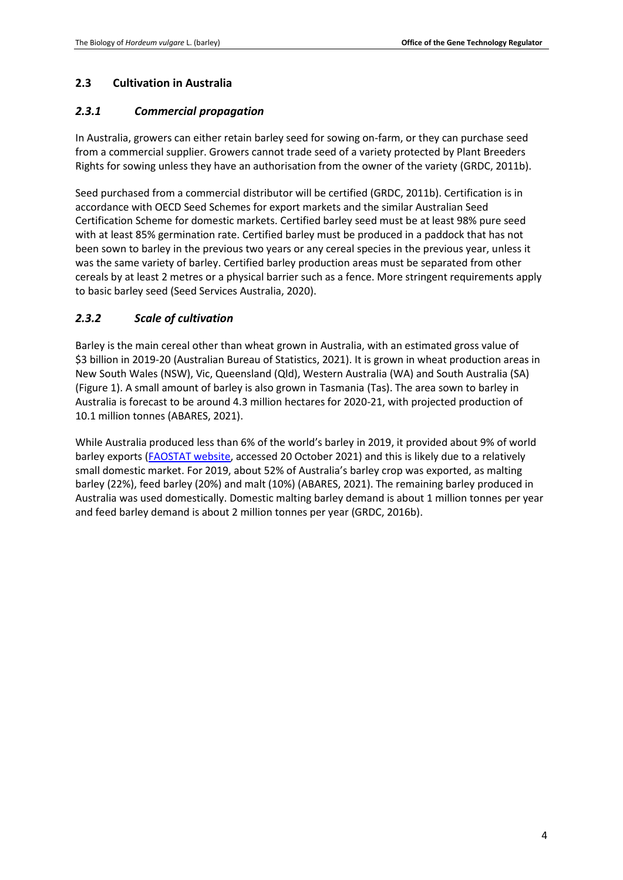#### <span id="page-7-0"></span>**2.3 Cultivation in Australia**

#### <span id="page-7-1"></span>*2.3.1 Commercial propagation*

In Australia, growers can either retain barley seed for sowing on-farm, or they can purchase seed from a commercial supplier. Growers cannot trade seed of a variety protected by Plant Breeders Rights for sowing unless they have an authorisation from the owner of the variety (GRDC, 2011b).

Seed purchased from a commercial distributor will be certified (GRDC, 2011b). Certification is in accordance with OECD Seed Schemes for export markets and the similar Australian Seed Certification Scheme for domestic markets. Certified barley seed must be at least 98% pure seed with at least 85% germination rate. Certified barley must be produced in a paddock that has not been sown to barley in the previous two years or any cereal species in the previous year, unless it was the same variety of barley. Certified barley production areas must be separated from other cereals by at least 2 metres or a physical barrier such as a fence. More stringent requirements apply to basic barley seed (Seed Services Australia, 2020).

# <span id="page-7-2"></span>*2.3.2 Scale of cultivation*

Barley is the main cereal other than wheat grown in Australia, with an estimated gross value of \$3 billion in 2019-20 (Australian Bureau of Statistics, 2021). It is grown in wheat production areas in New South Wales (NSW), Vic, Queensland (Qld), Western Australia (WA) and South Australia (SA) (Figure 1). A small amount of barley is also grown in Tasmania (Tas). The area sown to barley in Australia is forecast to be around 4.3 million hectares for 2020-21, with projected production of 10.1 million tonnes (ABARES, 2021).

While Australia produced less than 6% of the world's barley in 2019, it provided about 9% of world barley exports [\(FAOSTAT website,](https://www.fao.org/faostat/en/#data) accessed 20 October 2021) and this is likely due to a relatively small domestic market. For 2019, about 52% of Australia's barley crop was exported, as malting barley (22%), feed barley (20%) and malt (10%) (ABARES, 2021). The remaining barley produced in Australia was used domestically. Domestic malting barley demand is about 1 million tonnes per year and feed barley demand is about 2 million tonnes per year (GRDC, 2016b).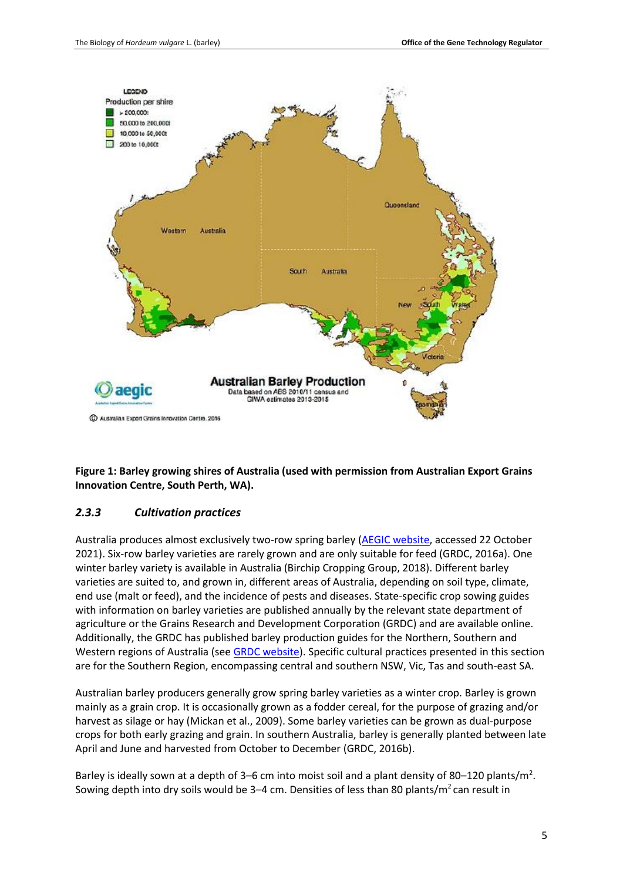

**Figure 1: Barley growing shires of Australia (used with permission from Australian Export Grains Innovation Centre, South Perth, WA).**

#### <span id="page-8-0"></span>*2.3.3 Cultivation practices*

Australia produces almost exclusively two-row spring barley [\(AEGIC website,](https://www.aegic.org.au/australian-grains/barley/) accessed 22 October 2021). Six-row barley varieties are rarely grown and are only suitable for feed (GRDC, 2016a). One winter barley variety is available in Australia (Birchip Cropping Group, 2018). Different barley varieties are suited to, and grown in, different areas of Australia, depending on soil type, climate, end use (malt or feed), and the incidence of pests and diseases. State-specific crop sowing guides with information on barley varieties are published annually by the relevant state department of agriculture or the Grains Research and Development Corporation (GRDC) and are available online. Additionally, the GRDC has published barley production guides for the Northern, Southern and Western regions of Australia (see [GRDC website\)](https://grdc.com.au/Resources/GrowNotes). Specific cultural practices presented in this section are for the Southern Region, encompassing central and southern NSW, Vic, Tas and south-east SA.

Australian barley producers generally grow spring barley varieties as a winter crop. Barley is grown mainly as a grain crop. It is occasionally grown as a fodder cereal, for the purpose of grazing and/or harvest as silage or hay (Mickan et al., 2009). Some barley varieties can be grown as dual-purpose crops for both early grazing and grain. In southern Australia, barley is generally planted between late April and June and harvested from October to December (GRDC, 2016b).

Barley is ideally sown at a depth of 3–6 cm into moist soil and a plant density of 80–120 plants/ $m^2$ . Sowing depth into dry soils would be  $3-4$  cm. Densities of less than 80 plants/ $m^2$  can result in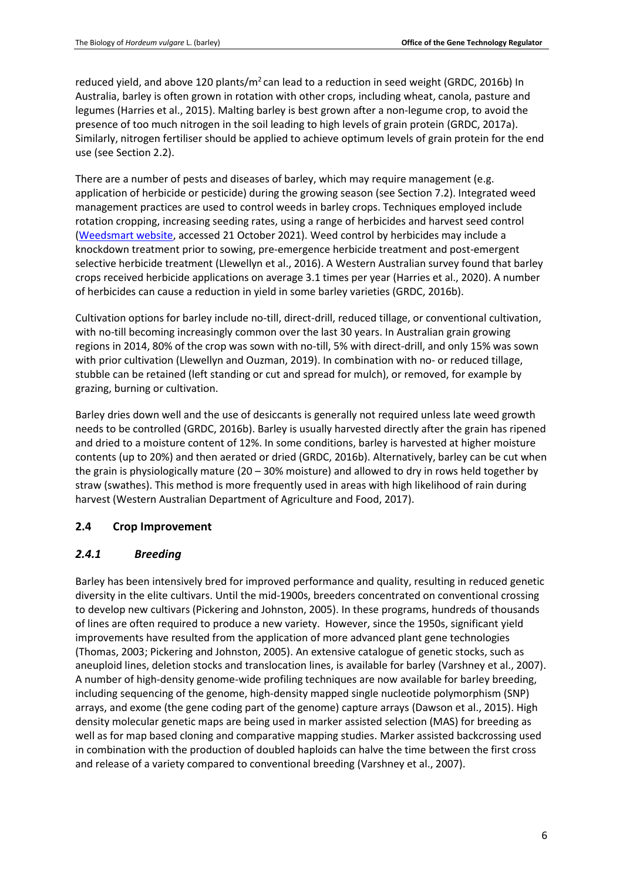reduced yield, and above 120 plants/ $m^2$  can lead to a reduction in seed weight (GRDC, 2016b) In Australia, barley is often grown in rotation with other crops, including wheat, canola, pasture and legumes (Harries et al., 2015). Malting barley is best grown after a non-legume crop, to avoid the presence of too much nitrogen in the soil leading to high levels of grain protein (GRDC, 2017a). Similarly, nitrogen fertiliser should be applied to achieve optimum levels of grain protein for the end use (see Section 2.2).

There are a number of pests and diseases of barley, which may require management (e.g. application of herbicide or pesticide) during the growing season (see Section 7.2). Integrated weed management practices are used to control weeds in barley crops. Techniques employed include rotation cropping, increasing seeding rates, using a range of herbicides and harvest seed control [\(Weedsmart website,](https://www.weedsmart.org.au/big-6/) accessed 21 October 2021). Weed control by herbicides may include a knockdown treatment prior to sowing, pre-emergence herbicide treatment and post-emergent selective herbicide treatment (Llewellyn et al., 2016). A Western Australian survey found that barley crops received herbicide applications on average 3.1 times per year (Harries et al., 2020). A number of herbicides can cause a reduction in yield in some barley varieties (GRDC, 2016b).

Cultivation options for barley include no-till, direct-drill, reduced tillage, or conventional cultivation, with no-till becoming increasingly common over the last 30 years. In Australian grain growing regions in 2014, 80% of the crop was sown with no-till, 5% with direct-drill, and only 15% was sown with prior cultivation (Llewellyn and Ouzman, 2019). In combination with no- or reduced tillage, stubble can be retained (left standing or cut and spread for mulch), or removed, for example by grazing, burning or cultivation.

Barley dries down well and the use of desiccants is generally not required unless late weed growth needs to be controlled (GRDC, 2016b). Barley is usually harvested directly after the grain has ripened and dried to a moisture content of 12%. In some conditions, barley is harvested at higher moisture contents (up to 20%) and then aerated or dried (GRDC, 2016b). Alternatively, barley can be cut when the grain is physiologically mature (20 – 30% moisture) and allowed to dry in rows held together by straw (swathes). This method is more frequently used in areas with high likelihood of rain during harvest (Western Australian Department of Agriculture and Food, 2017).

#### <span id="page-9-0"></span>**2.4 Crop Improvement**

#### <span id="page-9-1"></span>*2.4.1 Breeding*

Barley has been intensively bred for improved performance and quality, resulting in reduced genetic diversity in the elite cultivars. Until the mid-1900s, breeders concentrated on conventional crossing to develop new cultivars (Pickering and Johnston, 2005). In these programs, hundreds of thousands of lines are often required to produce a new variety. However, since the 1950s, significant yield improvements have resulted from the application of more advanced plant gene technologies (Thomas, 2003; Pickering and Johnston, 2005). An extensive catalogue of genetic stocks, such as aneuploid lines, deletion stocks and translocation lines, is available for barley (Varshney et al., 2007). A number of high-density genome-wide profiling techniques are now available for barley breeding, including sequencing of the genome, high-density mapped single nucleotide polymorphism (SNP) arrays, and exome (the gene coding part of the genome) capture arrays (Dawson et al., 2015). High density molecular genetic maps are being used in marker assisted selection (MAS) for breeding as well as for map based cloning and comparative mapping studies. Marker assisted backcrossing used in combination with the production of doubled haploids can halve the time between the first cross and release of a variety compared to conventional breeding (Varshney et al., 2007).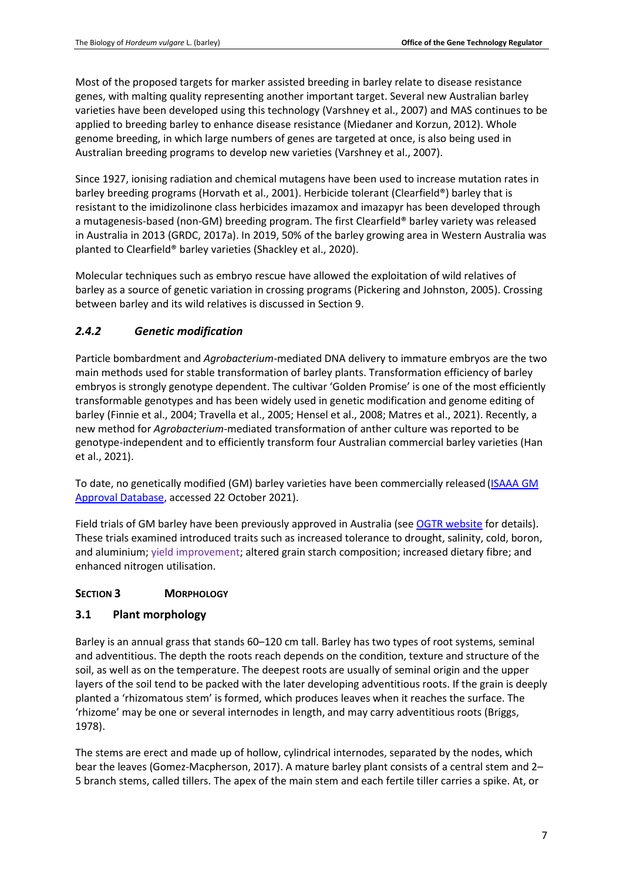Most of the proposed targets for marker assisted breeding in barley relate to disease resistance genes, with malting quality representing another important target. Several new Australian barley varieties have been developed using this technology (Varshney et al., 2007) and MAS continues to be applied to breeding barley to enhance disease resistance (Miedaner and Korzun, 2012). Whole genome breeding, in which large numbers of genes are targeted at once, is also being used in Australian breeding programs to develop new varieties (Varshney et al., 2007).

Since 1927, ionising radiation and chemical mutagens have been used to increase mutation rates in barley breeding programs (Horvath et al., 2001). Herbicide tolerant (Clearfield®) barley that is resistant to the imidizolinone class herbicides imazamox and imazapyr has been developed through a mutagenesis-based (non-GM) breeding program. The first Clearfield® barley variety was released in Australia in 2013 (GRDC, 2017a). In 2019, 50% of the barley growing area in Western Australia was planted to Clearfield® barley varieties (Shackley et al., 2020).

Molecular techniques such as embryo rescue have allowed the exploitation of wild relatives of barley as a source of genetic variation in crossing programs (Pickering and Johnston, 2005). Crossing between barley and its wild relatives is discussed in Section 9.

# <span id="page-10-0"></span>*2.4.2 Genetic modification*

Particle bombardment and *Agrobacterium*-mediated DNA delivery to immature embryos are the two main methods used for stable transformation of barley plants. Transformation efficiency of barley embryos is strongly genotype dependent. The cultivar 'Golden Promise' is one of the most efficiently transformable genotypes and has been widely used in genetic modification and genome editing of barley (Finnie et al., 2004; Travella et al., 2005; Hensel et al., 2008; Matres et al., 2021). Recently, a new method for *Agrobacterium*-mediated transformation of anther culture was reported to be genotype-independent and to efficiently transform four Australian commercial barley varieties (Han et al., 2021).

To date, no genetically modified (GM) barley varieties have been commercially released (ISAAA GM [Approval Database,](https://www.isaaa.org/gmapprovaldatabase/) accessed 22 October 2021).

Field trials of GM barley have been previously approved in Australia (see [OGTR website](https://www.ogtr.gov.au/what-weve-approved/dealings-involving-intentional-release) for details). These trials examined introduced traits such as increased tolerance to drought, salinity, cold, boron, and aluminium; yield improvement; altered grain starch composition; increased dietary fibre; and enhanced nitrogen utilisation.

#### <span id="page-10-1"></span>**SECTION 3 MORPHOLOGY**

#### <span id="page-10-2"></span>**3.1 Plant morphology**

Barley is an annual grass that stands 60–120 cm tall. Barley has two types of root systems, seminal and adventitious. The depth the roots reach depends on the condition, texture and structure of the soil, as well as on the temperature. The deepest roots are usually of seminal origin and the upper layers of the soil tend to be packed with the later developing adventitious roots. If the grain is deeply planted a 'rhizomatous stem' is formed, which produces leaves when it reaches the surface. The 'rhizome' may be one or several internodes in length, and may carry adventitious roots (Briggs, 1978).

The stems are erect and made up of hollow, cylindrical internodes, separated by the nodes, which bear the leaves (Gomez-Macpherson, 2017). A mature barley plant consists of a central stem and 2– 5 branch stems, called tillers. The apex of the main stem and each fertile tiller carries a spike. At, or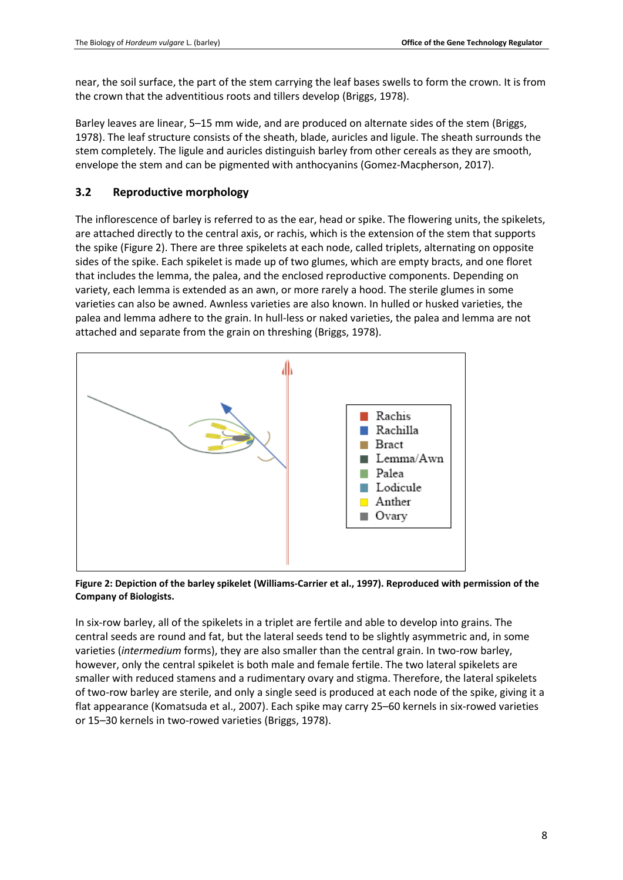near, the soil surface, the part of the stem carrying the leaf bases swells to form the crown. It is from the crown that the adventitious roots and tillers develop (Briggs, 1978).

Barley leaves are linear, 5–15 mm wide, and are produced on alternate sides of the stem (Briggs, 1978). The leaf structure consists of the sheath, blade, auricles and ligule. The sheath surrounds the stem completely. The ligule and auricles distinguish barley from other cereals as they are smooth, envelope the stem and can be pigmented with anthocyanins (Gomez-Macpherson, 2017).

# <span id="page-11-0"></span>**3.2 Reproductive morphology**

The inflorescence of barley is referred to as the ear, head or spike. The flowering units, the spikelets, are attached directly to the central axis, or rachis, which is the extension of the stem that supports the spike (Figure 2). There are three spikelets at each node, called triplets, alternating on opposite sides of the spike. Each spikelet is made up of two glumes, which are empty bracts, and one floret that includes the lemma, the palea, and the enclosed reproductive components. Depending on variety, each lemma is extended as an awn, or more rarely a hood. The sterile glumes in some varieties can also be awned. Awnless varieties are also known. In hulled or husked varieties, the palea and lemma adhere to the grain. In hull-less or naked varieties, the palea and lemma are not attached and separate from the grain on threshing (Briggs, 1978).



**Figure 2: Depiction of the barley spikelet (Williams-Carrier et al., 1997). Reproduced with permission of the Company of Biologists.**

In six-row barley, all of the spikelets in a triplet are fertile and able to develop into grains. The central seeds are round and fat, but the lateral seeds tend to be slightly asymmetric and, in some varieties (*intermedium* forms), they are also smaller than the central grain. In two-row barley, however, only the central spikelet is both male and female fertile. The two lateral spikelets are smaller with reduced stamens and a rudimentary ovary and stigma. Therefore, the lateral spikelets of two-row barley are sterile, and only a single seed is produced at each node of the spike, giving it a flat appearance (Komatsuda et al., 2007). Each spike may carry 25–60 kernels in six-rowed varieties or 15–30 kernels in two-rowed varieties (Briggs, 1978).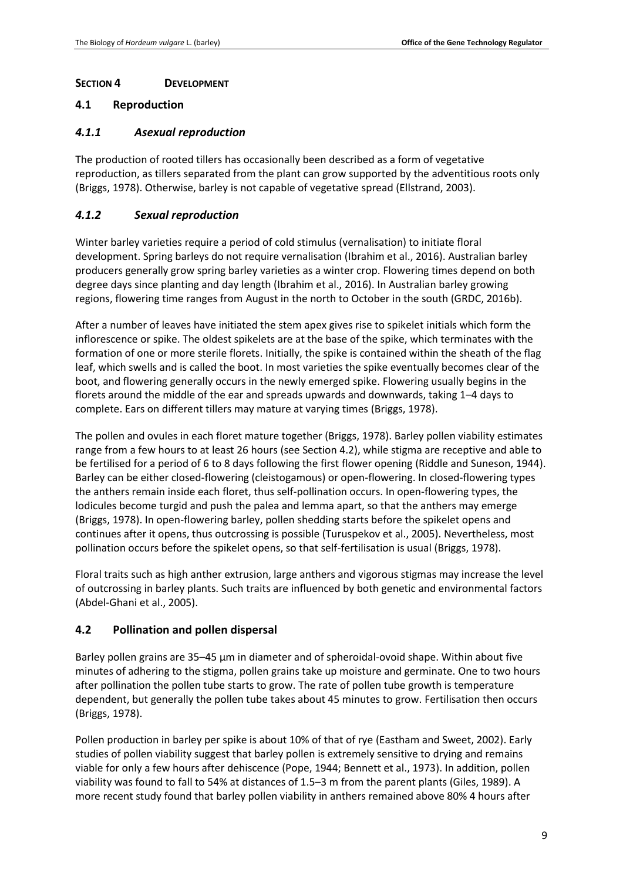#### <span id="page-12-0"></span>**SECTION 4 DEVELOPMENT**

#### <span id="page-12-1"></span>**4.1 Reproduction**

#### <span id="page-12-2"></span>*4.1.1 Asexual reproduction*

The production of rooted tillers has occasionally been described as a form of vegetative reproduction, as tillers separated from the plant can grow supported by the adventitious roots only (Briggs, 1978). Otherwise, barley is not capable of vegetative spread (Ellstrand, 2003).

#### <span id="page-12-3"></span>*4.1.2 Sexual reproduction*

Winter barley varieties require a period of cold stimulus (vernalisation) to initiate floral development. Spring barleys do not require vernalisation (Ibrahim et al., 2016). Australian barley producers generally grow spring barley varieties as a winter crop. Flowering times depend on both degree days since planting and day length (Ibrahim et al., 2016). In Australian barley growing regions, flowering time ranges from August in the north to October in the south (GRDC, 2016b).

After a number of leaves have initiated the stem apex gives rise to spikelet initials which form the inflorescence or spike. The oldest spikelets are at the base of the spike, which terminates with the formation of one or more sterile florets. Initially, the spike is contained within the sheath of the flag leaf, which swells and is called the boot. In most varieties the spike eventually becomes clear of the boot, and flowering generally occurs in the newly emerged spike. Flowering usually begins in the florets around the middle of the ear and spreads upwards and downwards, taking 1–4 days to complete. Ears on different tillers may mature at varying times (Briggs, 1978).

The pollen and ovules in each floret mature together (Briggs, 1978). Barley pollen viability estimates range from a few hours to at least 26 hours (see Section 4.2), while stigma are receptive and able to be fertilised for a period of 6 to 8 days following the first flower opening (Riddle and Suneson, 1944). Barley can be either closed-flowering (cleistogamous) or open-flowering. In closed-flowering types the anthers remain inside each floret, thus self-pollination occurs. In open-flowering types, the lodicules become turgid and push the palea and lemma apart, so that the anthers may emerge (Briggs, 1978). In open-flowering barley, pollen shedding starts before the spikelet opens and continues after it opens, thus outcrossing is possible (Turuspekov et al., 2005). Nevertheless, most pollination occurs before the spikelet opens, so that self-fertilisation is usual (Briggs, 1978).

Floral traits such as high anther extrusion, large anthers and vigorous stigmas may increase the level of outcrossing in barley plants. Such traits are influenced by both genetic and environmental factors (Abdel-Ghani et al., 2005).

#### <span id="page-12-4"></span>**4.2 Pollination and pollen dispersal**

Barley pollen grains are 35–45 µm in diameter and of spheroidal-ovoid shape. Within about five minutes of adhering to the stigma, pollen grains take up moisture and germinate. One to two hours after pollination the pollen tube starts to grow. The rate of pollen tube growth is temperature dependent, but generally the pollen tube takes about 45 minutes to grow. Fertilisation then occurs (Briggs, 1978).

Pollen production in barley per spike is about 10% of that of rye (Eastham and Sweet, 2002). Early studies of pollen viability suggest that barley pollen is extremely sensitive to drying and remains viable for only a few hours after dehiscence (Pope, 1944; Bennett et al., 1973). In addition, pollen viability was found to fall to 54% at distances of 1.5–3 m from the parent plants (Giles, 1989). A more recent study found that barley pollen viability in anthers remained above 80% 4 hours after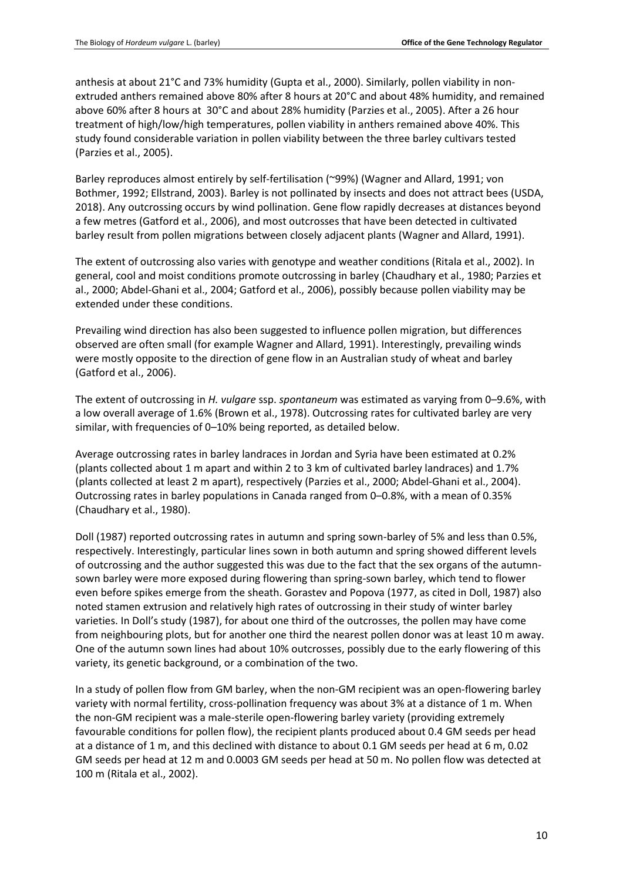anthesis at about 21°C and 73% humidity (Gupta et al., 2000). Similarly, pollen viability in nonextruded anthers remained above 80% after 8 hours at 20°C and about 48% humidity, and remained above 60% after 8 hours at 30°C and about 28% humidity (Parzies et al., 2005). After a 26 hour treatment of high/low/high temperatures, pollen viability in anthers remained above 40%. This study found considerable variation in pollen viability between the three barley cultivars tested (Parzies et al., 2005).

Barley reproduces almost entirely by self-fertilisation (~99%) (Wagner and Allard, 1991; von Bothmer, 1992; Ellstrand, 2003). Barley is not pollinated by insects and does not attract bees (USDA, 2018). Any outcrossing occurs by wind pollination. Gene flow rapidly decreases at distances beyond a few metres (Gatford et al., 2006), and most outcrosses that have been detected in cultivated barley result from pollen migrations between closely adjacent plants (Wagner and Allard, 1991).

The extent of outcrossing also varies with genotype and weather conditions (Ritala et al., 2002). In general, cool and moist conditions promote outcrossing in barley (Chaudhary et al., 1980; Parzies et al., 2000; Abdel-Ghani et al., 2004; Gatford et al., 2006), possibly because pollen viability may be extended under these conditions.

Prevailing wind direction has also been suggested to influence pollen migration, but differences observed are often small (for example Wagner and Allard, 1991). Interestingly, prevailing winds were mostly opposite to the direction of gene flow in an Australian study of wheat and barley (Gatford et al., 2006).

The extent of outcrossing in *H. vulgare* ssp. *spontaneum* was estimated as varying from 0–9.6%, with a low overall average of 1.6% (Brown et al., 1978). Outcrossing rates for cultivated barley are very similar, with frequencies of 0–10% being reported, as detailed below.

Average outcrossing rates in barley landraces in Jordan and Syria have been estimated at 0.2% (plants collected about 1 m apart and within 2 to 3 km of cultivated barley landraces) and 1.7% (plants collected at least 2 m apart), respectively (Parzies et al., 2000; Abdel-Ghani et al., 2004). Outcrossing rates in barley populations in Canada ranged from 0–0.8%, with a mean of 0.35% (Chaudhary et al., 1980).

Doll (1987) reported outcrossing rates in autumn and spring sown-barley of 5% and less than 0.5%, respectively. Interestingly, particular lines sown in both autumn and spring showed different levels of outcrossing and the author suggested this was due to the fact that the sex organs of the autumnsown barley were more exposed during flowering than spring-sown barley, which tend to flower even before spikes emerge from the sheath. Gorastev and Popova (1977, as cited in Doll, 1987) also noted stamen extrusion and relatively high rates of outcrossing in their study of winter barley varieties. In Doll's study (1987), for about one third of the outcrosses, the pollen may have come from neighbouring plots, but for another one third the nearest pollen donor was at least 10 m away. One of the autumn sown lines had about 10% outcrosses, possibly due to the early flowering of this variety, its genetic background, or a combination of the two.

In a study of pollen flow from GM barley, when the non-GM recipient was an open-flowering barley variety with normal fertility, cross-pollination frequency was about 3% at a distance of 1 m. When the non-GM recipient was a male-sterile open-flowering barley variety (providing extremely favourable conditions for pollen flow), the recipient plants produced about 0.4 GM seeds per head at a distance of 1 m, and this declined with distance to about 0.1 GM seeds per head at 6 m, 0.02 GM seeds per head at 12 m and 0.0003 GM seeds per head at 50 m. No pollen flow was detected at 100 m (Ritala et al., 2002).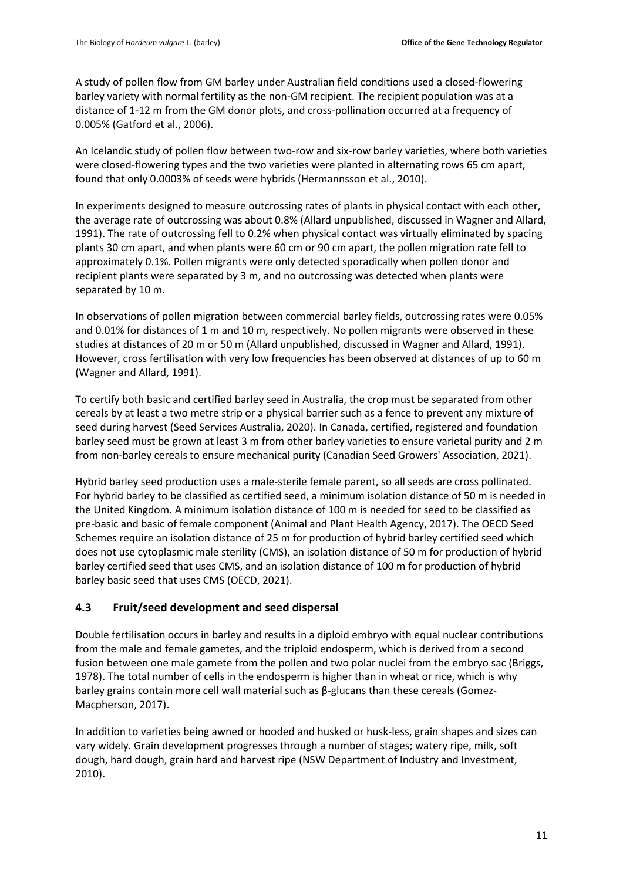A study of pollen flow from GM barley under Australian field conditions used a closed-flowering barley variety with normal fertility as the non-GM recipient. The recipient population was at a distance of 1-12 m from the GM donor plots, and cross-pollination occurred at a frequency of 0.005% (Gatford et al., 2006).

An Icelandic study of pollen flow between two-row and six-row barley varieties, where both varieties were closed-flowering types and the two varieties were planted in alternating rows 65 cm apart, found that only 0.0003% of seeds were hybrids (Hermannsson et al., 2010).

In experiments designed to measure outcrossing rates of plants in physical contact with each other, the average rate of outcrossing was about 0.8% (Allard unpublished, discussed in Wagner and Allard, 1991). The rate of outcrossing fell to 0.2% when physical contact was virtually eliminated by spacing plants 30 cm apart, and when plants were 60 cm or 90 cm apart, the pollen migration rate fell to approximately 0.1%. Pollen migrants were only detected sporadically when pollen donor and recipient plants were separated by 3 m, and no outcrossing was detected when plants were separated by 10 m.

In observations of pollen migration between commercial barley fields, outcrossing rates were 0.05% and 0.01% for distances of 1 m and 10 m, respectively. No pollen migrants were observed in these studies at distances of 20 m or 50 m (Allard unpublished, discussed in Wagner and Allard, 1991). However, cross fertilisation with very low frequencies has been observed at distances of up to 60 m (Wagner and Allard, 1991).

To certify both basic and certified barley seed in Australia, the crop must be separated from other cereals by at least a two metre strip or a physical barrier such as a fence to prevent any mixture of seed during harvest (Seed Services Australia, 2020). In Canada, certified, registered and foundation barley seed must be grown at least 3 m from other barley varieties to ensure varietal purity and 2 m from non-barley cereals to ensure mechanical purity (Canadian Seed Growers' Association, 2021).

Hybrid barley seed production uses a male-sterile female parent, so all seeds are cross pollinated. For hybrid barley to be classified as certified seed, a minimum isolation distance of 50 m is needed in the United Kingdom. A minimum isolation distance of 100 m is needed for seed to be classified as pre-basic and basic of female component (Animal and Plant Health Agency, 2017). The OECD Seed Schemes require an isolation distance of 25 m for production of hybrid barley certified seed which does not use cytoplasmic male sterility (CMS), an isolation distance of 50 m for production of hybrid barley certified seed that uses CMS, and an isolation distance of 100 m for production of hybrid barley basic seed that uses CMS (OECD, 2021).

#### <span id="page-14-0"></span>**4.3 Fruit/seed development and seed dispersal**

Double fertilisation occurs in barley and results in a diploid embryo with equal nuclear contributions from the male and female gametes, and the triploid endosperm, which is derived from a second fusion between one male gamete from the pollen and two polar nuclei from the embryo sac (Briggs, 1978). The total number of cells in the endosperm is higher than in wheat or rice, which is why barley grains contain more cell wall material such as β-glucans than these cereals (Gomez-Macpherson, 2017).

In addition to varieties being awned or hooded and husked or husk-less, grain shapes and sizes can vary widely. Grain development progresses through a number of stages; watery ripe, milk, soft dough, hard dough, grain hard and harvest ripe (NSW Department of Industry and Investment, 2010).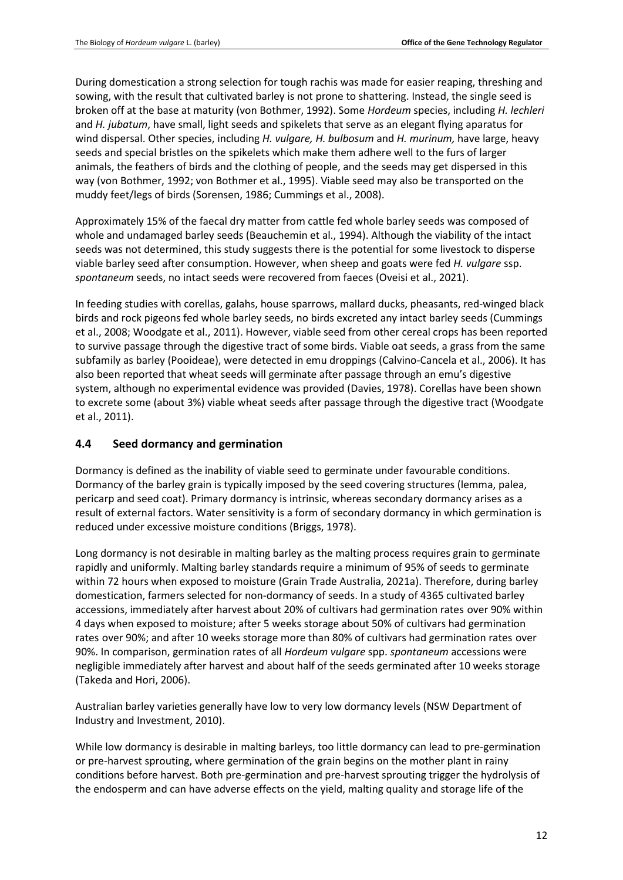During domestication a strong selection for tough rachis was made for easier reaping, threshing and sowing, with the result that cultivated barley is not prone to shattering. Instead, the single seed is broken off at the base at maturity (von Bothmer, 1992). Some *Hordeum* species, including *H. lechleri* and *H. jubatum*, have small, light seeds and spikelets that serve as an elegant flying aparatus for wind dispersal. Other species, including *H. vulgare, H. bulbosum* and *H. murinum,* have large, heavy seeds and special bristles on the spikelets which make them adhere well to the furs of larger animals, the feathers of birds and the clothing of people, and the seeds may get dispersed in this way (von Bothmer, 1992; von Bothmer et al., 1995). Viable seed may also be transported on the muddy feet/legs of birds (Sorensen, 1986; Cummings et al., 2008).

Approximately 15% of the faecal dry matter from cattle fed whole barley seeds was composed of whole and undamaged barley seeds (Beauchemin et al., 1994). Although the viability of the intact seeds was not determined, this study suggests there is the potential for some livestock to disperse viable barley seed after consumption. However, when sheep and goats were fed *H. vulgare* ssp. *spontaneum* seeds, no intact seeds were recovered from faeces (Oveisi et al., 2021).

In feeding studies with corellas, galahs, house sparrows, mallard ducks, pheasants, red-winged black birds and rock pigeons fed whole barley seeds, no birds excreted any intact barley seeds (Cummings et al., 2008; Woodgate et al., 2011). However, viable seed from other cereal crops has been reported to survive passage through the digestive tract of some birds. Viable oat seeds, a grass from the same subfamily as barley (Pooideae), were detected in emu droppings (Calvino-Cancela et al., 2006). It has also been reported that wheat seeds will germinate after passage through an emu's digestive system, although no experimental evidence was provided (Davies, 1978). Corellas have been shown to excrete some (about 3%) viable wheat seeds after passage through the digestive tract (Woodgate et al., 2011).

#### <span id="page-15-0"></span>**4.4 Seed dormancy and germination**

Dormancy is defined as the inability of viable seed to germinate under favourable conditions. Dormancy of the barley grain is typically imposed by the seed covering structures (lemma, palea, pericarp and seed coat). Primary dormancy is intrinsic, whereas secondary dormancy arises as a result of external factors. Water sensitivity is a form of secondary dormancy in which germination is reduced under excessive moisture conditions (Briggs, 1978).

Long dormancy is not desirable in malting barley as the malting process requires grain to germinate rapidly and uniformly. Malting barley standards require a minimum of 95% of seeds to germinate within 72 hours when exposed to moisture (Grain Trade Australia, 2021a). Therefore, during barley domestication, farmers selected for non-dormancy of seeds. In a study of 4365 cultivated barley accessions, immediately after harvest about 20% of cultivars had germination rates over 90% within 4 days when exposed to moisture; after 5 weeks storage about 50% of cultivars had germination rates over 90%; and after 10 weeks storage more than 80% of cultivars had germination rates over 90%. In comparison, germination rates of all *Hordeum vulgare* spp. *spontaneum* accessions were negligible immediately after harvest and about half of the seeds germinated after 10 weeks storage (Takeda and Hori, 2006).

Australian barley varieties generally have low to very low dormancy levels (NSW Department of Industry and Investment, 2010).

While low dormancy is desirable in malting barleys, too little dormancy can lead to pre-germination or pre-harvest sprouting, where germination of the grain begins on the mother plant in rainy conditions before harvest. Both pre-germination and pre-harvest sprouting trigger the hydrolysis of the endosperm and can have adverse effects on the yield, malting quality and storage life of the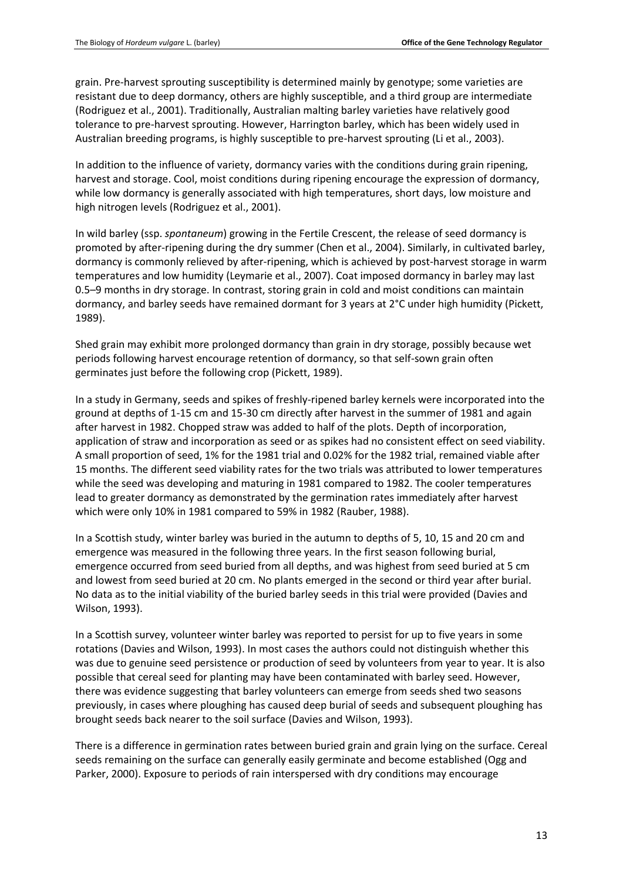grain. Pre-harvest sprouting susceptibility is determined mainly by genotype; some varieties are resistant due to deep dormancy, others are highly susceptible, and a third group are intermediate (Rodriguez et al., 2001). Traditionally, Australian malting barley varieties have relatively good tolerance to pre-harvest sprouting. However, Harrington barley, which has been widely used in Australian breeding programs, is highly susceptible to pre-harvest sprouting (Li et al., 2003).

In addition to the influence of variety, dormancy varies with the conditions during grain ripening, harvest and storage. Cool, moist conditions during ripening encourage the expression of dormancy, while low dormancy is generally associated with high temperatures, short days, low moisture and high nitrogen levels (Rodriguez et al., 2001).

In wild barley (ssp. *spontaneum*) growing in the Fertile Crescent, the release of seed dormancy is promoted by after-ripening during the dry summer (Chen et al., 2004). Similarly, in cultivated barley, dormancy is commonly relieved by after-ripening, which is achieved by post-harvest storage in warm temperatures and low humidity (Leymarie et al., 2007). Coat imposed dormancy in barley may last 0.5–9 months in dry storage. In contrast, storing grain in cold and moist conditions can maintain dormancy, and barley seeds have remained dormant for 3 years at 2°C under high humidity (Pickett, 1989).

Shed grain may exhibit more prolonged dormancy than grain in dry storage, possibly because wet periods following harvest encourage retention of dormancy, so that self-sown grain often germinates just before the following crop (Pickett, 1989).

In a study in Germany, seeds and spikes of freshly-ripened barley kernels were incorporated into the ground at depths of 1-15 cm and 15-30 cm directly after harvest in the summer of 1981 and again after harvest in 1982. Chopped straw was added to half of the plots. Depth of incorporation, application of straw and incorporation as seed or as spikes had no consistent effect on seed viability. A small proportion of seed, 1% for the 1981 trial and 0.02% for the 1982 trial, remained viable after 15 months. The different seed viability rates for the two trials was attributed to lower temperatures while the seed was developing and maturing in 1981 compared to 1982. The cooler temperatures lead to greater dormancy as demonstrated by the germination rates immediately after harvest which were only 10% in 1981 compared to 59% in 1982 (Rauber, 1988).

In a Scottish study, winter barley was buried in the autumn to depths of 5, 10, 15 and 20 cm and emergence was measured in the following three years. In the first season following burial, emergence occurred from seed buried from all depths, and was highest from seed buried at 5 cm and lowest from seed buried at 20 cm. No plants emerged in the second or third year after burial. No data as to the initial viability of the buried barley seeds in this trial were provided (Davies and Wilson, 1993).

In a Scottish survey, volunteer winter barley was reported to persist for up to five years in some rotations (Davies and Wilson, 1993). In most cases the authors could not distinguish whether this was due to genuine seed persistence or production of seed by volunteers from year to year. It is also possible that cereal seed for planting may have been contaminated with barley seed. However, there was evidence suggesting that barley volunteers can emerge from seeds shed two seasons previously, in cases where ploughing has caused deep burial of seeds and subsequent ploughing has brought seeds back nearer to the soil surface (Davies and Wilson, 1993).

There is a difference in germination rates between buried grain and grain lying on the surface. Cereal seeds remaining on the surface can generally easily germinate and become established (Ogg and Parker, 2000). Exposure to periods of rain interspersed with dry conditions may encourage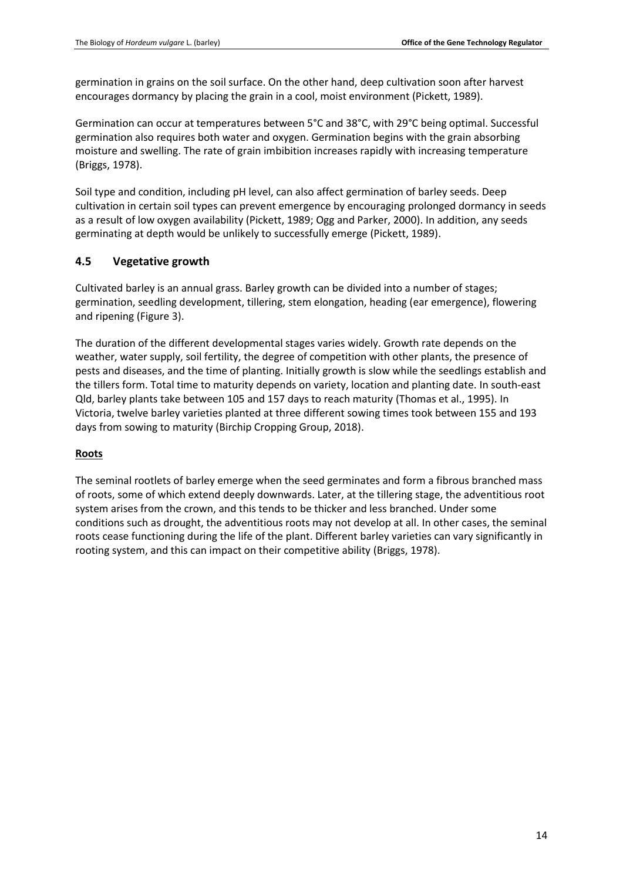germination in grains on the soil surface. On the other hand, deep cultivation soon after harvest encourages dormancy by placing the grain in a cool, moist environment (Pickett, 1989).

Germination can occur at temperatures between 5°C and 38°C, with 29°C being optimal. Successful germination also requires both water and oxygen. Germination begins with the grain absorbing moisture and swelling. The rate of grain imbibition increases rapidly with increasing temperature (Briggs, 1978).

Soil type and condition, including pH level, can also affect germination of barley seeds. Deep cultivation in certain soil types can prevent emergence by encouraging prolonged dormancy in seeds as a result of low oxygen availability (Pickett, 1989; Ogg and Parker, 2000). In addition, any seeds germinating at depth would be unlikely to successfully emerge (Pickett, 1989).

#### <span id="page-17-0"></span>**4.5 Vegetative growth**

Cultivated barley is an annual grass. Barley growth can be divided into a number of stages; germination, seedling development, tillering, stem elongation, heading (ear emergence), flowering and ripening (Figure 3).

The duration of the different developmental stages varies widely. Growth rate depends on the weather, water supply, soil fertility, the degree of competition with other plants, the presence of pests and diseases, and the time of planting. Initially growth is slow while the seedlings establish and the tillers form. Total time to maturity depends on variety, location and planting date. In south-east Qld, barley plants take between 105 and 157 days to reach maturity (Thomas et al., 1995). In Victoria, twelve barley varieties planted at three different sowing times took between 155 and 193 days from sowing to maturity (Birchip Cropping Group, 2018).

#### **Roots**

The seminal rootlets of barley emerge when the seed germinates and form a fibrous branched mass of roots, some of which extend deeply downwards. Later, at the tillering stage, the adventitious root system arises from the crown, and this tends to be thicker and less branched. Under some conditions such as drought, the adventitious roots may not develop at all. In other cases, the seminal roots cease functioning during the life of the plant. Different barley varieties can vary significantly in rooting system, and this can impact on their competitive ability (Briggs, 1978).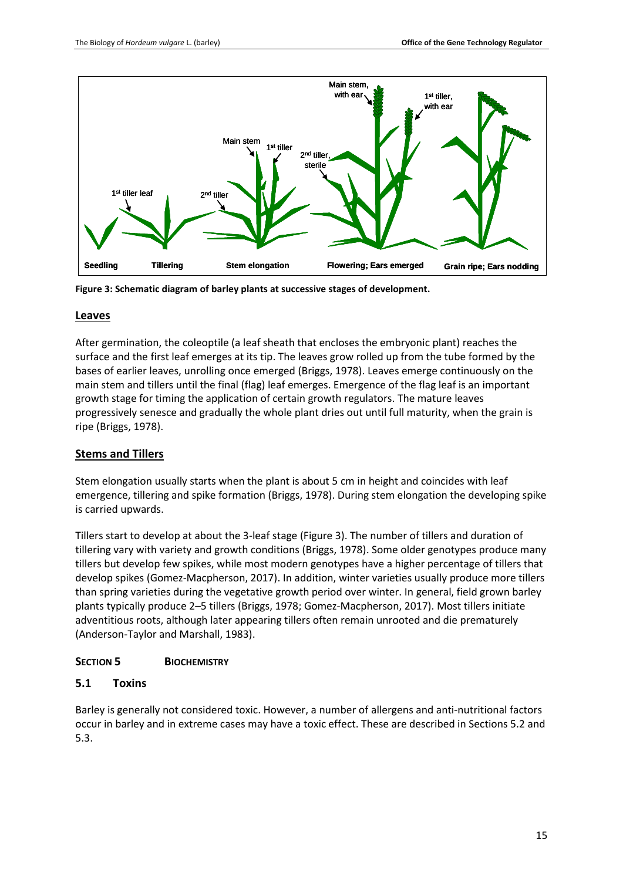

**Figure 3: Schematic diagram of barley plants at successive stages of development.**

#### **Leaves**

After germination, the coleoptile (a leaf sheath that encloses the embryonic plant) reaches the surface and the first leaf emerges at its tip. The leaves grow rolled up from the tube formed by the bases of earlier leaves, unrolling once emerged (Briggs, 1978). Leaves emerge continuously on the main stem and tillers until the final (flag) leaf emerges. Emergence of the flag leaf is an important growth stage for timing the application of certain growth regulators. The mature leaves progressively senesce and gradually the whole plant dries out until full maturity, when the grain is ripe (Briggs, 1978).

#### **Stems and Tillers**

Stem elongation usually starts when the plant is about 5 cm in height and coincides with leaf emergence, tillering and spike formation (Briggs, 1978). During stem elongation the developing spike is carried upwards.

Tillers start to develop at about the 3-leaf stage (Figure 3). The number of tillers and duration of tillering vary with variety and growth conditions (Briggs, 1978). Some older genotypes produce many tillers but develop few spikes, while most modern genotypes have a higher percentage of tillers that develop spikes (Gomez-Macpherson, 2017). In addition, winter varieties usually produce more tillers than spring varieties during the vegetative growth period over winter. In general, field grown barley plants typically produce 2–5 tillers (Briggs, 1978; Gomez-Macpherson, 2017). Most tillers initiate adventitious roots, although later appearing tillers often remain unrooted and die prematurely (Anderson-Taylor and Marshall, 1983).

#### <span id="page-18-0"></span>**SECTION 5 BIOCHEMISTRY**

#### <span id="page-18-1"></span>**5.1 Toxins**

Barley is generally not considered toxic. However, a number of allergens and anti-nutritional factors occur in barley and in extreme cases may have a toxic effect. These are described in Sections 5.2 and 5.3.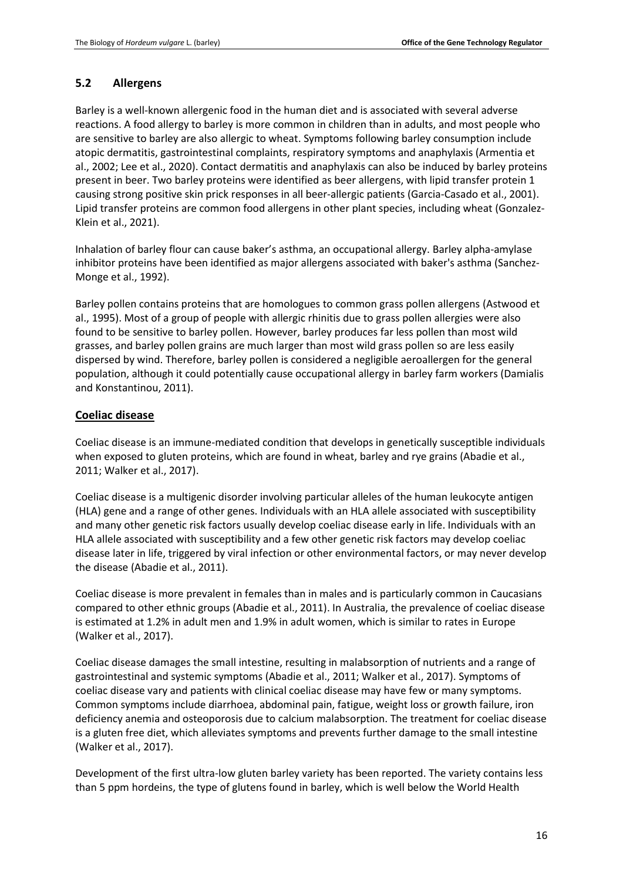#### <span id="page-19-0"></span>**5.2 Allergens**

Barley is a well-known allergenic food in the human diet and is associated with several adverse reactions. A food allergy to barley is more common in children than in adults, and most people who are sensitive to barley are also allergic to wheat. Symptoms following barley consumption include atopic dermatitis, gastrointestinal complaints, respiratory symptoms and anaphylaxis (Armentia et al., 2002; Lee et al., 2020). Contact dermatitis and anaphylaxis can also be induced by barley proteins present in beer. Two barley proteins were identified as beer allergens, with lipid transfer protein 1 causing strong positive skin prick responses in all beer-allergic patients (Garcia-Casado et al., 2001). Lipid transfer proteins are common food allergens in other plant species, including wheat (Gonzalez-Klein et al., 2021).

Inhalation of barley flour can cause baker's asthma, an occupational allergy. Barley alpha-amylase inhibitor proteins have been identified as major allergens associated with baker's asthma (Sanchez-Monge et al., 1992).

Barley pollen contains proteins that are homologues to common grass pollen allergens (Astwood et al., 1995). Most of a group of people with allergic rhinitis due to grass pollen allergies were also found to be sensitive to barley pollen. However, barley produces far less pollen than most wild grasses, and barley pollen grains are much larger than most wild grass pollen so are less easily dispersed by wind. Therefore, barley pollen is considered a negligible aeroallergen for the general population, although it could potentially cause occupational allergy in barley farm workers (Damialis and Konstantinou, 2011).

#### **Coeliac disease**

Coeliac disease is an immune-mediated condition that develops in genetically susceptible individuals when exposed to gluten proteins, which are found in wheat, barley and rye grains (Abadie et al., 2011; Walker et al., 2017).

Coeliac disease is a multigenic disorder involving particular alleles of the human leukocyte antigen (HLA) gene and a range of other genes. Individuals with an HLA allele associated with susceptibility and many other genetic risk factors usually develop coeliac disease early in life. Individuals with an HLA allele associated with susceptibility and a few other genetic risk factors may develop coeliac disease later in life, triggered by viral infection or other environmental factors, or may never develop the disease (Abadie et al., 2011).

Coeliac disease is more prevalent in females than in males and is particularly common in Caucasians compared to other ethnic groups (Abadie et al., 2011). In Australia, the prevalence of coeliac disease is estimated at 1.2% in adult men and 1.9% in adult women, which is similar to rates in Europe (Walker et al., 2017).

Coeliac disease damages the small intestine, resulting in malabsorption of nutrients and a range of gastrointestinal and systemic symptoms (Abadie et al., 2011; Walker et al., 2017). Symptoms of coeliac disease vary and patients with clinical coeliac disease may have few or many symptoms. Common symptoms include diarrhoea, abdominal pain, fatigue, weight loss or growth failure, iron deficiency anemia and osteoporosis due to calcium malabsorption. The treatment for coeliac disease is a gluten free diet, which alleviates symptoms and prevents further damage to the small intestine (Walker et al., 2017).

Development of the first ultra-low gluten barley variety has been reported. The variety contains less than 5 ppm hordeins, the type of glutens found in barley, which is well below the World Health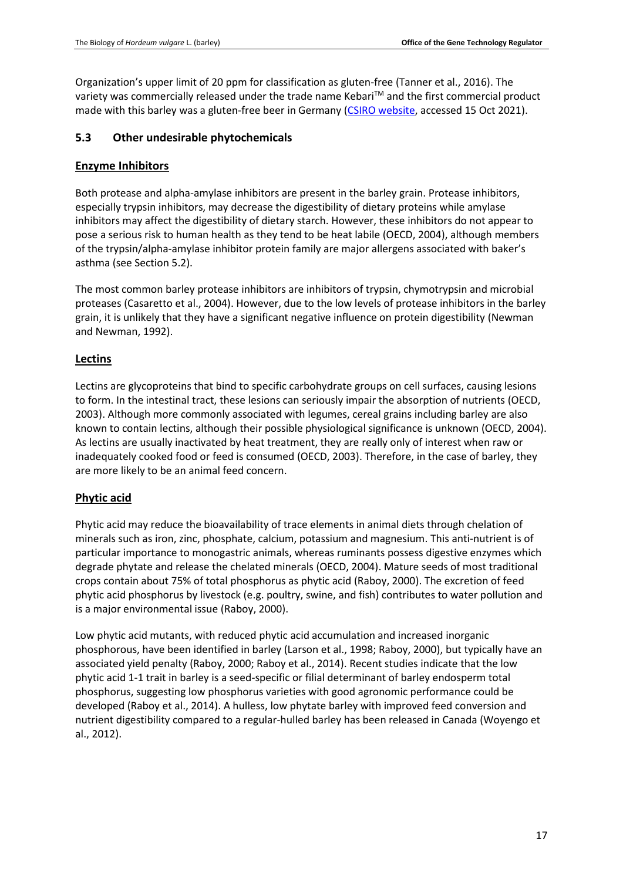Organization's upper limit of 20 ppm for classification as gluten-free (Tanner et al., 2016). The variety was commercially released under the trade name Kebari™ and the first commercial product made with this barley was a gluten-free beer in Germany [\(CSIRO website,](https://www.csiro.au/en/research/plants/crops/grains/kebari-barley) accessed 15 Oct 2021).

#### <span id="page-20-0"></span>**5.3 Other undesirable phytochemicals**

#### **Enzyme Inhibitors**

Both protease and alpha-amylase inhibitors are present in the barley grain. Protease inhibitors, especially trypsin inhibitors, may decrease the digestibility of dietary proteins while amylase inhibitors may affect the digestibility of dietary starch. However, these inhibitors do not appear to pose a serious risk to human health as they tend to be heat labile (OECD, 2004), although members of the trypsin/alpha-amylase inhibitor protein family are major allergens associated with baker's asthma (see Section 5.2).

The most common barley protease inhibitors are inhibitors of trypsin, chymotrypsin and microbial proteases (Casaretto et al., 2004). However, due to the low levels of protease inhibitors in the barley grain, it is unlikely that they have a significant negative influence on protein digestibility (Newman and Newman, 1992).

#### **Lectins**

Lectins are glycoproteins that bind to specific carbohydrate groups on cell surfaces, causing lesions to form. In the intestinal tract, these lesions can seriously impair the absorption of nutrients (OECD, 2003). Although more commonly associated with legumes, cereal grains including barley are also known to contain lectins, although their possible physiological significance is unknown (OECD, 2004). As lectins are usually inactivated by heat treatment, they are really only of interest when raw or inadequately cooked food or feed is consumed (OECD, 2003). Therefore, in the case of barley, they are more likely to be an animal feed concern.

#### **Phytic acid**

Phytic acid may reduce the bioavailability of trace elements in animal diets through chelation of minerals such as iron, zinc, phosphate, calcium, potassium and magnesium. This anti-nutrient is of particular importance to monogastric animals, whereas ruminants possess digestive enzymes which degrade phytate and release the chelated minerals (OECD, 2004). Mature seeds of most traditional crops contain about 75% of total phosphorus as phytic acid (Raboy, 2000). The excretion of feed phytic acid phosphorus by livestock (e.g. poultry, swine, and fish) contributes to water pollution and is a major environmental issue (Raboy, 2000).

Low phytic acid mutants, with reduced phytic acid accumulation and increased inorganic phosphorous, have been identified in barley (Larson et al., 1998; Raboy, 2000), but typically have an associated yield penalty (Raboy, 2000; Raboy et al., 2014). Recent studies indicate that the low phytic acid 1-1 trait in barley is a seed-specific or filial determinant of barley endosperm total phosphorus, suggesting low phosphorus varieties with good agronomic performance could be developed (Raboy et al., 2014). A hulless, low phytate barley with improved feed conversion and nutrient digestibility compared to a regular-hulled barley has been released in Canada (Woyengo et al., 2012).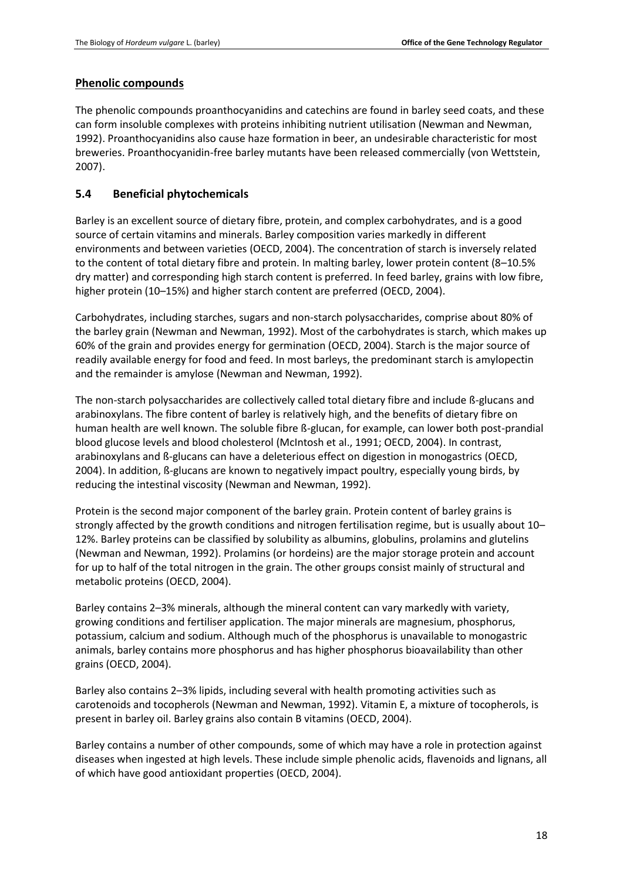#### **Phenolic compounds**

The phenolic compounds proanthocyanidins and catechins are found in barley seed coats, and these can form insoluble complexes with proteins inhibiting nutrient utilisation (Newman and Newman, 1992). Proanthocyanidins also cause haze formation in beer, an undesirable characteristic for most breweries. Proanthocyanidin-free barley mutants have been released commercially (von Wettstein, 2007).

#### <span id="page-21-0"></span>**5.4 Beneficial phytochemicals**

Barley is an excellent source of dietary fibre, protein, and complex carbohydrates, and is a good source of certain vitamins and minerals. Barley composition varies markedly in different environments and between varieties (OECD, 2004). The concentration of starch is inversely related to the content of total dietary fibre and protein. In malting barley, lower protein content (8–10.5% dry matter) and corresponding high starch content is preferred. In feed barley, grains with low fibre, higher protein (10–15%) and higher starch content are preferred (OECD, 2004).

Carbohydrates, including starches, sugars and non-starch polysaccharides, comprise about 80% of the barley grain (Newman and Newman, 1992). Most of the carbohydrates is starch, which makes up 60% of the grain and provides energy for germination (OECD, 2004). Starch is the major source of readily available energy for food and feed. In most barleys, the predominant starch is amylopectin and the remainder is amylose (Newman and Newman, 1992).

The non-starch polysaccharides are collectively called total dietary fibre and include ß-glucans and arabinoxylans. The fibre content of barley is relatively high, and the benefits of dietary fibre on human health are well known. The soluble fibre ß-glucan, for example, can lower both post-prandial blood glucose levels and blood cholesterol (McIntosh et al., 1991; OECD, 2004). In contrast, arabinoxylans and ß-glucans can have a deleterious effect on digestion in monogastrics (OECD, 2004). In addition, ß-glucans are known to negatively impact poultry, especially young birds, by reducing the intestinal viscosity (Newman and Newman, 1992).

Protein is the second major component of the barley grain. Protein content of barley grains is strongly affected by the growth conditions and nitrogen fertilisation regime, but is usually about 10– 12%. Barley proteins can be classified by solubility as albumins, globulins, prolamins and glutelins (Newman and Newman, 1992). Prolamins (or hordeins) are the major storage protein and account for up to half of the total nitrogen in the grain. The other groups consist mainly of structural and metabolic proteins (OECD, 2004).

Barley contains 2–3% minerals, although the mineral content can vary markedly with variety, growing conditions and fertiliser application. The major minerals are magnesium, phosphorus, potassium, calcium and sodium. Although much of the phosphorus is unavailable to monogastric animals, barley contains more phosphorus and has higher phosphorus bioavailability than other grains (OECD, 2004).

Barley also contains 2–3% lipids, including several with health promoting activities such as carotenoids and tocopherols (Newman and Newman, 1992). Vitamin E, a mixture of tocopherols, is present in barley oil. Barley grains also contain B vitamins (OECD, 2004).

Barley contains a number of other compounds, some of which may have a role in protection against diseases when ingested at high levels. These include simple phenolic acids, flavenoids and lignans, all of which have good antioxidant properties (OECD, 2004).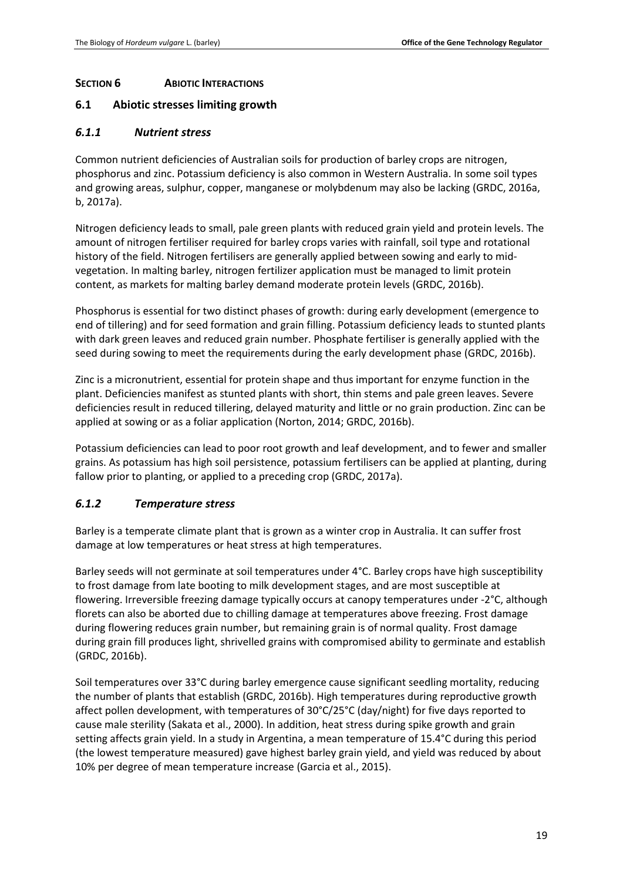#### <span id="page-22-0"></span>**SECTION 6 ABIOTIC INTERACTIONS**

#### <span id="page-22-1"></span>**6.1 Abiotic stresses limiting growth**

#### <span id="page-22-2"></span>*6.1.1 Nutrient stress*

Common nutrient deficiencies of Australian soils for production of barley crops are nitrogen, phosphorus and zinc. Potassium deficiency is also common in Western Australia. In some soil types and growing areas, sulphur, copper, manganese or molybdenum may also be lacking (GRDC, 2016a, b, 2017a).

Nitrogen deficiency leads to small, pale green plants with reduced grain yield and protein levels. The amount of nitrogen fertiliser required for barley crops varies with rainfall, soil type and rotational history of the field. Nitrogen fertilisers are generally applied between sowing and early to midvegetation. In malting barley, nitrogen fertilizer application must be managed to limit protein content, as markets for malting barley demand moderate protein levels (GRDC, 2016b).

Phosphorus is essential for two distinct phases of growth: during early development (emergence to end of tillering) and for seed formation and grain filling. Potassium deficiency leads to stunted plants with dark green leaves and reduced grain number. Phosphate fertiliser is generally applied with the seed during sowing to meet the requirements during the early development phase (GRDC, 2016b).

Zinc is a micronutrient, essential for protein shape and thus important for enzyme function in the plant. Deficiencies manifest as stunted plants with short, thin stems and pale green leaves. Severe deficiencies result in reduced tillering, delayed maturity and little or no grain production. Zinc can be applied at sowing or as a foliar application (Norton, 2014; GRDC, 2016b).

Potassium deficiencies can lead to poor root growth and leaf development, and to fewer and smaller grains. As potassium has high soil persistence, potassium fertilisers can be applied at planting, during fallow prior to planting, or applied to a preceding crop (GRDC, 2017a).

#### <span id="page-22-3"></span>*6.1.2 Temperature stress*

Barley is a temperate climate plant that is grown as a winter crop in Australia. It can suffer frost damage at low temperatures or heat stress at high temperatures.

Barley seeds will not germinate at soil temperatures under 4°C. Barley crops have high susceptibility to frost damage from late booting to milk development stages, and are most susceptible at flowering. Irreversible freezing damage typically occurs at canopy temperatures under -2°C, although florets can also be aborted due to chilling damage at temperatures above freezing. Frost damage during flowering reduces grain number, but remaining grain is of normal quality. Frost damage during grain fill produces light, shrivelled grains with compromised ability to germinate and establish (GRDC, 2016b).

Soil temperatures over 33°C during barley emergence cause significant seedling mortality, reducing the number of plants that establish (GRDC, 2016b). High temperatures during reproductive growth affect pollen development, with temperatures of 30°C/25°C (day/night) for five days reported to cause male sterility (Sakata et al., 2000). In addition, heat stress during spike growth and grain setting affects grain yield. In a study in Argentina, a mean temperature of 15.4°C during this period (the lowest temperature measured) gave highest barley grain yield, and yield was reduced by about 10% per degree of mean temperature increase (Garcia et al., 2015).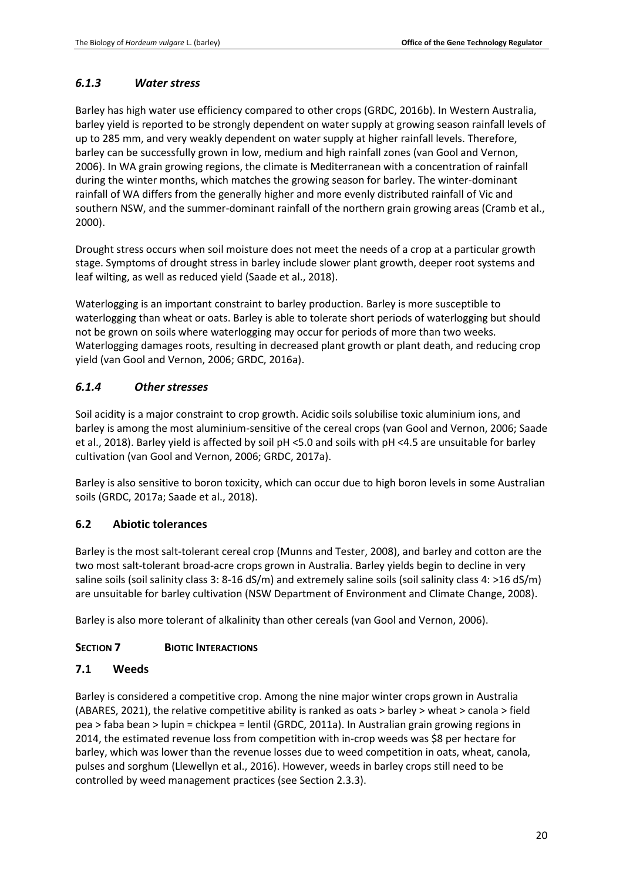#### <span id="page-23-0"></span>*6.1.3 Water stress*

Barley has high water use efficiency compared to other crops (GRDC, 2016b). In Western Australia, barley yield is reported to be strongly dependent on water supply at growing season rainfall levels of up to 285 mm, and very weakly dependent on water supply at higher rainfall levels. Therefore, barley can be successfully grown in low, medium and high rainfall zones (van Gool and Vernon, 2006). In WA grain growing regions, the climate is Mediterranean with a concentration of rainfall during the winter months, which matches the growing season for barley. The winter-dominant rainfall of WA differs from the generally higher and more evenly distributed rainfall of Vic and southern NSW, and the summer-dominant rainfall of the northern grain growing areas (Cramb et al., 2000).

Drought stress occurs when soil moisture does not meet the needs of a crop at a particular growth stage. Symptoms of drought stress in barley include slower plant growth, deeper root systems and leaf wilting, as well as reduced yield (Saade et al., 2018).

Waterlogging is an important constraint to barley production. Barley is more susceptible to waterlogging than wheat or oats. Barley is able to tolerate short periods of waterlogging but should not be grown on soils where waterlogging may occur for periods of more than two weeks. Waterlogging damages roots, resulting in decreased plant growth or plant death, and reducing crop yield (van Gool and Vernon, 2006; GRDC, 2016a).

# <span id="page-23-1"></span>*6.1.4 Other stresses*

Soil acidity is a major constraint to crop growth. Acidic soils solubilise toxic aluminium ions, and barley is among the most aluminium-sensitive of the cereal crops (van Gool and Vernon, 2006; Saade et al., 2018). Barley yield is affected by soil pH <5.0 and soils with pH <4.5 are unsuitable for barley cultivation (van Gool and Vernon, 2006; GRDC, 2017a).

Barley is also sensitive to boron toxicity, which can occur due to high boron levels in some Australian soils (GRDC, 2017a; Saade et al., 2018).

#### <span id="page-23-2"></span>**6.2 Abiotic tolerances**

Barley is the most salt-tolerant cereal crop (Munns and Tester, 2008), and barley and cotton are the two most salt-tolerant broad-acre crops grown in Australia. Barley yields begin to decline in very saline soils (soil salinity class 3: 8-16 dS/m) and extremely saline soils (soil salinity class 4: >16 dS/m) are unsuitable for barley cultivation (NSW Department of Environment and Climate Change, 2008).

Barley is also more tolerant of alkalinity than other cereals (van Gool and Vernon, 2006).

#### <span id="page-23-3"></span>**SECTION 7 BIOTIC INTERACTIONS**

#### <span id="page-23-4"></span>**7.1 Weeds**

Barley is considered a competitive crop. Among the nine major winter crops grown in Australia (ABARES, 2021), the relative competitive ability is ranked as oats > barley > wheat > canola > field pea > faba bean > lupin = chickpea = lentil (GRDC, 2011a). In Australian grain growing regions in 2014, the estimated revenue loss from competition with in-crop weeds was \$8 per hectare for barley, which was lower than the revenue losses due to weed competition in oats, wheat, canola, pulses and sorghum (Llewellyn et al., 2016). However, weeds in barley crops still need to be controlled by weed management practices (see Section 2.3.3).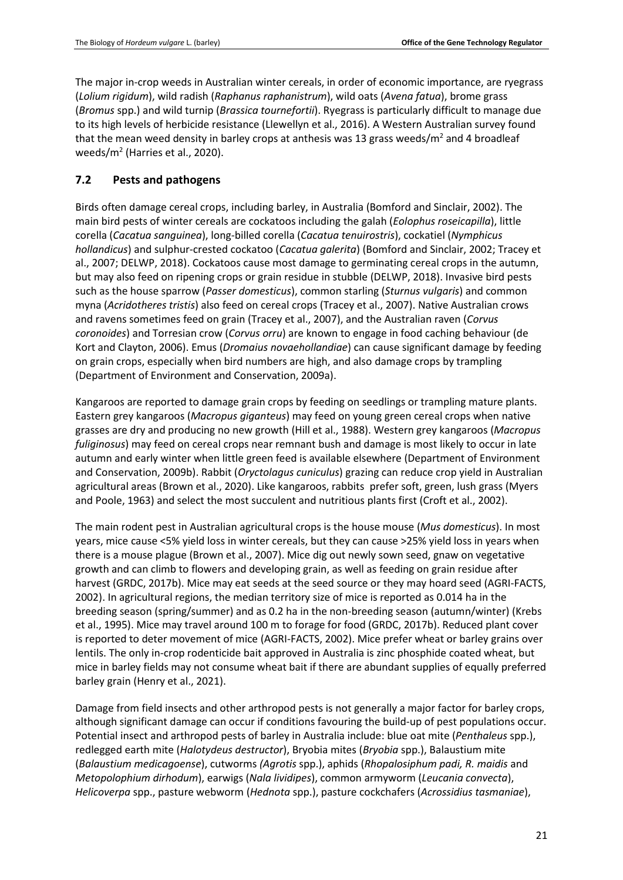The major in-crop weeds in Australian winter cereals, in order of economic importance, are ryegrass (*Lolium rigidum*), wild radish (*Raphanus raphanistrum*), wild oats (*Avena fatua*), brome grass (*Bromus* spp.) and wild turnip (*Brassica tournefortii*). Ryegrass is particularly difficult to manage due to its high levels of herbicide resistance (Llewellyn et al., 2016). A Western Australian survey found that the mean weed density in barley crops at anthesis was 13 grass weeds/ $m<sup>2</sup>$  and 4 broadleaf weeds/m<sup>2</sup> (Harries et al., 2020).

#### <span id="page-24-0"></span>**7.2 Pests and pathogens**

Birds often damage cereal crops, including barley, in Australia (Bomford and Sinclair, 2002). The main bird pests of winter cereals are cockatoos including the galah (*Eolophus roseicapilla*), little corella (*Cacatua sanguinea*), long-billed corella (*Cacatua tenuirostris*), cockatiel (*Nymphicus hollandicus*) and sulphur-crested cockatoo (*Cacatua galerita*) (Bomford and Sinclair, 2002; Tracey et al., 2007; DELWP, 2018). Cockatoos cause most damage to germinating cereal crops in the autumn, but may also feed on ripening crops or grain residue in stubble (DELWP, 2018). Invasive bird pests such as the house sparrow (*Passer domesticus*), common starling (*Sturnus vulgaris*) and common myna (*Acridotheres tristis*) also feed on cereal crops (Tracey et al., 2007). Native Australian crows and ravens sometimes feed on grain (Tracey et al., 2007), and the Australian raven (*Corvus coronoides*) and Torresian crow (*Corvus orru*) are known to engage in food caching behaviour (de Kort and Clayton, 2006). Emus (*Dromaius novaehollandiae*) can cause significant damage by feeding on grain crops, especially when bird numbers are high, and also damage crops by trampling (Department of Environment and Conservation, 2009a).

Kangaroos are reported to damage grain crops by feeding on seedlings or trampling mature plants. Eastern grey kangaroos (*Macropus giganteus*) may feed on young green cereal crops when native grasses are dry and producing no new growth (Hill et al., 1988). Western grey kangaroos (*Macropus fuliginosus*) may feed on cereal crops near remnant bush and damage is most likely to occur in late autumn and early winter when little green feed is available elsewhere (Department of Environment and Conservation, 2009b). Rabbit (*Oryctolagus cuniculus*) grazing can reduce crop yield in Australian agricultural areas (Brown et al., 2020). Like kangaroos, rabbits prefer soft, green, lush grass (Myers and Poole, 1963) and select the most succulent and nutritious plants first (Croft et al., 2002).

The main rodent pest in Australian agricultural crops is the house mouse (*Mus domesticus*). In most years, mice cause <5% yield loss in winter cereals, but they can cause >25% yield loss in years when there is a mouse plague (Brown et al., 2007). Mice dig out newly sown seed, gnaw on vegetative growth and can climb to flowers and developing grain, as well as feeding on grain residue after harvest (GRDC, 2017b). Mice may eat seeds at the seed source or they may hoard seed (AGRI-FACTS, 2002). In agricultural regions, the median territory size of mice is reported as 0.014 ha in the breeding season (spring/summer) and as 0.2 ha in the non-breeding season (autumn/winter) (Krebs et al., 1995). Mice may travel around 100 m to forage for food (GRDC, 2017b). Reduced plant cover is reported to deter movement of mice (AGRI-FACTS, 2002). Mice prefer wheat or barley grains over lentils. The only in-crop rodenticide bait approved in Australia is zinc phosphide coated wheat, but mice in barley fields may not consume wheat bait if there are abundant supplies of equally preferred barley grain (Henry et al., 2021).

Damage from field insects and other arthropod pests is not generally a major factor for barley crops, although significant damage can occur if conditions favouring the build-up of pest populations occur. Potential insect and arthropod pests of barley in Australia include: blue oat mite (*Penthaleus* spp.), redlegged earth mite (*Halotydeus destructor*), Bryobia mites (*Bryobia* spp.), Balaustium mite (*Balaustium medicagoense*), cutworms *(Agrotis* spp.), aphids (*Rhopalosiphum padi, R. maidis* and *Metopolophium dirhodum*), earwigs (*Nala lividipes*), common armyworm (*Leucania convecta*), *Helicoverpa* spp., pasture webworm (*Hednota* spp.), pasture cockchafers (*Acrossidius tasmaniae*),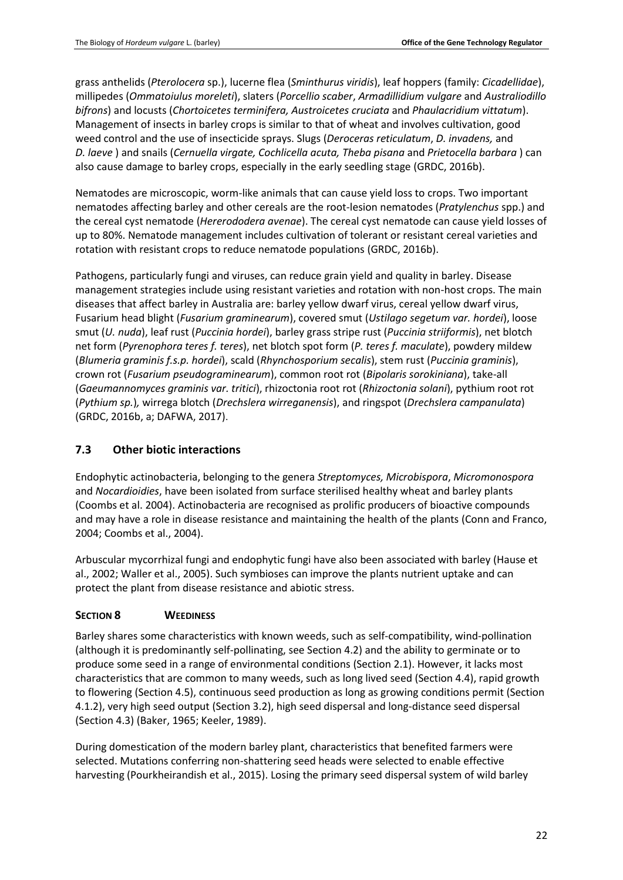grass anthelids (*Pterolocera* sp.), lucerne flea (*Sminthurus viridis*), leaf hoppers (family: *Cicadellidae*), millipedes (*Ommatoiulus moreleti*), slaters (*Porcellio scaber*, *Armadillidium vulgare* and *Australiodillo bifrons*) and locusts (*Chortoicetes terminifera, Austroicetes cruciata* and *Phaulacridium vittatum*). Management of insects in barley crops is similar to that of wheat and involves cultivation, good weed control and the use of insecticide sprays. Slugs (*Deroceras reticulatum*, *D. invadens,* and *D. laeve* ) and snails (*Cernuella virgate, Cochlicella acuta, Theba pisana* and *Prietocella barbara* ) can also cause damage to barley crops, especially in the early seedling stage (GRDC, 2016b).

Nematodes are microscopic, worm-like animals that can cause yield loss to crops. Two important nematodes affecting barley and other cereals are the root-lesion nematodes (*Pratylenchus* spp.) and the cereal cyst nematode (*Hererododera avenae*). The cereal cyst nematode can cause yield losses of up to 80%. Nematode management includes cultivation of tolerant or resistant cereal varieties and rotation with resistant crops to reduce nematode populations (GRDC, 2016b).

Pathogens, particularly fungi and viruses, can reduce grain yield and quality in barley. Disease management strategies include using resistant varieties and rotation with non-host crops. The main diseases that affect barley in Australia are: barley yellow dwarf virus, cereal yellow dwarf virus, Fusarium head blight (*Fusarium graminearum*), covered smut (*Ustilago segetum var. hordei*), loose smut (*U. nuda*), leaf rust (*Puccinia hordei*), barley grass stripe rust (*Puccinia striiformis*), net blotch net form (*Pyrenophora teres f. teres*), net blotch spot form (*P. teres f. maculate*), powdery mildew (*Blumeria graminis f.s.p. hordei*), scald (*Rhynchosporium secalis*), stem rust (*Puccinia graminis*), crown rot (*Fusarium pseudograminearum*), common root rot (*Bipolaris sorokiniana*), take-all (*Gaeumannomyces graminis var. tritici*), rhizoctonia root rot (*Rhizoctonia solani*), pythium root rot (*Pythium sp.*)*,* wirrega blotch (*Drechslera wirreganensis*), and ringspot (*Drechslera campanulata*) (GRDC, 2016b, a; DAFWA, 2017).

#### <span id="page-25-0"></span>**7.3 Other biotic interactions**

Endophytic actinobacteria, belonging to the genera *Streptomyces, Microbispora*, *Micromonospora* and *Nocardioidies*, have been isolated from surface sterilised healthy wheat and barley plants (Coombs et al. 2004). Actinobacteria are recognised as prolific producers of bioactive compounds and may have a role in disease resistance and maintaining the health of the plants (Conn and Franco, 2004; Coombs et al., 2004).

Arbuscular mycorrhizal fungi and endophytic fungi have also been associated with barley (Hause et al., 2002; Waller et al., 2005). Such symbioses can improve the plants nutrient uptake and can protect the plant from disease resistance and abiotic stress.

#### <span id="page-25-1"></span>**SECTION 8 WEEDINESS**

Barley shares some characteristics with known weeds, such as self-compatibility, wind-pollination (although it is predominantly self-pollinating, see Section 4.2) and the ability to germinate or to produce some seed in a range of environmental conditions (Section 2.1). However, it lacks most characteristics that are common to many weeds, such as long lived seed (Section 4.4), rapid growth to flowering (Section 4.5), continuous seed production as long as growing conditions permit (Section 4.1.2), very high seed output (Section 3.2), high seed dispersal and long-distance seed dispersal (Section 4.3) (Baker, 1965; Keeler, 1989).

During domestication of the modern barley plant, characteristics that benefited farmers were selected. Mutations conferring non-shattering seed heads were selected to enable effective harvesting (Pourkheirandish et al., 2015). Losing the primary seed dispersal system of wild barley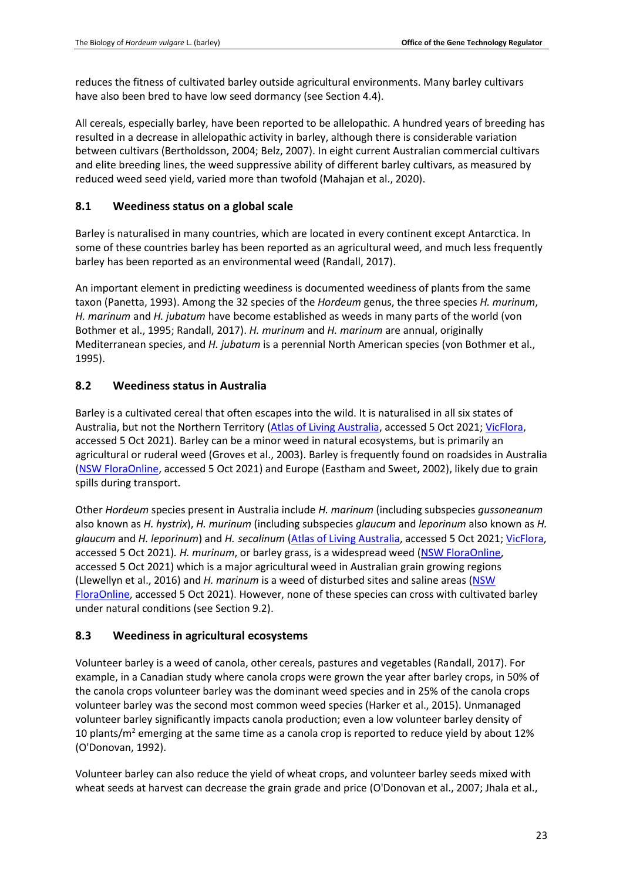reduces the fitness of cultivated barley outside agricultural environments. Many barley cultivars have also been bred to have low seed dormancy (see Section 4.4).

All cereals, especially barley, have been reported to be allelopathic. A hundred years of breeding has resulted in a decrease in allelopathic activity in barley, although there is considerable variation between cultivars (Bertholdsson, 2004; Belz, 2007). In eight current Australian commercial cultivars and elite breeding lines, the weed suppressive ability of different barley cultivars, as measured by reduced weed seed yield, varied more than twofold (Mahajan et al., 2020).

#### <span id="page-26-0"></span>**8.1 Weediness status on a global scale**

Barley is naturalised in many countries, which are located in every continent except Antarctica. In some of these countries barley has been reported as an agricultural weed, and much less frequently barley has been reported as an environmental weed (Randall, 2017).

An important element in predicting weediness is documented weediness of plants from the same taxon (Panetta, 1993). Among the 32 species of the *Hordeum* genus, the three species *H. murinum*, *H. marinum* and *H. jubatum* have become established as weeds in many parts of the world (von Bothmer et al., 1995; Randall, 2017). *H. murinum* and *H. marinum* are annual, originally Mediterranean species, and *H. jubatum* is a perennial North American species (von Bothmer et al., 1995).

#### <span id="page-26-1"></span>**8.2 Weediness status in Australia**

Barley is a cultivated cereal that often escapes into the wild. It is naturalised in all six states of Australia, but not the Northern Territory [\(Atlas of Living Australia,](https://www.ala.org.au/) accessed 5 Oct 2021; [VicFlora,](https://vicflora.rbg.vic.gov.au/) accessed 5 Oct 2021). Barley can be a minor weed in natural ecosystems, but is primarily an agricultural or ruderal weed (Groves et al., 2003). Barley is frequently found on roadsides in Australia [\(NSW FloraOnline,](https://plantnet.rbgsyd.nsw.gov.au/floraonline.htm) accessed 5 Oct 2021) and Europe (Eastham and Sweet, 2002), likely due to grain spills during transport.

Other *Hordeum* species present in Australia include *H. marinum* (including subspecies *gussoneanum* also known as *H. hystrix*), *H. murinum* (including subspecies *glaucum* and *leporinum* also known as *H. glaucum* and *H. leporinum*) and *H. secalinum* [\(Atlas of Living Australia,](https://www.ala.org.au/) accessed 5 Oct 2021; [VicFlora,](https://vicflora.rbg.vic.gov.au/) accessed 5 Oct 2021)*. H. murinum*, or barley grass, is a widespread weed [\(NSW FloraOnline,](https://plantnet.rbgsyd.nsw.gov.au/floraonline.htm) accessed 5 Oct 2021) which is a major agricultural weed in Australian grain growing regions (Llewellyn et al., 2016) and *H. marinum* is a weed of disturbed sites and saline areas [\(NSW](https://plantnet.rbgsyd.nsw.gov.au/floraonline.htm)  [FloraOnline,](https://plantnet.rbgsyd.nsw.gov.au/floraonline.htm) accessed 5 Oct 2021). However, none of these species can cross with cultivated barley under natural conditions (see Section 9.2).

#### <span id="page-26-2"></span>**8.3 Weediness in agricultural ecosystems**

Volunteer barley is a weed of canola, other cereals, pastures and vegetables (Randall, 2017). For example, in a Canadian study where canola crops were grown the year after barley crops, in 50% of the canola crops volunteer barley was the dominant weed species and in 25% of the canola crops volunteer barley was the second most common weed species (Harker et al., 2015). Unmanaged volunteer barley significantly impacts canola production; even a low volunteer barley density of 10 plants/ $m^2$  emerging at the same time as a canola crop is reported to reduce yield by about 12% (O'Donovan, 1992).

Volunteer barley can also reduce the yield of wheat crops, and volunteer barley seeds mixed with wheat seeds at harvest can decrease the grain grade and price (O'Donovan et al., 2007; Jhala et al.,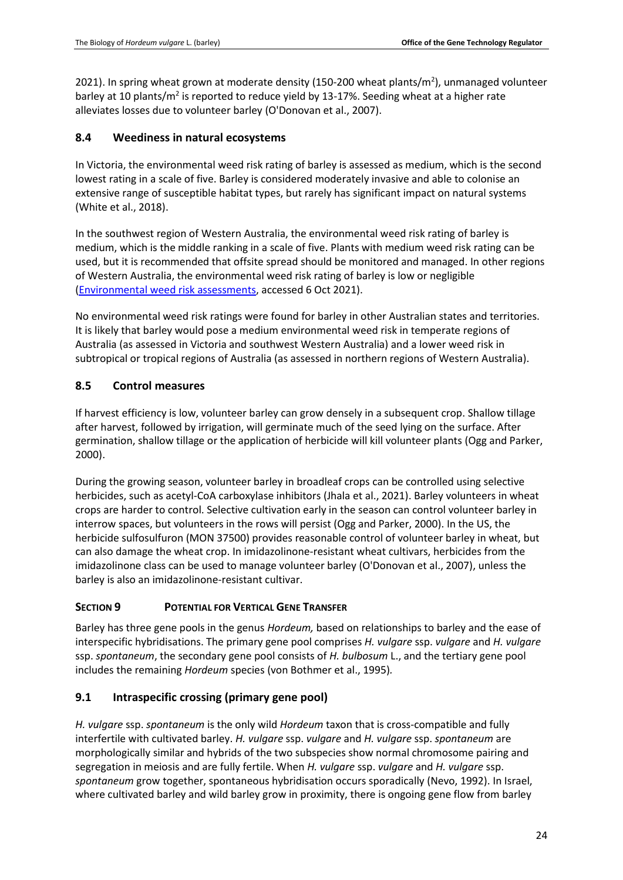2021). In spring wheat grown at moderate density (150-200 wheat plants/ $m^2$ ), unmanaged volunteer barley at 10 plants/ $m^2$  is reported to reduce yield by 13-17%. Seeding wheat at a higher rate alleviates losses due to volunteer barley (O'Donovan et al., 2007).

#### <span id="page-27-0"></span>**8.4 Weediness in natural ecosystems**

In Victoria, the environmental weed risk rating of barley is assessed as medium, which is the second lowest rating in a scale of five. Barley is considered moderately invasive and able to colonise an extensive range of susceptible habitat types, but rarely has significant impact on natural systems (White et al., 2018).

In the southwest region of Western Australia, the environmental weed risk rating of barley is medium, which is the middle ranking in a scale of five. Plants with medium weed risk rating can be used, but it is recommended that offsite spread should be monitored and managed. In other regions of Western Australia, the environmental weed risk rating of barley is low or negligible [\(Environmental weed risk assessments,](https://www.agric.wa.gov.au/rangelands/environmental-weed-risk-assessments) accessed 6 Oct 2021).

No environmental weed risk ratings were found for barley in other Australian states and territories. It is likely that barley would pose a medium environmental weed risk in temperate regions of Australia (as assessed in Victoria and southwest Western Australia) and a lower weed risk in subtropical or tropical regions of Australia (as assessed in northern regions of Western Australia).

#### <span id="page-27-1"></span>**8.5 Control measures**

If harvest efficiency is low, volunteer barley can grow densely in a subsequent crop. Shallow tillage after harvest, followed by irrigation, will germinate much of the seed lying on the surface. After germination, shallow tillage or the application of herbicide will kill volunteer plants (Ogg and Parker, 2000).

During the growing season, volunteer barley in broadleaf crops can be controlled using selective herbicides, such as acetyl-CoA carboxylase inhibitors (Jhala et al., 2021). Barley volunteers in wheat crops are harder to control. Selective cultivation early in the season can control volunteer barley in interrow spaces, but volunteers in the rows will persist (Ogg and Parker, 2000). In the US, the herbicide sulfosulfuron (MON 37500) provides reasonable control of volunteer barley in wheat, but can also damage the wheat crop. In imidazolinone-resistant wheat cultivars, herbicides from the imidazolinone class can be used to manage volunteer barley (O'Donovan et al., 2007), unless the barley is also an imidazolinone-resistant cultivar.

#### <span id="page-27-2"></span>**SECTION 9 POTENTIAL FOR VERTICAL GENE TRANSFER**

Barley has three gene pools in the genus *Hordeum,* based on relationships to barley and the ease of interspecific hybridisations. The primary gene pool comprises *H. vulgare* ssp. *vulgare* and *H. vulgare* ssp. *spontaneum*, the secondary gene pool consists of *H. bulbosum* L., and the tertiary gene pool includes the remaining *Hordeum* species (von Bothmer et al., 1995)*.* 

#### <span id="page-27-3"></span>**9.1 Intraspecific crossing (primary gene pool)**

*H. vulgare* ssp. *spontaneum* is the only wild *Hordeum* taxon that is cross-compatible and fully interfertile with cultivated barley. *H. vulgare* ssp. *vulgare* and *H. vulgare* ssp. *spontaneum* are morphologically similar and hybrids of the two subspecies show normal chromosome pairing and segregation in meiosis and are fully fertile. When *H. vulgare* ssp. *vulgare* and *H. vulgare* ssp. *spontaneum* grow together, spontaneous hybridisation occurs sporadically (Nevo, 1992). In Israel, where cultivated barley and wild barley grow in proximity, there is ongoing gene flow from barley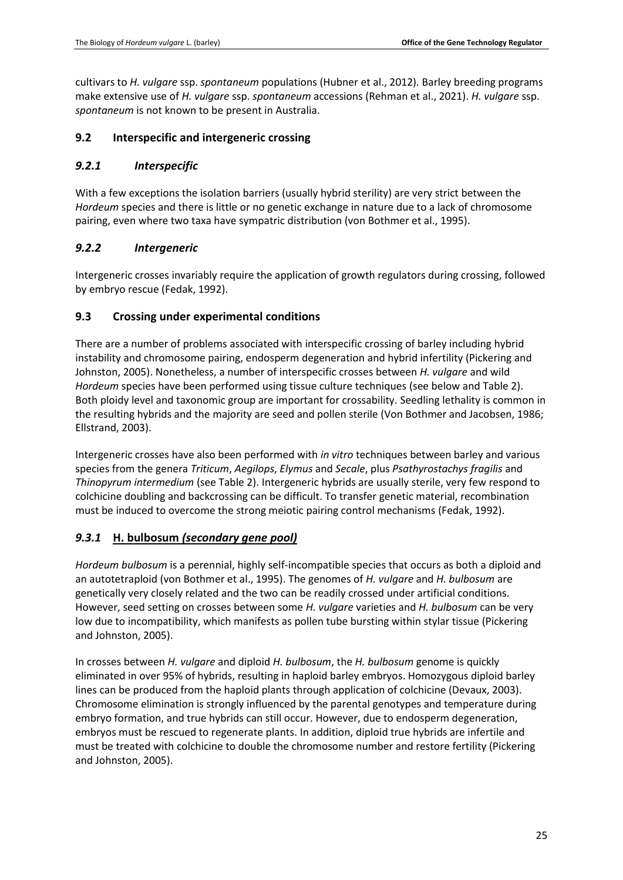cultivars to *H. vulgare* ssp. *spontaneum* populations (Hubner et al., 2012)*.* Barley breeding programs make extensive use of *H. vulgare* ssp. *spontaneum* accessions (Rehman et al., 2021). *H. vulgare* ssp. *spontaneum* is not known to be present in Australia.

#### <span id="page-28-0"></span>**9.2 Interspecific and intergeneric crossing**

#### <span id="page-28-1"></span>*9.2.1 Interspecific*

With a few exceptions the isolation barriers (usually hybrid sterility) are very strict between the *Hordeum* species and there is little or no genetic exchange in nature due to a lack of chromosome pairing, even where two taxa have sympatric distribution (von Bothmer et al., 1995).

#### <span id="page-28-2"></span>*9.2.2 Intergeneric*

Intergeneric crosses invariably require the application of growth regulators during crossing, followed by embryo rescue (Fedak, 1992).

#### <span id="page-28-3"></span>**9.3 Crossing under experimental conditions**

There are a number of problems associated with interspecific crossing of barley including hybrid instability and chromosome pairing, endosperm degeneration and hybrid infertility (Pickering and Johnston, 2005). Nonetheless, a number of interspecific crosses between *H. vulgare* and wild *Hordeum* species have been performed using tissue culture techniques (see below and Table 2). Both ploidy level and taxonomic group are important for crossability. Seedling lethality is common in the resulting hybrids and the majority are seed and pollen sterile (Von Bothmer and Jacobsen, 1986; Ellstrand, 2003).

Intergeneric crosses have also been performed with *in vitro* techniques between barley and various species from the genera *Triticum*, *Aegilops*, *Elymus* and *Secale*, plus *Psathyrostachys fragilis* and *Thinopyrum intermedium* (see Table 2). Intergeneric hybrids are usually sterile, very few respond to colchicine doubling and backcrossing can be difficult. To transfer genetic material, recombination must be induced to overcome the strong meiotic pairing control mechanisms (Fedak, 1992).

#### *9.3.1* **H. bulbosum** *(secondary gene pool)*

*Hordeum bulbosum* is a perennial, highly self-incompatible species that occurs as both a diploid and an autotetraploid (von Bothmer et al., 1995). The genomes of *H. vulgare* and *H. bulbosum* are genetically very closely related and the two can be readily crossed under artificial conditions. However, seed setting on crosses between some *H. vulgare* varieties and *H. bulbosum* can be very low due to incompatibility, which manifests as pollen tube bursting within stylar tissue (Pickering and Johnston, 2005).

In crosses between *H. vulgare* and diploid *H. bulbosum*, the *H. bulbosum* genome is quickly eliminated in over 95% of hybrids, resulting in haploid barley embryos. Homozygous diploid barley lines can be produced from the haploid plants through application of colchicine (Devaux, 2003). Chromosome elimination is strongly influenced by the parental genotypes and temperature during embryo formation, and true hybrids can still occur. However, due to endosperm degeneration, embryos must be rescued to regenerate plants. In addition, diploid true hybrids are infertile and must be treated with colchicine to double the chromosome number and restore fertility (Pickering and Johnston, 2005).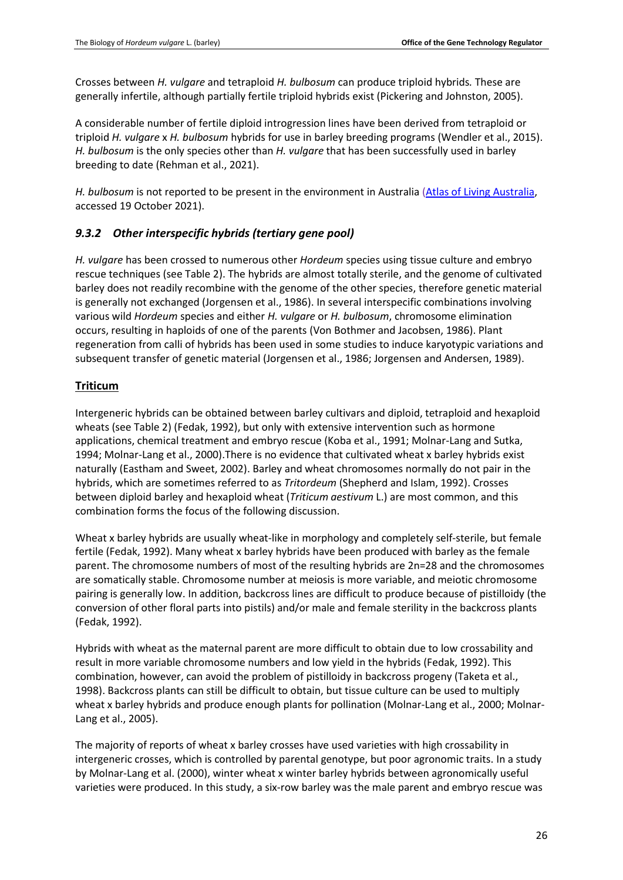Crosses between *H. vulgare* and tetraploid *H. bulbosum* can produce triploid hybrids*.* These are generally infertile, although partially fertile triploid hybrids exist (Pickering and Johnston, 2005).

A considerable number of fertile diploid introgression lines have been derived from tetraploid or triploid *H. vulgare* x *H. bulbosum* hybrids for use in barley breeding programs (Wendler et al., 2015). *H. bulbosum* is the only species other than *H. vulgare* that has been successfully used in barley breeding to date (Rehman et al., 2021).

*H. bulbosum* is not reported to be present in the environment in Australia [\(Atlas of Living Australia,](https://www.ala.org.au/) accessed 19 October 2021).

# *9.3.2 Other interspecific hybrids (tertiary gene pool)*

*H. vulgare* has been crossed to numerous other *Hordeum* species using tissue culture and embryo rescue techniques (see Table 2). The hybrids are almost totally sterile, and the genome of cultivated barley does not readily recombine with the genome of the other species, therefore genetic material is generally not exchanged (Jorgensen et al., 1986). In several interspecific combinations involving various wild *Hordeum* species and either *H. vulgare* or *H. bulbosum*, chromosome elimination occurs, resulting in haploids of one of the parents (Von Bothmer and Jacobsen, 1986). Plant regeneration from calli of hybrids has been used in some studies to induce karyotypic variations and subsequent transfer of genetic material (Jorgensen et al., 1986; Jorgensen and Andersen, 1989).

#### **Triticum**

Intergeneric hybrids can be obtained between barley cultivars and diploid, tetraploid and hexaploid wheats (see Table 2) (Fedak, 1992), but only with extensive intervention such as hormone applications, chemical treatment and embryo rescue (Koba et al., 1991; Molnar-Lang and Sutka, 1994; Molnar-Lang et al., 2000).There is no evidence that cultivated wheat x barley hybrids exist naturally (Eastham and Sweet, 2002). Barley and wheat chromosomes normally do not pair in the hybrids, which are sometimes referred to as *Tritordeum* (Shepherd and Islam, 1992). Crosses between diploid barley and hexaploid wheat (*Triticum aestivum* L.) are most common, and this combination forms the focus of the following discussion.

Wheat x barley hybrids are usually wheat-like in morphology and completely self-sterile, but female fertile (Fedak, 1992). Many wheat x barley hybrids have been produced with barley as the female parent. The chromosome numbers of most of the resulting hybrids are 2n=28 and the chromosomes are somatically stable. Chromosome number at meiosis is more variable, and meiotic chromosome pairing is generally low. In addition, backcross lines are difficult to produce because of pistilloidy (the conversion of other floral parts into pistils) and/or male and female sterility in the backcross plants (Fedak, 1992).

Hybrids with wheat as the maternal parent are more difficult to obtain due to low crossability and result in more variable chromosome numbers and low yield in the hybrids (Fedak, 1992). This combination, however, can avoid the problem of pistilloidy in backcross progeny (Taketa et al., 1998). Backcross plants can still be difficult to obtain, but tissue culture can be used to multiply wheat x barley hybrids and produce enough plants for pollination (Molnar-Lang et al., 2000; Molnar-Lang et al., 2005).

The majority of reports of wheat x barley crosses have used varieties with high crossability in intergeneric crosses, which is controlled by parental genotype, but poor agronomic traits. In a study by Molnar-Lang et al. (2000), winter wheat x winter barley hybrids between agronomically useful varieties were produced. In this study, a six-row barley was the male parent and embryo rescue was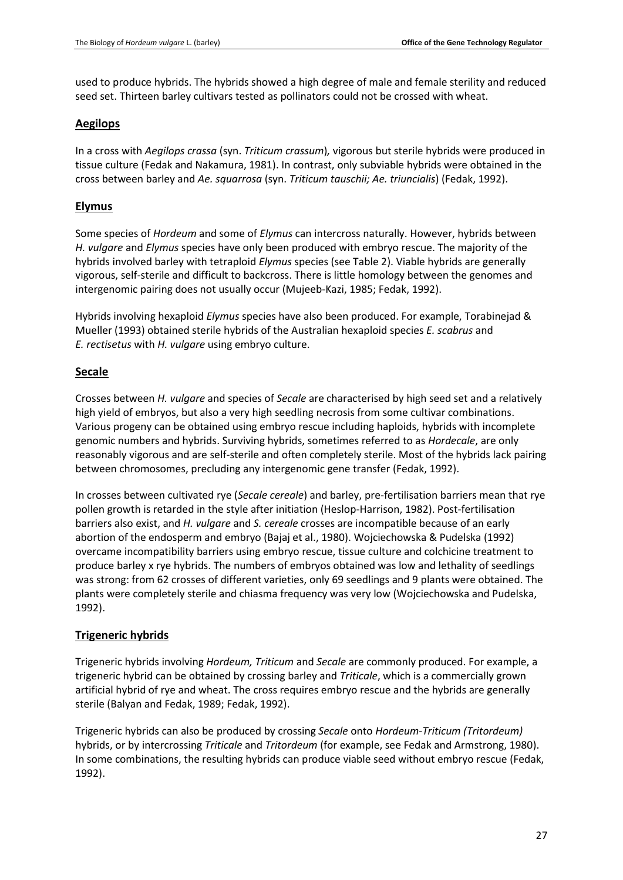used to produce hybrids. The hybrids showed a high degree of male and female sterility and reduced seed set. Thirteen barley cultivars tested as pollinators could not be crossed with wheat.

#### **Aegilops**

In a cross with *Aegilops crassa* (syn. *Triticum crassum*)*,* vigorous but sterile hybrids were produced in tissue culture (Fedak and Nakamura, 1981). In contrast, only subviable hybrids were obtained in the cross between barley and *Ae. squarrosa* (syn. *Triticum tauschii; Ae. triuncialis*) (Fedak, 1992).

#### **Elymus**

Some species of *Hordeum* and some of *Elymus* can intercross naturally. However, hybrids between *H. vulgare* and *Elymus* species have only been produced with embryo rescue. The majority of the hybrids involved barley with tetraploid *Elymus* species (see Table 2). Viable hybrids are generally vigorous, self-sterile and difficult to backcross. There is little homology between the genomes and intergenomic pairing does not usually occur (Mujeeb-Kazi, 1985; Fedak, 1992).

Hybrids involving hexaploid *Elymus* species have also been produced. For example, Torabinejad & Mueller (1993) obtained sterile hybrids of the Australian hexaploid species *E. scabrus* and *E. rectisetus* with *H. vulgare* using embryo culture.

# **Secale**

Crosses between *H. vulgare* and species of *Secale* are characterised by high seed set and a relatively high yield of embryos, but also a very high seedling necrosis from some cultivar combinations. Various progeny can be obtained using embryo rescue including haploids, hybrids with incomplete genomic numbers and hybrids. Surviving hybrids, sometimes referred to as *Hordecale*, are only reasonably vigorous and are self-sterile and often completely sterile. Most of the hybrids lack pairing between chromosomes, precluding any intergenomic gene transfer (Fedak, 1992).

In crosses between cultivated rye (*Secale cereale*) and barley, pre-fertilisation barriers mean that rye pollen growth is retarded in the style after initiation (Heslop-Harrison, 1982). Post-fertilisation barriers also exist, and *H. vulgare* and *S. cereale* crosses are incompatible because of an early abortion of the endosperm and embryo (Bajaj et al., 1980). Wojciechowska & Pudelska (1992) overcame incompatibility barriers using embryo rescue, tissue culture and colchicine treatment to produce barley x rye hybrids. The numbers of embryos obtained was low and lethality of seedlings was strong: from 62 crosses of different varieties, only 69 seedlings and 9 plants were obtained. The plants were completely sterile and chiasma frequency was very low (Wojciechowska and Pudelska, 1992).

#### **Trigeneric hybrids**

Trigeneric hybrids involving *Hordeum, Triticum* and *Secale* are commonly produced. For example, a trigeneric hybrid can be obtained by crossing barley and *Triticale*, which is a commercially grown artificial hybrid of rye and wheat. The cross requires embryo rescue and the hybrids are generally sterile (Balyan and Fedak, 1989; Fedak, 1992).

Trigeneric hybrids can also be produced by crossing *Secale* onto *Hordeum*-*Triticum (Tritordeum)* hybrids, or by intercrossing *Triticale* and *Tritordeum* (for example, see Fedak and Armstrong, 1980). In some combinations, the resulting hybrids can produce viable seed without embryo rescue (Fedak, 1992).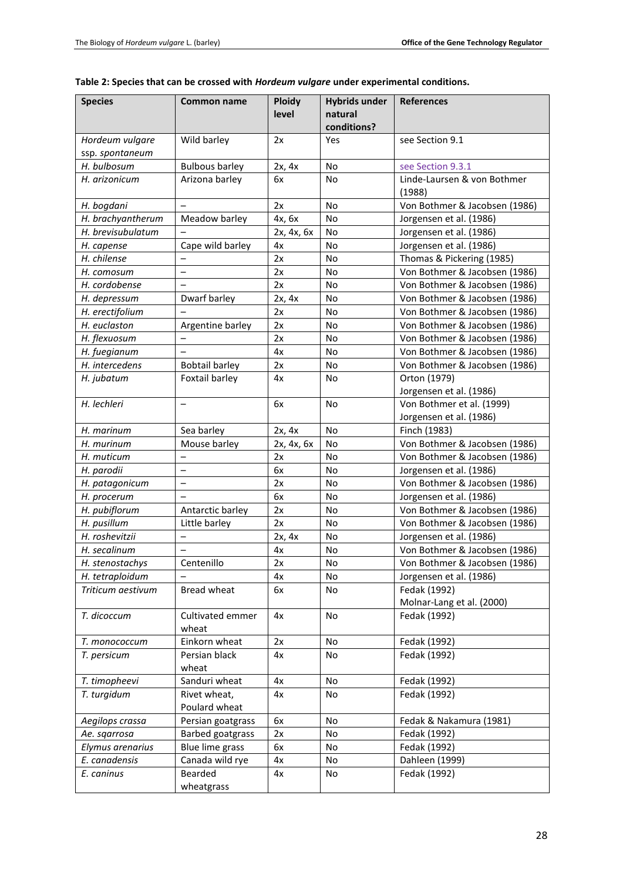| <b>Species</b>                     | <b>Common name</b>        | <b>Ploidy</b><br>level | <b>Hybrids under</b><br>natural<br>conditions? | <b>References</b>                     |
|------------------------------------|---------------------------|------------------------|------------------------------------------------|---------------------------------------|
| Hordeum vulgare<br>ssp. spontaneum | Wild barley               | 2x                     | Yes                                            | see Section 9.1                       |
| H. bulbosum                        | <b>Bulbous barley</b>     | 2x, 4x                 | No                                             | see Section 9.3.1                     |
| H. arizonicum                      | Arizona barley            | 6x                     | No                                             | Linde-Laursen & von Bothmer<br>(1988) |
| H. bogdani                         |                           | 2x                     | No                                             | Von Bothmer & Jacobsen (1986)         |
| H. brachyantherum                  | Meadow barley             | 4x, 6x                 | No                                             | Jorgensen et al. (1986)               |
| H. brevisubulatum                  |                           | 2x, 4x, 6x             | No                                             | Jorgensen et al. (1986)               |
| H. capense                         | Cape wild barley          | 4x                     | No                                             | Jorgensen et al. (1986)               |
| H. chilense                        | -                         | 2x                     | No                                             | Thomas & Pickering (1985)             |
| H. comosum                         | -                         | 2x                     | No                                             | Von Bothmer & Jacobsen (1986)         |
| H. cordobense                      |                           | 2x                     | No                                             | Von Bothmer & Jacobsen (1986)         |
| H. depressum                       | Dwarf barley              | 2x, 4x                 | No                                             | Von Bothmer & Jacobsen (1986)         |
| H. erectifolium                    |                           | 2x                     | No                                             | Von Bothmer & Jacobsen (1986)         |
| H. euclaston                       | Argentine barley          | 2x                     | No                                             | Von Bothmer & Jacobsen (1986)         |
| H. flexuosum                       |                           | 2x                     | No                                             | Von Bothmer & Jacobsen (1986)         |
| H. fuegianum                       |                           | 4x                     | No                                             | Von Bothmer & Jacobsen (1986)         |
| H. intercedens                     | <b>Bobtail barley</b>     | 2x                     | No                                             | Von Bothmer & Jacobsen (1986)         |
| H. jubatum                         | Foxtail barley            | 4x                     | No                                             | Orton (1979)                          |
|                                    |                           |                        |                                                | Jorgensen et al. (1986)               |
| H. lechleri                        | $\overline{\phantom{0}}$  | 6x                     | No                                             | Von Bothmer et al. (1999)             |
|                                    |                           |                        |                                                | Jorgensen et al. (1986)               |
| H. marinum                         | Sea barley                | 2x, 4x                 | No                                             | Finch (1983)                          |
| H. murinum                         | Mouse barley              | 2x, 4x, 6x             | No                                             | Von Bothmer & Jacobsen (1986)         |
| H. muticum                         |                           | 2x                     | No                                             | Von Bothmer & Jacobsen (1986)         |
| H. parodii                         | -                         | 6x                     | No                                             | Jorgensen et al. (1986)               |
| H. patagonicum                     | —                         | 2x                     | No                                             | Von Bothmer & Jacobsen (1986)         |
| H. procerum                        | -                         | 6x                     | No                                             | Jorgensen et al. (1986)               |
| H. pubiflorum                      | Antarctic barley          | 2x                     | No                                             | Von Bothmer & Jacobsen (1986)         |
| H. pusillum                        | Little barley             | 2x                     | No                                             | Von Bothmer & Jacobsen (1986)         |
| H. roshevitzii                     |                           | 2x, 4x                 | No                                             | Jorgensen et al. (1986)               |
| H. secalinum                       |                           | 4x                     | No                                             | Von Bothmer & Jacobsen (1986)         |
| H. stenostachys                    | Centenillo                | 2x                     | No                                             | Von Bothmer & Jacobsen (1986)         |
| H. tetraploidum                    |                           | 4x                     | No                                             | Jorgensen et al. (1986)               |
| Triticum aestivum                  | Bread wheat               | 6x                     | No                                             | Fedak (1992)                          |
|                                    |                           |                        |                                                | Molnar-Lang et al. (2000)             |
| T. dicoccum                        | Cultivated emmer<br>wheat | 4x                     | No                                             | Fedak (1992)                          |
| T. monococcum                      | Einkorn wheat             | 2x                     | No                                             | Fedak (1992)                          |
| T. persicum                        | Persian black<br>wheat    | 4x                     | No                                             | Fedak (1992)                          |
| T. timopheevi                      | Sanduri wheat             | 4x                     | No                                             | Fedak (1992)                          |
| T. turgidum                        | Rivet wheat,              | 4x                     | No                                             | Fedak (1992)                          |
|                                    | Poulard wheat             |                        |                                                |                                       |
| Aegilops crassa                    | Persian goatgrass         | 6x                     | No                                             | Fedak & Nakamura (1981)               |
| Ae. sqarrosa                       | Barbed goatgrass          | 2x                     | No                                             | Fedak (1992)                          |
| Elymus arenarius                   | Blue lime grass           | 6x                     | No                                             | Fedak (1992)                          |
| E. canadensis                      | Canada wild rye           | 4x                     | No                                             | Dahleen (1999)                        |
| E. caninus                         | Bearded                   | 4х                     | No                                             | Fedak (1992)                          |
|                                    | wheatgrass                |                        |                                                |                                       |

#### **Table 2: Species that can be crossed with** *Hordeum vulgare* **under experimental conditions.**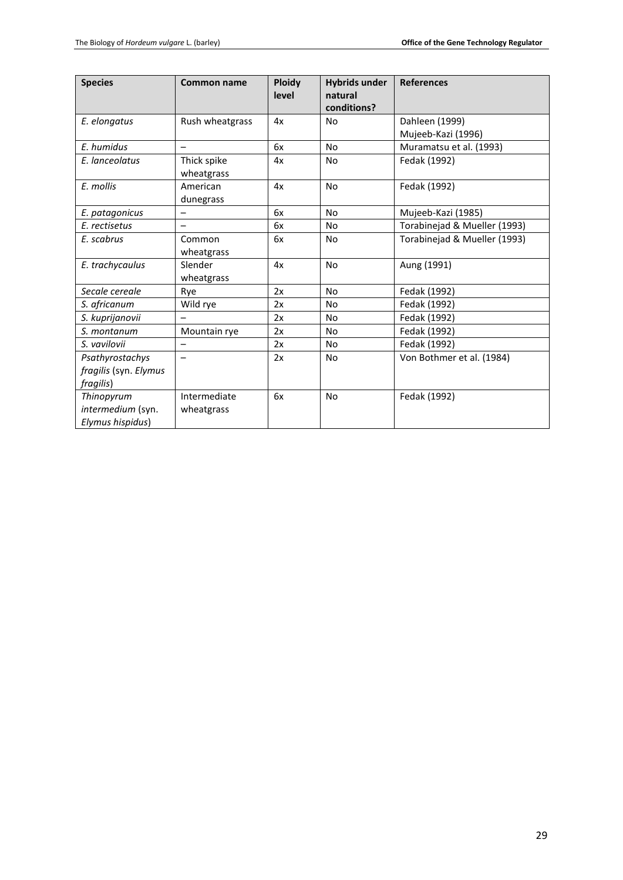| <b>Species</b>        | <b>Common name</b> | <b>Ploidy</b><br>level | <b>Hybrids under</b><br>natural<br>conditions? | <b>References</b>            |
|-----------------------|--------------------|------------------------|------------------------------------------------|------------------------------|
| E. elongatus          | Rush wheatgrass    | 4x                     | No                                             | Dahleen (1999)               |
|                       |                    |                        |                                                | Mujeeb-Kazi (1996)           |
| E. humidus            | $\equiv$           | 6x                     | <b>No</b>                                      | Muramatsu et al. (1993)      |
| E. lanceolatus        | Thick spike        | 4x                     | No                                             | Fedak (1992)                 |
|                       | wheatgrass         |                        |                                                |                              |
| E. mollis             | American           | 4x                     | <b>No</b>                                      | Fedak (1992)                 |
|                       | dunegrass          |                        |                                                |                              |
| E. patagonicus        |                    | 6x                     | No                                             | Mujeeb-Kazi (1985)           |
| E. rectisetus         | $\qquad \qquad -$  | 6x                     | No                                             | Torabinejad & Mueller (1993) |
| E. scabrus            | Common             | 6x                     | No                                             | Torabinejad & Mueller (1993) |
|                       | wheatgrass         |                        |                                                |                              |
| E. trachycaulus       | Slender            | 4x                     | No                                             | Aung (1991)                  |
|                       | wheatgrass         |                        |                                                |                              |
| Secale cereale        | Rye                | 2x                     | No                                             | Fedak (1992)                 |
| S. africanum          | Wild rye           | 2x                     | No                                             | Fedak (1992)                 |
| S. kuprijanovii       |                    | 2x                     | No                                             | Fedak (1992)                 |
| S. montanum           | Mountain rye       | 2x                     | No                                             | Fedak (1992)                 |
| S. vavilovii          | —                  | 2x                     | No                                             | Fedak (1992)                 |
| Psathyrostachys       |                    | 2x                     | No                                             | Von Bothmer et al. (1984)    |
| fragilis (syn. Elymus |                    |                        |                                                |                              |
| fragilis)             |                    |                        |                                                |                              |
| Thinopyrum            | Intermediate       | 6x                     | <b>No</b>                                      | Fedak (1992)                 |
| intermedium (syn.     | wheatgrass         |                        |                                                |                              |
| Elymus hispidus)      |                    |                        |                                                |                              |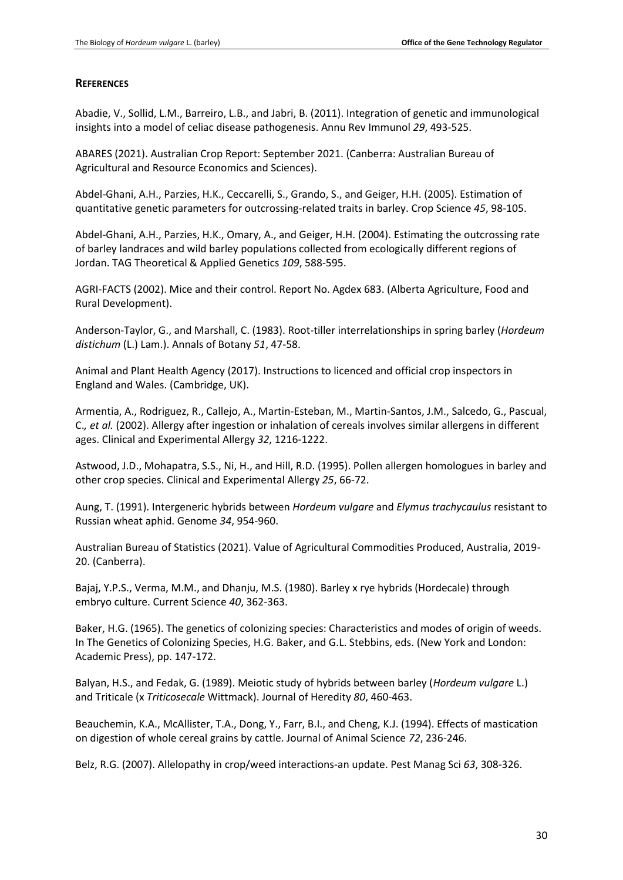#### <span id="page-33-0"></span>**REFERENCES**

Abadie, V., Sollid, L.M., Barreiro, L.B., and Jabri, B. (2011). Integration of genetic and immunological insights into a model of celiac disease pathogenesis. Annu Rev Immunol *29*, 493-525.

ABARES (2021). Australian Crop Report: September 2021. (Canberra: Australian Bureau of Agricultural and Resource Economics and Sciences).

Abdel-Ghani, A.H., Parzies, H.K., Ceccarelli, S., Grando, S., and Geiger, H.H. (2005). Estimation of quantitative genetic parameters for outcrossing-related traits in barley. Crop Science *45*, 98-105.

Abdel-Ghani, A.H., Parzies, H.K., Omary, A., and Geiger, H.H. (2004). Estimating the outcrossing rate of barley landraces and wild barley populations collected from ecologically different regions of Jordan. TAG Theoretical & Applied Genetics *109*, 588-595.

AGRI-FACTS (2002). Mice and their control. Report No. Agdex 683. (Alberta Agriculture, Food and Rural Development).

Anderson-Taylor, G., and Marshall, C. (1983). Root-tiller interrelationships in spring barley (*Hordeum distichum* (L.) Lam.). Annals of Botany *51*, 47-58.

Animal and Plant Health Agency (2017). Instructions to licenced and official crop inspectors in England and Wales. (Cambridge, UK).

Armentia, A., Rodriguez, R., Callejo, A., Martin-Esteban, M., Martin-Santos, J.M., Salcedo, G., Pascual, C.*, et al.* (2002). Allergy after ingestion or inhalation of cereals involves similar allergens in different ages. Clinical and Experimental Allergy *32*, 1216-1222.

Astwood, J.D., Mohapatra, S.S., Ni, H., and Hill, R.D. (1995). Pollen allergen homologues in barley and other crop species. Clinical and Experimental Allergy *25*, 66-72.

Aung, T. (1991). Intergeneric hybrids between *Hordeum vulgare* and *Elymus trachycaulus* resistant to Russian wheat aphid. Genome *34*, 954-960.

Australian Bureau of Statistics (2021). Value of Agricultural Commodities Produced, Australia, 2019- 20. (Canberra).

Bajaj, Y.P.S., Verma, M.M., and Dhanju, M.S. (1980). Barley x rye hybrids (Hordecale) through embryo culture. Current Science *40*, 362-363.

Baker, H.G. (1965). The genetics of colonizing species: Characteristics and modes of origin of weeds. In The Genetics of Colonizing Species, H.G. Baker, and G.L. Stebbins, eds. (New York and London: Academic Press), pp. 147-172.

Balyan, H.S., and Fedak, G. (1989). Meiotic study of hybrids between barley (*Hordeum vulgare* L.) and Triticale (x *Triticosecale* Wittmack). Journal of Heredity *80*, 460-463.

Beauchemin, K.A., McAllister, T.A., Dong, Y., Farr, B.I., and Cheng, K.J. (1994). Effects of mastication on digestion of whole cereal grains by cattle. Journal of Animal Science *72*, 236-246.

Belz, R.G. (2007). Allelopathy in crop/weed interactions-an update. Pest Manag Sci *63*, 308-326.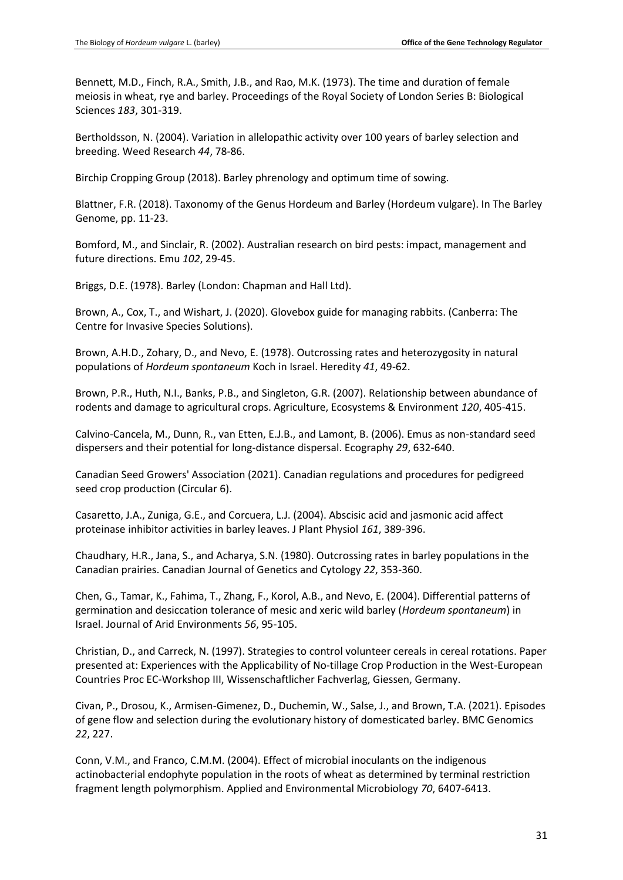Bennett, M.D., Finch, R.A., Smith, J.B., and Rao, M.K. (1973). The time and duration of female meiosis in wheat, rye and barley. Proceedings of the Royal Society of London Series B: Biological Sciences *183*, 301-319.

Bertholdsson, N. (2004). Variation in allelopathic activity over 100 years of barley selection and breeding. Weed Research *44*, 78-86.

Birchip Cropping Group (2018). Barley phrenology and optimum time of sowing.

Blattner, F.R. (2018). Taxonomy of the Genus Hordeum and Barley (Hordeum vulgare). In The Barley Genome, pp. 11-23.

Bomford, M., and Sinclair, R. (2002). Australian research on bird pests: impact, management and future directions. Emu *102*, 29-45.

Briggs, D.E. (1978). Barley (London: Chapman and Hall Ltd).

Brown, A., Cox, T., and Wishart, J. (2020). Glovebox guide for managing rabbits. (Canberra: The Centre for Invasive Species Solutions).

Brown, A.H.D., Zohary, D., and Nevo, E. (1978). Outcrossing rates and heterozygosity in natural populations of *Hordeum spontaneum* Koch in Israel. Heredity *41*, 49-62.

Brown, P.R., Huth, N.I., Banks, P.B., and Singleton, G.R. (2007). Relationship between abundance of rodents and damage to agricultural crops. Agriculture, Ecosystems & Environment *120*, 405-415.

Calvino-Cancela, M., Dunn, R., van Etten, E.J.B., and Lamont, B. (2006). Emus as non-standard seed dispersers and their potential for long-distance dispersal. Ecography *29*, 632-640.

Canadian Seed Growers' Association (2021). Canadian regulations and procedures for pedigreed seed crop production (Circular 6).

Casaretto, J.A., Zuniga, G.E., and Corcuera, L.J. (2004). Abscisic acid and jasmonic acid affect proteinase inhibitor activities in barley leaves. J Plant Physiol *161*, 389-396.

Chaudhary, H.R., Jana, S., and Acharya, S.N. (1980). Outcrossing rates in barley populations in the Canadian prairies. Canadian Journal of Genetics and Cytology *22*, 353-360.

Chen, G., Tamar, K., Fahima, T., Zhang, F., Korol, A.B., and Nevo, E. (2004). Differential patterns of germination and desiccation tolerance of mesic and xeric wild barley (*Hordeum spontaneum*) in Israel. Journal of Arid Environments *56*, 95-105.

Christian, D., and Carreck, N. (1997). Strategies to control volunteer cereals in cereal rotations. Paper presented at: Experiences with the Applicability of No-tillage Crop Production in the West-European Countries Proc EC-Workshop III, Wissenschaftlicher Fachverlag, Giessen, Germany.

Civan, P., Drosou, K., Armisen-Gimenez, D., Duchemin, W., Salse, J., and Brown, T.A. (2021). Episodes of gene flow and selection during the evolutionary history of domesticated barley. BMC Genomics *22*, 227.

Conn, V.M., and Franco, C.M.M. (2004). Effect of microbial inoculants on the indigenous actinobacterial endophyte population in the roots of wheat as determined by terminal restriction fragment length polymorphism. Applied and Environmental Microbiology *70*, 6407-6413.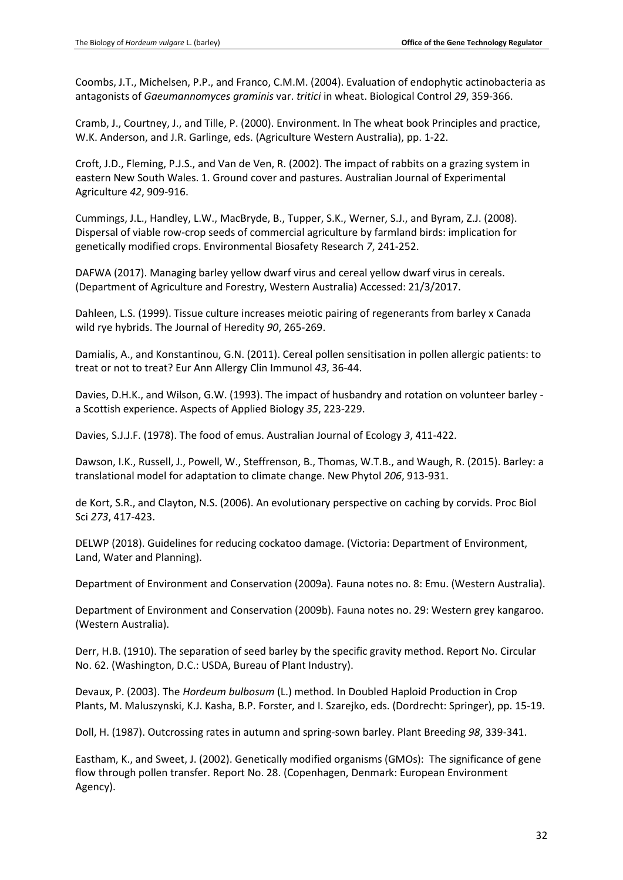Coombs, J.T., Michelsen, P.P., and Franco, C.M.M. (2004). Evaluation of endophytic actinobacteria as antagonists of *Gaeumannomyces graminis* var. *tritici* in wheat. Biological Control *29*, 359-366.

Cramb, J., Courtney, J., and Tille, P. (2000). Environment. In The wheat book Principles and practice, W.K. Anderson, and J.R. Garlinge, eds. (Agriculture Western Australia), pp. 1-22.

Croft, J.D., Fleming, P.J.S., and Van de Ven, R. (2002). The impact of rabbits on a grazing system in eastern New South Wales. 1. Ground cover and pastures. Australian Journal of Experimental Agriculture *42*, 909-916.

Cummings, J.L., Handley, L.W., MacBryde, B., Tupper, S.K., Werner, S.J., and Byram, Z.J. (2008). Dispersal of viable row-crop seeds of commercial agriculture by farmland birds: implication for genetically modified crops. Environmental Biosafety Research *7*, 241-252.

DAFWA (2017). Managing barley yellow dwarf virus and cereal yellow dwarf virus in cereals. (Department of Agriculture and Forestry, Western Australia) Accessed: 21/3/2017.

Dahleen, L.S. (1999). Tissue culture increases meiotic pairing of regenerants from barley x Canada wild rye hybrids. The Journal of Heredity *90*, 265-269.

Damialis, A., and Konstantinou, G.N. (2011). Cereal pollen sensitisation in pollen allergic patients: to treat or not to treat? Eur Ann Allergy Clin Immunol *43*, 36-44.

Davies, D.H.K., and Wilson, G.W. (1993). The impact of husbandry and rotation on volunteer barley a Scottish experience. Aspects of Applied Biology *35*, 223-229.

Davies, S.J.J.F. (1978). The food of emus. Australian Journal of Ecology *3*, 411-422.

Dawson, I.K., Russell, J., Powell, W., Steffrenson, B., Thomas, W.T.B., and Waugh, R. (2015). Barley: a translational model for adaptation to climate change. New Phytol *206*, 913-931.

de Kort, S.R., and Clayton, N.S. (2006). An evolutionary perspective on caching by corvids. Proc Biol Sci *273*, 417-423.

DELWP (2018). Guidelines for reducing cockatoo damage. (Victoria: Department of Environment, Land, Water and Planning).

Department of Environment and Conservation (2009a). Fauna notes no. 8: Emu. (Western Australia).

Department of Environment and Conservation (2009b). Fauna notes no. 29: Western grey kangaroo. (Western Australia).

Derr, H.B. (1910). The separation of seed barley by the specific gravity method. Report No. Circular No. 62. (Washington, D.C.: USDA, Bureau of Plant Industry).

Devaux, P. (2003). The *Hordeum bulbosum* (L.) method. In Doubled Haploid Production in Crop Plants, M. Maluszynski, K.J. Kasha, B.P. Forster, and I. Szarejko, eds. (Dordrecht: Springer), pp. 15-19.

Doll, H. (1987). Outcrossing rates in autumn and spring-sown barley. Plant Breeding *98*, 339-341.

Eastham, K., and Sweet, J. (2002). Genetically modified organisms (GMOs): The significance of gene flow through pollen transfer. Report No. 28. (Copenhagen, Denmark: European Environment Agency).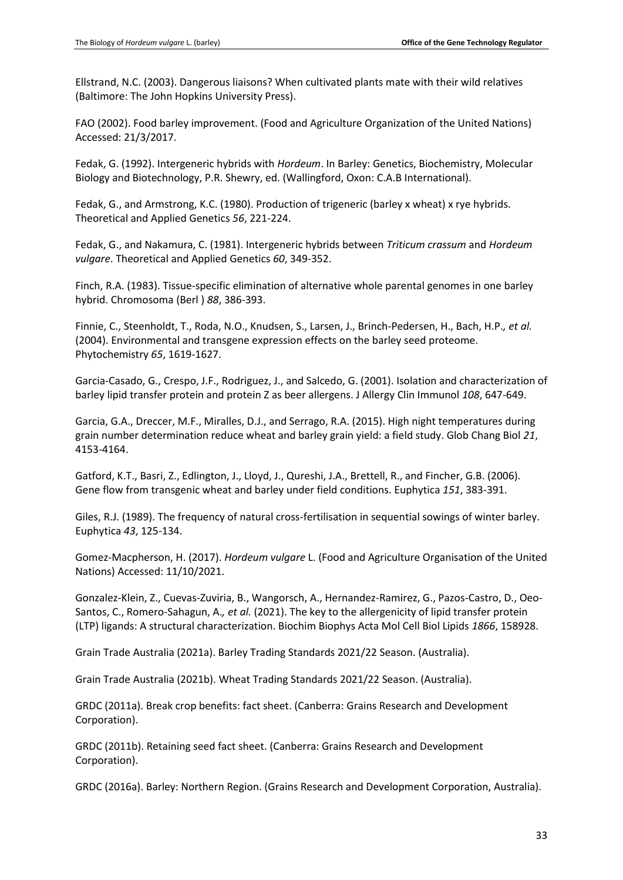Ellstrand, N.C. (2003). Dangerous liaisons? When cultivated plants mate with their wild relatives (Baltimore: The John Hopkins University Press).

FAO (2002). Food barley improvement. (Food and Agriculture Organization of the United Nations) Accessed: 21/3/2017.

Fedak, G. (1992). Intergeneric hybrids with *Hordeum*. In Barley: Genetics, Biochemistry, Molecular Biology and Biotechnology, P.R. Shewry, ed. (Wallingford, Oxon: C.A.B International).

Fedak, G., and Armstrong, K.C. (1980). Production of trigeneric (barley x wheat) x rye hybrids. Theoretical and Applied Genetics *56*, 221-224.

Fedak, G., and Nakamura, C. (1981). Intergeneric hybrids between *Triticum crassum* and *Hordeum vulgare*. Theoretical and Applied Genetics *60*, 349-352.

Finch, R.A. (1983). Tissue-specific elimination of alternative whole parental genomes in one barley hybrid. Chromosoma (Berl ) *88*, 386-393.

Finnie, C., Steenholdt, T., Roda, N.O., Knudsen, S., Larsen, J., Brinch-Pedersen, H., Bach, H.P.*, et al.* (2004). Environmental and transgene expression effects on the barley seed proteome. Phytochemistry *65*, 1619-1627.

Garcia-Casado, G., Crespo, J.F., Rodriguez, J., and Salcedo, G. (2001). Isolation and characterization of barley lipid transfer protein and protein Z as beer allergens. J Allergy Clin Immunol *108*, 647-649.

Garcia, G.A., Dreccer, M.F., Miralles, D.J., and Serrago, R.A. (2015). High night temperatures during grain number determination reduce wheat and barley grain yield: a field study. Glob Chang Biol *21*, 4153-4164.

Gatford, K.T., Basri, Z., Edlington, J., Lloyd, J., Qureshi, J.A., Brettell, R., and Fincher, G.B. (2006). Gene flow from transgenic wheat and barley under field conditions. Euphytica *151*, 383-391.

Giles, R.J. (1989). The frequency of natural cross-fertilisation in sequential sowings of winter barley. Euphytica *43*, 125-134.

Gomez-Macpherson, H. (2017). *Hordeum vulgare* L. (Food and Agriculture Organisation of the United Nations) Accessed: 11/10/2021.

Gonzalez-Klein, Z., Cuevas-Zuviria, B., Wangorsch, A., Hernandez-Ramirez, G., Pazos-Castro, D., Oeo-Santos, C., Romero-Sahagun, A.*, et al.* (2021). The key to the allergenicity of lipid transfer protein (LTP) ligands: A structural characterization. Biochim Biophys Acta Mol Cell Biol Lipids *1866*, 158928.

Grain Trade Australia (2021a). Barley Trading Standards 2021/22 Season. (Australia).

Grain Trade Australia (2021b). Wheat Trading Standards 2021/22 Season. (Australia).

GRDC (2011a). Break crop benefits: fact sheet. (Canberra: Grains Research and Development Corporation).

GRDC (2011b). Retaining seed fact sheet. (Canberra: Grains Research and Development Corporation).

GRDC (2016a). Barley: Northern Region. (Grains Research and Development Corporation, Australia).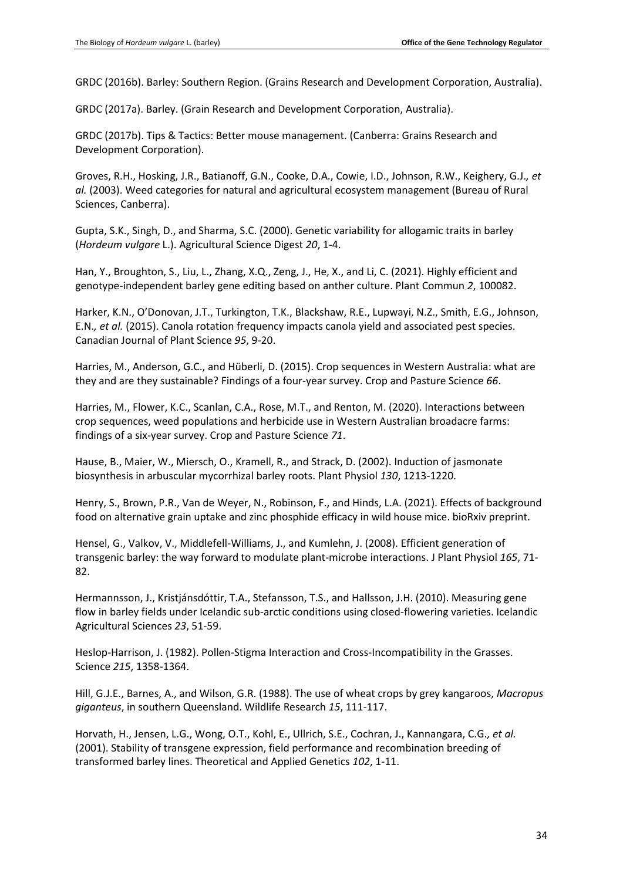GRDC (2016b). Barley: Southern Region. (Grains Research and Development Corporation, Australia).

GRDC (2017a). Barley. (Grain Research and Development Corporation, Australia).

GRDC (2017b). Tips & Tactics: Better mouse management. (Canberra: Grains Research and Development Corporation).

Groves, R.H., Hosking, J.R., Batianoff, G.N., Cooke, D.A., Cowie, I.D., Johnson, R.W., Keighery, G.J.*, et al.* (2003). Weed categories for natural and agricultural ecosystem management (Bureau of Rural Sciences, Canberra).

Gupta, S.K., Singh, D., and Sharma, S.C. (2000). Genetic variability for allogamic traits in barley (*Hordeum vulgare* L.). Agricultural Science Digest *20*, 1-4.

Han, Y., Broughton, S., Liu, L., Zhang, X.Q., Zeng, J., He, X., and Li, C. (2021). Highly efficient and genotype-independent barley gene editing based on anther culture. Plant Commun *2*, 100082.

Harker, K.N., O'Donovan, J.T., Turkington, T.K., Blackshaw, R.E., Lupwayi, N.Z., Smith, E.G., Johnson, E.N.*, et al.* (2015). Canola rotation frequency impacts canola yield and associated pest species. Canadian Journal of Plant Science *95*, 9-20.

Harries, M., Anderson, G.C., and Hüberli, D. (2015). Crop sequences in Western Australia: what are they and are they sustainable? Findings of a four-year survey. Crop and Pasture Science *66*.

Harries, M., Flower, K.C., Scanlan, C.A., Rose, M.T., and Renton, M. (2020). Interactions between crop sequences, weed populations and herbicide use in Western Australian broadacre farms: findings of a six-year survey. Crop and Pasture Science *71*.

Hause, B., Maier, W., Miersch, O., Kramell, R., and Strack, D. (2002). Induction of jasmonate biosynthesis in arbuscular mycorrhizal barley roots. Plant Physiol *130*, 1213-1220.

Henry, S., Brown, P.R., Van de Weyer, N., Robinson, F., and Hinds, L.A. (2021). Effects of background food on alternative grain uptake and zinc phosphide efficacy in wild house mice. bioRxiv preprint.

Hensel, G., Valkov, V., Middlefell-Williams, J., and Kumlehn, J. (2008). Efficient generation of transgenic barley: the way forward to modulate plant-microbe interactions. J Plant Physiol *165*, 71- 82.

Hermannsson, J., Kristjánsdóttir, T.A., Stefansson, T.S., and Hallsson, J.H. (2010). Measuring gene flow in barley fields under Icelandic sub-arctic conditions using closed-flowering varieties. Icelandic Agricultural Sciences *23*, 51-59.

Heslop-Harrison, J. (1982). Pollen-Stigma Interaction and Cross-Incompatibility in the Grasses. Science *215*, 1358-1364.

Hill, G.J.E., Barnes, A., and Wilson, G.R. (1988). The use of wheat crops by grey kangaroos, *Macropus giganteus*, in southern Queensland. Wildlife Research *15*, 111-117.

Horvath, H., Jensen, L.G., Wong, O.T., Kohl, E., Ullrich, S.E., Cochran, J., Kannangara, C.G.*, et al.* (2001). Stability of transgene expression, field performance and recombination breeding of transformed barley lines. Theoretical and Applied Genetics *102*, 1-11.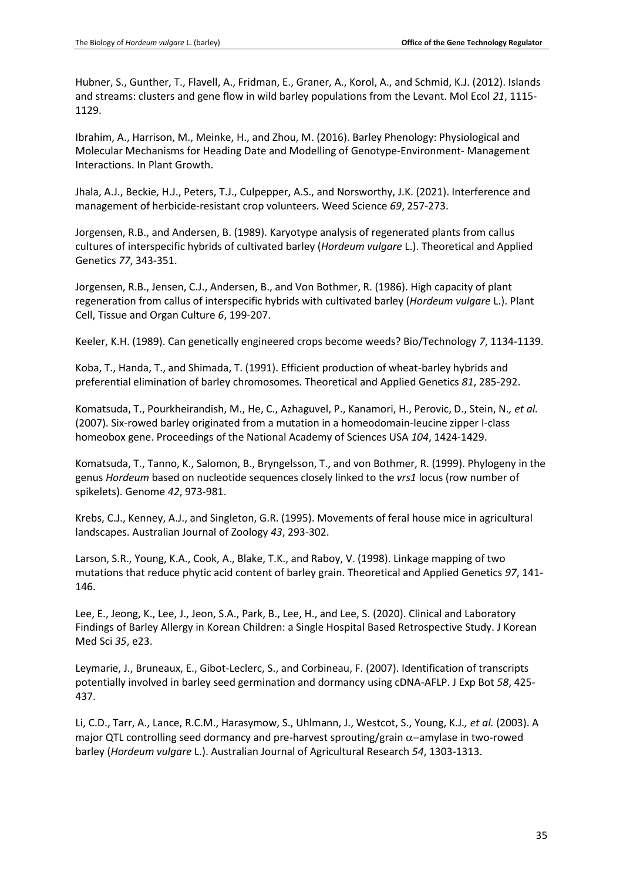Hubner, S., Gunther, T., Flavell, A., Fridman, E., Graner, A., Korol, A., and Schmid, K.J. (2012). Islands and streams: clusters and gene flow in wild barley populations from the Levant. Mol Ecol *21*, 1115- 1129.

Ibrahim, A., Harrison, M., Meinke, H., and Zhou, M. (2016). Barley Phenology: Physiological and Molecular Mechanisms for Heading Date and Modelling of Genotype‐Environment‐ Management Interactions. In Plant Growth.

Jhala, A.J., Beckie, H.J., Peters, T.J., Culpepper, A.S., and Norsworthy, J.K. (2021). Interference and management of herbicide-resistant crop volunteers. Weed Science *69*, 257-273.

Jorgensen, R.B., and Andersen, B. (1989). Karyotype analysis of regenerated plants from callus cultures of interspecific hybrids of cultivated barley (*Hordeum vulgare* L.). Theoretical and Applied Genetics *77*, 343-351.

Jorgensen, R.B., Jensen, C.J., Andersen, B., and Von Bothmer, R. (1986). High capacity of plant regeneration from callus of interspecific hybrids with cultivated barley (*Hordeum vulgare* L.). Plant Cell, Tissue and Organ Culture *6*, 199-207.

Keeler, K.H. (1989). Can genetically engineered crops become weeds? Bio/Technology *7*, 1134-1139.

Koba, T., Handa, T., and Shimada, T. (1991). Efficient production of wheat-barley hybrids and preferential elimination of barley chromosomes. Theoretical and Applied Genetics *81*, 285-292.

Komatsuda, T., Pourkheirandish, M., He, C., Azhaguvel, P., Kanamori, H., Perovic, D., Stein, N.*, et al.* (2007). Six-rowed barley originated from a mutation in a homeodomain-leucine zipper I-class homeobox gene. Proceedings of the National Academy of Sciences USA *104*, 1424-1429.

Komatsuda, T., Tanno, K., Salomon, B., Bryngelsson, T., and von Bothmer, R. (1999). Phylogeny in the genus *Hordeum* based on nucleotide sequences closely linked to the *vrs1* locus (row number of spikelets). Genome *42*, 973-981.

Krebs, C.J., Kenney, A.J., and Singleton, G.R. (1995). Movements of feral house mice in agricultural landscapes. Australian Journal of Zoology *43*, 293-302.

Larson, S.R., Young, K.A., Cook, A., Blake, T.K., and Raboy, V. (1998). Linkage mapping of two mutations that reduce phytic acid content of barley grain. Theoretical and Applied Genetics *97*, 141- 146.

Lee, E., Jeong, K., Lee, J., Jeon, S.A., Park, B., Lee, H., and Lee, S. (2020). Clinical and Laboratory Findings of Barley Allergy in Korean Children: a Single Hospital Based Retrospective Study. J Korean Med Sci *35*, e23.

Leymarie, J., Bruneaux, E., Gibot-Leclerc, S., and Corbineau, F. (2007). Identification of transcripts potentially involved in barley seed germination and dormancy using cDNA-AFLP. J Exp Bot *58*, 425- 437.

Li, C.D., Tarr, A., Lance, R.C.M., Harasymow, S., Uhlmann, J., Westcot, S., Young, K.J.*, et al.* (2003). A major QTL controlling seed dormancy and pre-harvest sprouting/grain α-amylase in two-rowed barley (*Hordeum vulgare* L.). Australian Journal of Agricultural Research *54*, 1303-1313.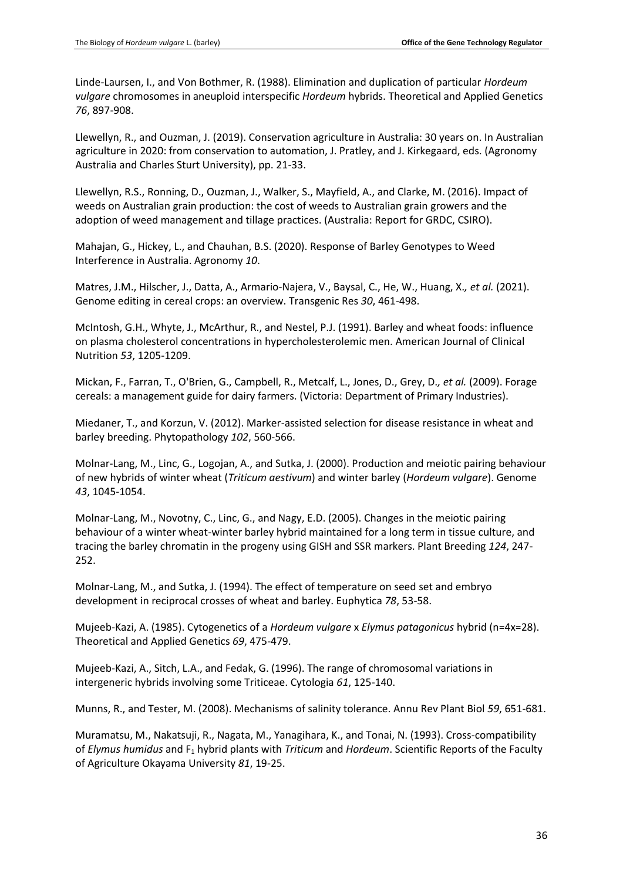Linde-Laursen, I., and Von Bothmer, R. (1988). Elimination and duplication of particular *Hordeum vulgare* chromosomes in aneuploid interspecific *Hordeum* hybrids. Theoretical and Applied Genetics *76*, 897-908.

Llewellyn, R., and Ouzman, J. (2019). Conservation agriculture in Australia: 30 years on. In Australian agriculture in 2020: from conservation to automation, J. Pratley, and J. Kirkegaard, eds. (Agronomy Australia and Charles Sturt University), pp. 21-33.

Llewellyn, R.S., Ronning, D., Ouzman, J., Walker, S., Mayfield, A., and Clarke, M. (2016). Impact of weeds on Australian grain production: the cost of weeds to Australian grain growers and the adoption of weed management and tillage practices. (Australia: Report for GRDC, CSIRO).

Mahajan, G., Hickey, L., and Chauhan, B.S. (2020). Response of Barley Genotypes to Weed Interference in Australia. Agronomy *10*.

Matres, J.M., Hilscher, J., Datta, A., Armario-Najera, V., Baysal, C., He, W., Huang, X.*, et al.* (2021). Genome editing in cereal crops: an overview. Transgenic Res *30*, 461-498.

McIntosh, G.H., Whyte, J., McArthur, R., and Nestel, P.J. (1991). Barley and wheat foods: influence on plasma cholesterol concentrations in hypercholesterolemic men. American Journal of Clinical Nutrition *53*, 1205-1209.

Mickan, F., Farran, T., O'Brien, G., Campbell, R., Metcalf, L., Jones, D., Grey, D.*, et al.* (2009). Forage cereals: a management guide for dairy farmers. (Victoria: Department of Primary Industries).

Miedaner, T., and Korzun, V. (2012). Marker-assisted selection for disease resistance in wheat and barley breeding. Phytopathology *102*, 560-566.

Molnar-Lang, M., Linc, G., Logojan, A., and Sutka, J. (2000). Production and meiotic pairing behaviour of new hybrids of winter wheat (*Triticum aestivum*) and winter barley (*Hordeum vulgare*). Genome *43*, 1045-1054.

Molnar-Lang, M., Novotny, C., Linc, G., and Nagy, E.D. (2005). Changes in the meiotic pairing behaviour of a winter wheat-winter barley hybrid maintained for a long term in tissue culture, and tracing the barley chromatin in the progeny using GISH and SSR markers. Plant Breeding *124*, 247- 252.

Molnar-Lang, M., and Sutka, J. (1994). The effect of temperature on seed set and embryo development in reciprocal crosses of wheat and barley. Euphytica *78*, 53-58.

Mujeeb-Kazi, A. (1985). Cytogenetics of a *Hordeum vulgare* x *Elymus patagonicus* hybrid (n=4x=28). Theoretical and Applied Genetics *69*, 475-479.

Mujeeb-Kazi, A., Sitch, L.A., and Fedak, G. (1996). The range of chromosomal variations in intergeneric hybrids involving some Triticeae. Cytologia *61*, 125-140.

Munns, R., and Tester, M. (2008). Mechanisms of salinity tolerance. Annu Rev Plant Biol *59*, 651-681.

Muramatsu, M., Nakatsuji, R., Nagata, M., Yanagihara, K., and Tonai, N. (1993). Cross-compatibility of *Elymus humidus* and F<sup>1</sup> hybrid plants with *Triticum* and *Hordeum*. Scientific Reports of the Faculty of Agriculture Okayama University *81*, 19-25.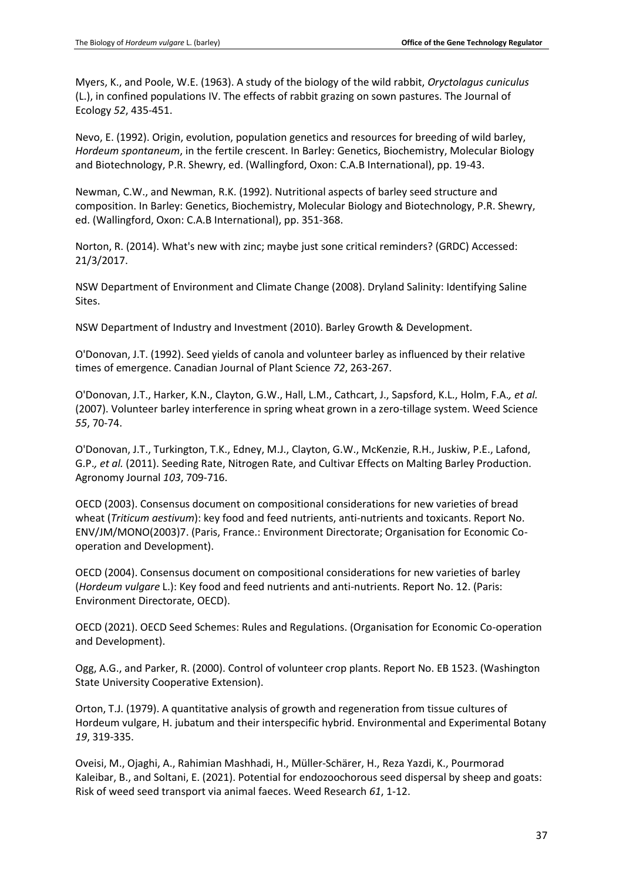Myers, K., and Poole, W.E. (1963). A study of the biology of the wild rabbit, *Oryctolagus cuniculus* (L.), in confined populations IV. The effects of rabbit grazing on sown pastures. The Journal of Ecology *52*, 435-451.

Nevo, E. (1992). Origin, evolution, population genetics and resources for breeding of wild barley, *Hordeum spontaneum*, in the fertile crescent. In Barley: Genetics, Biochemistry, Molecular Biology and Biotechnology, P.R. Shewry, ed. (Wallingford, Oxon: C.A.B International), pp. 19-43.

Newman, C.W., and Newman, R.K. (1992). Nutritional aspects of barley seed structure and composition. In Barley: Genetics, Biochemistry, Molecular Biology and Biotechnology, P.R. Shewry, ed. (Wallingford, Oxon: C.A.B International), pp. 351-368.

Norton, R. (2014). What's new with zinc; maybe just sone critical reminders? (GRDC) Accessed: 21/3/2017.

NSW Department of Environment and Climate Change (2008). Dryland Salinity: Identifying Saline Sites.

NSW Department of Industry and Investment (2010). Barley Growth & Development.

O'Donovan, J.T. (1992). Seed yields of canola and volunteer barley as influenced by their relative times of emergence. Canadian Journal of Plant Science *72*, 263-267.

O'Donovan, J.T., Harker, K.N., Clayton, G.W., Hall, L.M., Cathcart, J., Sapsford, K.L., Holm, F.A.*, et al.* (2007). Volunteer barley interference in spring wheat grown in a zero-tillage system. Weed Science *55*, 70-74.

O'Donovan, J.T., Turkington, T.K., Edney, M.J., Clayton, G.W., McKenzie, R.H., Juskiw, P.E., Lafond, G.P.*, et al.* (2011). Seeding Rate, Nitrogen Rate, and Cultivar Effects on Malting Barley Production. Agronomy Journal *103*, 709-716.

OECD (2003). Consensus document on compositional considerations for new varieties of bread wheat (*Triticum aestivum*): key food and feed nutrients, anti-nutrients and toxicants. Report No. ENV/JM/MONO(2003)7. (Paris, France.: Environment Directorate; Organisation for Economic Cooperation and Development).

OECD (2004). Consensus document on compositional considerations for new varieties of barley (*Hordeum vulgare* L.): Key food and feed nutrients and anti-nutrients. Report No. 12. (Paris: Environment Directorate, OECD).

OECD (2021). OECD Seed Schemes: Rules and Regulations. (Organisation for Economic Co-operation and Development).

Ogg, A.G., and Parker, R. (2000). Control of volunteer crop plants. Report No. EB 1523. (Washington State University Cooperative Extension).

Orton, T.J. (1979). A quantitative analysis of growth and regeneration from tissue cultures of Hordeum vulgare, H. jubatum and their interspecific hybrid. Environmental and Experimental Botany *19*, 319-335.

Oveisi, M., Ojaghi, A., Rahimian Mashhadi, H., Müller‐Schärer, H., Reza Yazdi, K., Pourmorad Kaleibar, B., and Soltani, E. (2021). Potential for endozoochorous seed dispersal by sheep and goats: Risk of weed seed transport via animal faeces. Weed Research *61*, 1-12.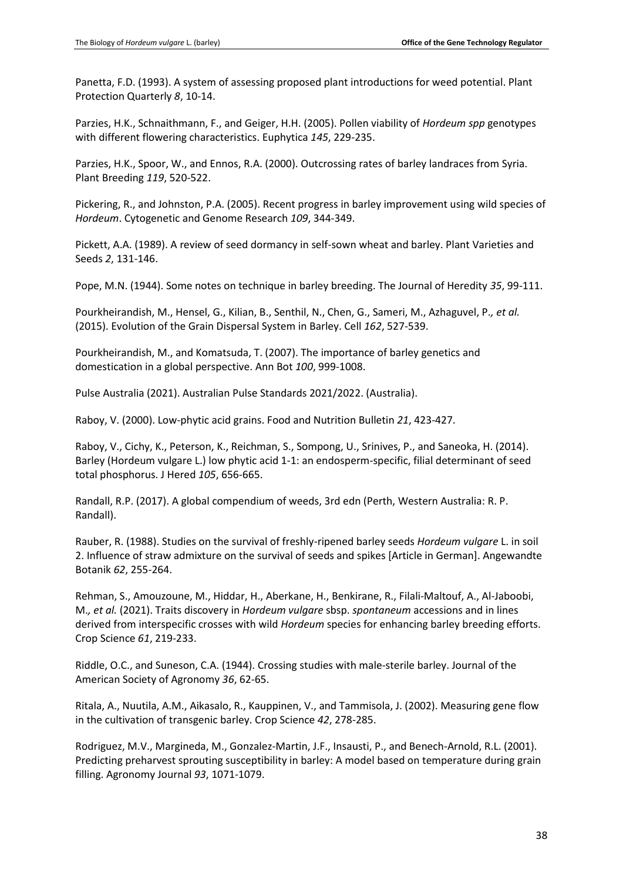Panetta, F.D. (1993). A system of assessing proposed plant introductions for weed potential. Plant Protection Quarterly *8*, 10-14.

Parzies, H.K., Schnaithmann, F., and Geiger, H.H. (2005). Pollen viability of *Hordeum spp* genotypes with different flowering characteristics. Euphytica *145*, 229-235.

Parzies, H.K., Spoor, W., and Ennos, R.A. (2000). Outcrossing rates of barley landraces from Syria. Plant Breeding *119*, 520-522.

Pickering, R., and Johnston, P.A. (2005). Recent progress in barley improvement using wild species of *Hordeum*. Cytogenetic and Genome Research *109*, 344-349.

Pickett, A.A. (1989). A review of seed dormancy in self-sown wheat and barley. Plant Varieties and Seeds *2*, 131-146.

Pope, M.N. (1944). Some notes on technique in barley breeding. The Journal of Heredity *35*, 99-111.

Pourkheirandish, M., Hensel, G., Kilian, B., Senthil, N., Chen, G., Sameri, M., Azhaguvel, P.*, et al.* (2015). Evolution of the Grain Dispersal System in Barley. Cell *162*, 527-539.

Pourkheirandish, M., and Komatsuda, T. (2007). The importance of barley genetics and domestication in a global perspective. Ann Bot *100*, 999-1008.

Pulse Australia (2021). Australian Pulse Standards 2021/2022. (Australia).

Raboy, V. (2000). Low-phytic acid grains. Food and Nutrition Bulletin *21*, 423-427.

Raboy, V., Cichy, K., Peterson, K., Reichman, S., Sompong, U., Srinives, P., and Saneoka, H. (2014). Barley (Hordeum vulgare L.) low phytic acid 1-1: an endosperm-specific, filial determinant of seed total phosphorus. J Hered *105*, 656-665.

Randall, R.P. (2017). A global compendium of weeds, 3rd edn (Perth, Western Australia: R. P. Randall).

Rauber, R. (1988). Studies on the survival of freshly-ripened barley seeds *Hordeum vulgare* L. in soil 2. Influence of straw admixture on the survival of seeds and spikes [Article in German]. Angewandte Botanik *62*, 255-264.

Rehman, S., Amouzoune, M., Hiddar, H., Aberkane, H., Benkirane, R., Filali‐Maltouf, A., Al‐Jaboobi, M.*, et al.* (2021). Traits discovery in *Hordeum vulgare* sbsp. *spontaneum* accessions and in lines derived from interspecific crosses with wild *Hordeum* species for enhancing barley breeding efforts. Crop Science *61*, 219-233.

Riddle, O.C., and Suneson, C.A. (1944). Crossing studies with male-sterile barley. Journal of the American Society of Agronomy *36*, 62-65.

Ritala, A., Nuutila, A.M., Aikasalo, R., Kauppinen, V., and Tammisola, J. (2002). Measuring gene flow in the cultivation of transgenic barley. Crop Science *42*, 278-285.

Rodriguez, M.V., Margineda, M., Gonzalez-Martin, J.F., Insausti, P., and Benech-Arnold, R.L. (2001). Predicting preharvest sprouting susceptibility in barley: A model based on temperature during grain filling. Agronomy Journal *93*, 1071-1079.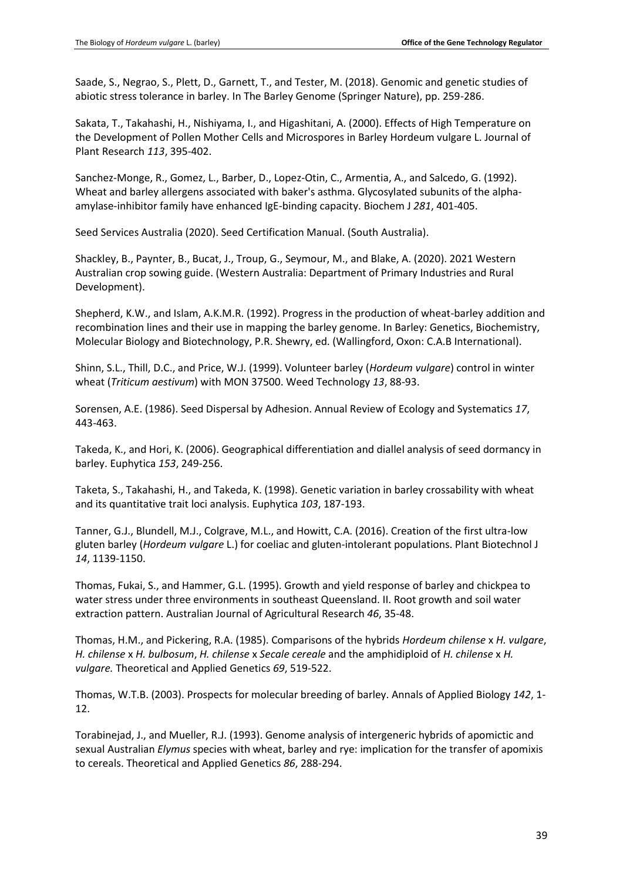Saade, S., Negrao, S., Plett, D., Garnett, T., and Tester, M. (2018). Genomic and genetic studies of abiotic stress tolerance in barley. In The Barley Genome (Springer Nature), pp. 259-286.

Sakata, T., Takahashi, H., Nishiyama, I., and Higashitani, A. (2000). Effects of High Temperature on the Development of Pollen Mother Cells and Microspores in Barley Hordeum vulgare L. Journal of Plant Research *113*, 395-402.

Sanchez-Monge, R., Gomez, L., Barber, D., Lopez-Otin, C., Armentia, A., and Salcedo, G. (1992). Wheat and barley allergens associated with baker's asthma. Glycosylated subunits of the alphaamylase-inhibitor family have enhanced IgE-binding capacity. Biochem J *281*, 401-405.

Seed Services Australia (2020). Seed Certification Manual. (South Australia).

Shackley, B., Paynter, B., Bucat, J., Troup, G., Seymour, M., and Blake, A. (2020). 2021 Western Australian crop sowing guide. (Western Australia: Department of Primary Industries and Rural Development).

Shepherd, K.W., and Islam, A.K.M.R. (1992). Progress in the production of wheat-barley addition and recombination lines and their use in mapping the barley genome. In Barley: Genetics, Biochemistry, Molecular Biology and Biotechnology, P.R. Shewry, ed. (Wallingford, Oxon: C.A.B International).

Shinn, S.L., Thill, D.C., and Price, W.J. (1999). Volunteer barley (*Hordeum vulgare*) control in winter wheat (*Triticum aestivum*) with MON 37500. Weed Technology *13*, 88-93.

Sorensen, A.E. (1986). Seed Dispersal by Adhesion. Annual Review of Ecology and Systematics *17*, 443-463.

Takeda, K., and Hori, K. (2006). Geographical differentiation and diallel analysis of seed dormancy in barley. Euphytica *153*, 249-256.

Taketa, S., Takahashi, H., and Takeda, K. (1998). Genetic variation in barley crossability with wheat and its quantitative trait loci analysis. Euphytica *103*, 187-193.

Tanner, G.J., Blundell, M.J., Colgrave, M.L., and Howitt, C.A. (2016). Creation of the first ultra-low gluten barley (*Hordeum vulgare* L.) for coeliac and gluten-intolerant populations. Plant Biotechnol J *14*, 1139-1150.

Thomas, Fukai, S., and Hammer, G.L. (1995). Growth and yield response of barley and chickpea to water stress under three environments in southeast Queensland. II. Root growth and soil water extraction pattern. Australian Journal of Agricultural Research *46*, 35-48.

Thomas, H.M., and Pickering, R.A. (1985). Comparisons of the hybrids *Hordeum chilense* x *H. vulgare*, *H. chilense* x *H. bulbosum*, *H. chilense* x *Secale cereale* and the amphidiploid of *H. chilense* x *H. vulgare.* Theoretical and Applied Genetics *69*, 519-522.

Thomas, W.T.B. (2003). Prospects for molecular breeding of barley. Annals of Applied Biology *142*, 1- 12.

Torabinejad, J., and Mueller, R.J. (1993). Genome analysis of intergeneric hybrids of apomictic and sexual Australian *Elymus* species with wheat, barley and rye: implication for the transfer of apomixis to cereals. Theoretical and Applied Genetics *86*, 288-294.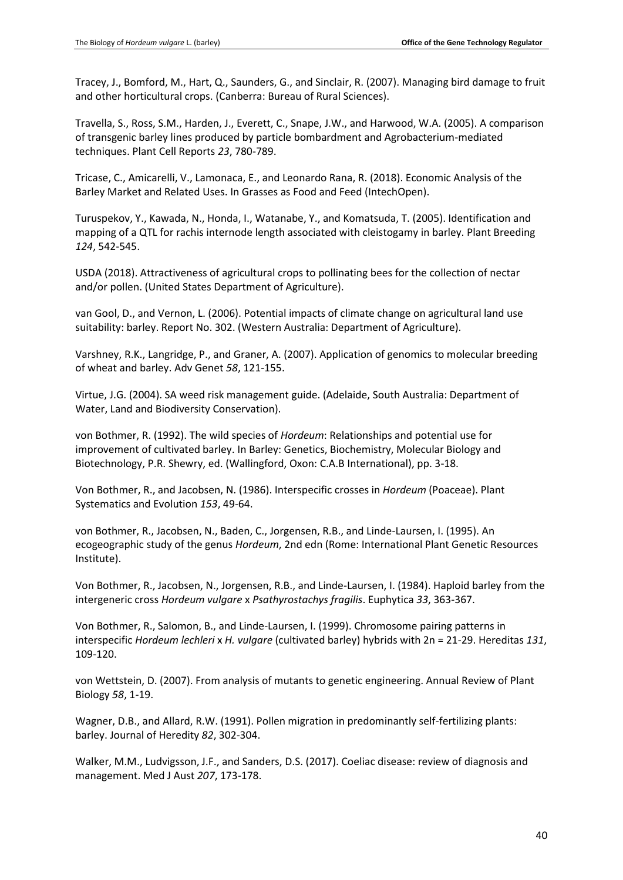Tracey, J., Bomford, M., Hart, Q., Saunders, G., and Sinclair, R. (2007). Managing bird damage to fruit and other horticultural crops. (Canberra: Bureau of Rural Sciences).

Travella, S., Ross, S.M., Harden, J., Everett, C., Snape, J.W., and Harwood, W.A. (2005). A comparison of transgenic barley lines produced by particle bombardment and Agrobacterium-mediated techniques. Plant Cell Reports *23*, 780-789.

Tricase, C., Amicarelli, V., Lamonaca, E., and Leonardo Rana, R. (2018). Economic Analysis of the Barley Market and Related Uses. In Grasses as Food and Feed (IntechOpen).

Turuspekov, Y., Kawada, N., Honda, I., Watanabe, Y., and Komatsuda, T. (2005). Identification and mapping of a QTL for rachis internode length associated with cleistogamy in barley. Plant Breeding *124*, 542-545.

USDA (2018). Attractiveness of agricultural crops to pollinating bees for the collection of nectar and/or pollen. (United States Department of Agriculture).

van Gool, D., and Vernon, L. (2006). Potential impacts of climate change on agricultural land use suitability: barley. Report No. 302. (Western Australia: Department of Agriculture).

Varshney, R.K., Langridge, P., and Graner, A. (2007). Application of genomics to molecular breeding of wheat and barley. Adv Genet *58*, 121-155.

Virtue, J.G. (2004). SA weed risk management guide. (Adelaide, South Australia: Department of Water, Land and Biodiversity Conservation).

von Bothmer, R. (1992). The wild species of *Hordeum*: Relationships and potential use for improvement of cultivated barley. In Barley: Genetics, Biochemistry, Molecular Biology and Biotechnology, P.R. Shewry, ed. (Wallingford, Oxon: C.A.B International), pp. 3-18.

Von Bothmer, R., and Jacobsen, N. (1986). Interspecific crosses in *Hordeum* (Poaceae). Plant Systematics and Evolution *153*, 49-64.

von Bothmer, R., Jacobsen, N., Baden, C., Jorgensen, R.B., and Linde-Laursen, I. (1995). An ecogeographic study of the genus *Hordeum*, 2nd edn (Rome: International Plant Genetic Resources Institute).

Von Bothmer, R., Jacobsen, N., Jorgensen, R.B., and Linde-Laursen, I. (1984). Haploid barley from the intergeneric cross *Hordeum vulgare* x *Psathyrostachys fragilis*. Euphytica *33*, 363-367.

Von Bothmer, R., Salomon, B., and Linde-Laursen, I. (1999). Chromosome pairing patterns in interspecific *Hordeum lechleri* x *H. vulgare* (cultivated barley) hybrids with 2n = 21-29. Hereditas *131*, 109-120.

von Wettstein, D. (2007). From analysis of mutants to genetic engineering. Annual Review of Plant Biology *58*, 1-19.

Wagner, D.B., and Allard, R.W. (1991). Pollen migration in predominantly self-fertilizing plants: barley. Journal of Heredity *82*, 302-304.

Walker, M.M., Ludvigsson, J.F., and Sanders, D.S. (2017). Coeliac disease: review of diagnosis and management. Med J Aust *207*, 173-178.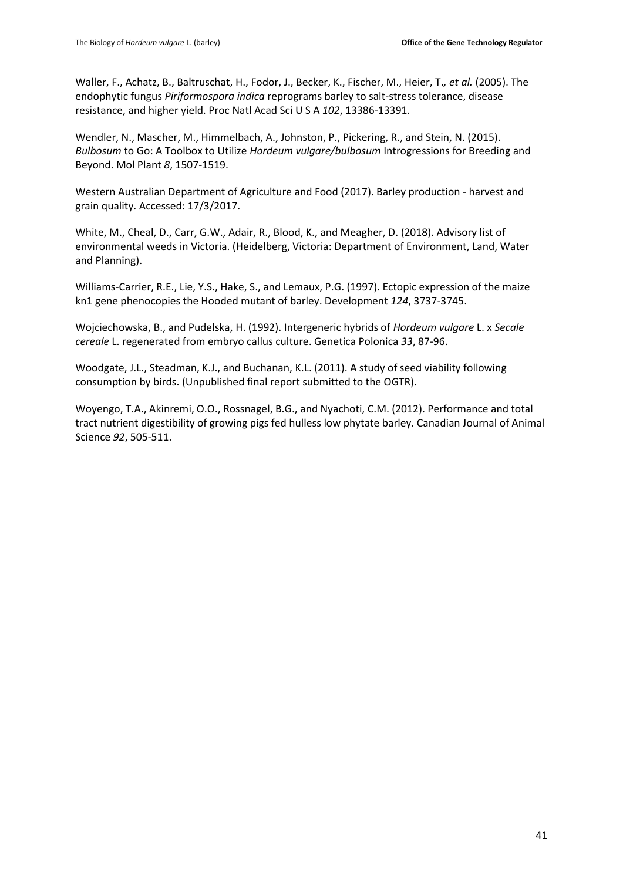Waller, F., Achatz, B., Baltruschat, H., Fodor, J., Becker, K., Fischer, M., Heier, T.*, et al.* (2005). The endophytic fungus *Piriformospora indica* reprograms barley to salt-stress tolerance, disease resistance, and higher yield. Proc Natl Acad Sci U S A *102*, 13386-13391.

Wendler, N., Mascher, M., Himmelbach, A., Johnston, P., Pickering, R., and Stein, N. (2015). *Bulbosum* to Go: A Toolbox to Utilize *Hordeum vulgare/bulbosum* Introgressions for Breeding and Beyond. Mol Plant *8*, 1507-1519.

Western Australian Department of Agriculture and Food (2017). Barley production - harvest and grain quality. Accessed: 17/3/2017.

White, M., Cheal, D., Carr, G.W., Adair, R., Blood, K., and Meagher, D. (2018). Advisory list of environmental weeds in Victoria. (Heidelberg, Victoria: Department of Environment, Land, Water and Planning).

Williams-Carrier, R.E., Lie, Y.S., Hake, S., and Lemaux, P.G. (1997). Ectopic expression of the maize kn1 gene phenocopies the Hooded mutant of barley. Development *124*, 3737-3745.

Wojciechowska, B., and Pudelska, H. (1992). Intergeneric hybrids of *Hordeum vulgare* L. x *Secale cereale* L. regenerated from embryo callus culture. Genetica Polonica *33*, 87-96.

Woodgate, J.L., Steadman, K.J., and Buchanan, K.L. (2011). A study of seed viability following consumption by birds. (Unpublished final report submitted to the OGTR).

Woyengo, T.A., Akinremi, O.O., Rossnagel, B.G., and Nyachoti, C.M. (2012). Performance and total tract nutrient digestibility of growing pigs fed hulless low phytate barley. Canadian Journal of Animal Science *92*, 505-511.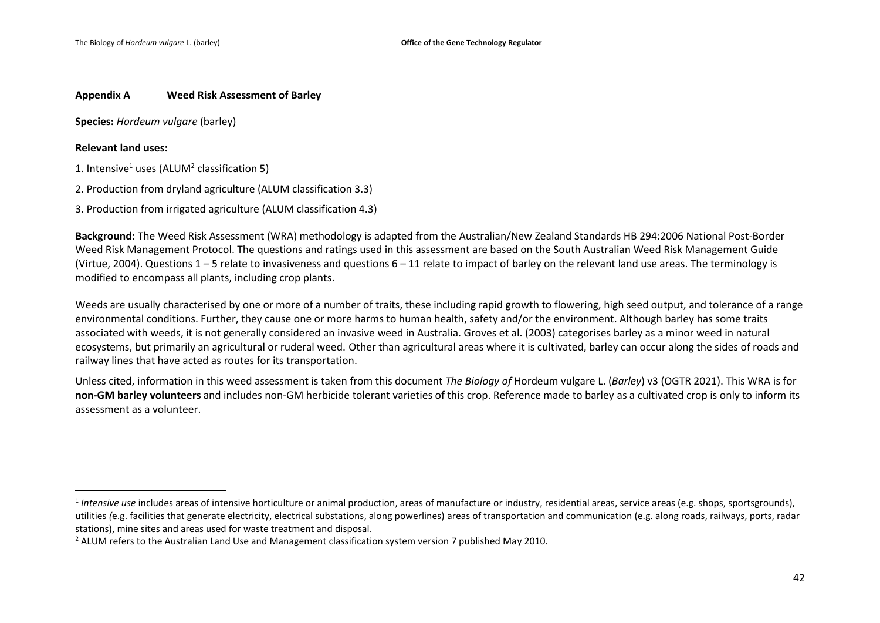#### **Appendix A Weed Risk Assessment of Barley**

**Species:** *Hordeum vulgare* (barley)

#### **Relevant land uses:**

- 1. Intensive<sup>1</sup> uses (ALUM<sup>2</sup> classification 5)
- 2. Production from dryland agriculture (ALUM classification 3.3)
- 3. Production from irrigated agriculture (ALUM classification 4.3)

**Background:** The Weed Risk Assessment (WRA) methodology is adapted from the Australian/New Zealand Standards HB 294:2006 National Post-Border Weed Risk Management Protocol. The questions and ratings used in this assessment are based on the South Australian Weed Risk Management Guide (Virtue, 2004). Questions 1 – 5 relate to invasiveness and questions  $6 - 11$  relate to impact of barley on the relevant land use areas. The terminology is modified to encompass all plants, including crop plants.

<span id="page-45-0"></span>Weeds are usually characterised by one or more of a number of traits, these including rapid growth to flowering, high seed output, and tolerance of a range environmental conditions. Further, they cause one or more harms to human health, safety and/or the environment. Although barley has some traits associated with weeds, it is not generally considered an invasive weed in Australia. Groves et al. (2003) categorises barley as a minor weed in natural ecosystems, but primarily an agricultural or ruderal weed. Other than agricultural areas where it is cultivated, barley can occur along the sides of roads and railway lines that have acted as routes for its transportation.

Unless cited, information in this weed assessment is taken from this document *The Biology of* Hordeum vulgare L. (*Barley*) v3 (OGTR 2021). This WRA is for **non-GM barley volunteers** and includes non-GM herbicide tolerant varieties of this crop. Reference made to barley as a cultivated crop is only to inform its assessment as a volunteer.

<sup>&</sup>lt;sup>1</sup> Intensive use includes areas of intensive horticulture or animal production, areas of manufacture or industry, residential areas, service areas (e.g. shops, sportsgrounds), utilities *(*e.g. facilities that generate electricity, electrical substations, along powerlines) areas of transportation and communication (e.g. along roads, railways, ports, radar stations), mine sites and areas used for waste treatment and disposal.

<sup>&</sup>lt;sup>2</sup> ALUM refers to the Australian Land Use and Management classification system version 7 published May 2010.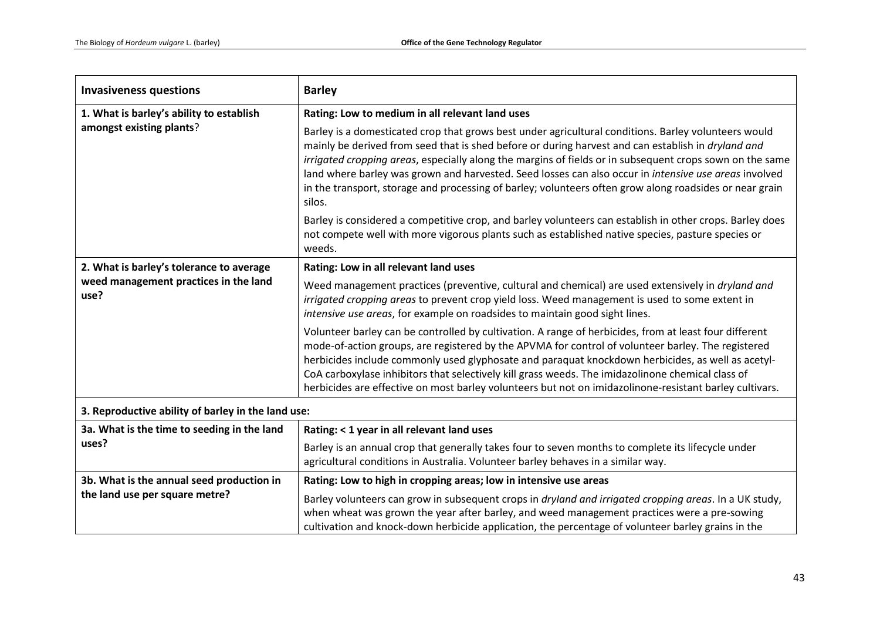| <b>Invasiveness questions</b>                      | <b>Barley</b>                                                                                                                                                                                                                                                                                                                                                                                                                                                                                                                                        |
|----------------------------------------------------|------------------------------------------------------------------------------------------------------------------------------------------------------------------------------------------------------------------------------------------------------------------------------------------------------------------------------------------------------------------------------------------------------------------------------------------------------------------------------------------------------------------------------------------------------|
| 1. What is barley's ability to establish           | Rating: Low to medium in all relevant land uses                                                                                                                                                                                                                                                                                                                                                                                                                                                                                                      |
| amongst existing plants?                           | Barley is a domesticated crop that grows best under agricultural conditions. Barley volunteers would<br>mainly be derived from seed that is shed before or during harvest and can establish in dryland and<br>irrigated cropping areas, especially along the margins of fields or in subsequent crops sown on the same<br>land where barley was grown and harvested. Seed losses can also occur in intensive use areas involved<br>in the transport, storage and processing of barley; volunteers often grow along roadsides or near grain<br>silos. |
|                                                    | Barley is considered a competitive crop, and barley volunteers can establish in other crops. Barley does<br>not compete well with more vigorous plants such as established native species, pasture species or<br>weeds.                                                                                                                                                                                                                                                                                                                              |
| 2. What is barley's tolerance to average           | Rating: Low in all relevant land uses                                                                                                                                                                                                                                                                                                                                                                                                                                                                                                                |
| weed management practices in the land<br>use?      | Weed management practices (preventive, cultural and chemical) are used extensively in <i>dryland and</i><br>irrigated cropping areas to prevent crop yield loss. Weed management is used to some extent in<br>intensive use areas, for example on roadsides to maintain good sight lines.                                                                                                                                                                                                                                                            |
|                                                    | Volunteer barley can be controlled by cultivation. A range of herbicides, from at least four different<br>mode-of-action groups, are registered by the APVMA for control of volunteer barley. The registered<br>herbicides include commonly used glyphosate and paraquat knockdown herbicides, as well as acetyl-<br>CoA carboxylase inhibitors that selectively kill grass weeds. The imidazolinone chemical class of<br>herbicides are effective on most barley volunteers but not on imidazolinone-resistant barley cultivars.                    |
| 3. Reproductive ability of barley in the land use: |                                                                                                                                                                                                                                                                                                                                                                                                                                                                                                                                                      |
| 3a. What is the time to seeding in the land        | Rating: < 1 year in all relevant land uses                                                                                                                                                                                                                                                                                                                                                                                                                                                                                                           |
| uses?                                              | Barley is an annual crop that generally takes four to seven months to complete its lifecycle under<br>agricultural conditions in Australia. Volunteer barley behaves in a similar way.                                                                                                                                                                                                                                                                                                                                                               |
| 3b. What is the annual seed production in          | Rating: Low to high in cropping areas; low in intensive use areas                                                                                                                                                                                                                                                                                                                                                                                                                                                                                    |
| the land use per square metre?                     | Barley volunteers can grow in subsequent crops in dryland and irrigated cropping areas. In a UK study,<br>when wheat was grown the year after barley, and weed management practices were a pre-sowing<br>cultivation and knock-down herbicide application, the percentage of volunteer barley grains in the                                                                                                                                                                                                                                          |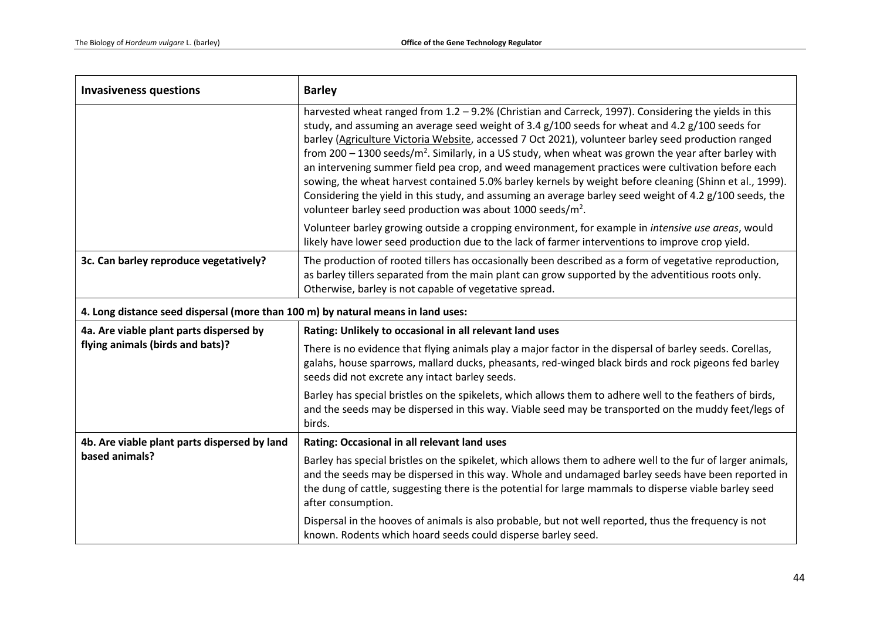$\blacksquare$ 

| <b>Invasiveness questions</b>                                                    | <b>Barley</b>                                                                                                                                                                                                                                                                                                                                                                                                                                                                                                                                                                                                                                                                                                                                                                                                                    |
|----------------------------------------------------------------------------------|----------------------------------------------------------------------------------------------------------------------------------------------------------------------------------------------------------------------------------------------------------------------------------------------------------------------------------------------------------------------------------------------------------------------------------------------------------------------------------------------------------------------------------------------------------------------------------------------------------------------------------------------------------------------------------------------------------------------------------------------------------------------------------------------------------------------------------|
|                                                                                  | harvested wheat ranged from 1.2 - 9.2% (Christian and Carreck, 1997). Considering the yields in this<br>study, and assuming an average seed weight of 3.4 g/100 seeds for wheat and 4.2 g/100 seeds for<br>barley (Agriculture Victoria Website, accessed 7 Oct 2021), volunteer barley seed production ranged<br>from $200 - 1300$ seeds/m <sup>2</sup> . Similarly, in a US study, when wheat was grown the year after barley with<br>an intervening summer field pea crop, and weed management practices were cultivation before each<br>sowing, the wheat harvest contained 5.0% barley kernels by weight before cleaning (Shinn et al., 1999).<br>Considering the yield in this study, and assuming an average barley seed weight of 4.2 g/100 seeds, the<br>volunteer barley seed production was about 1000 seeds/ $m^2$ . |
|                                                                                  | Volunteer barley growing outside a cropping environment, for example in intensive use areas, would<br>likely have lower seed production due to the lack of farmer interventions to improve crop yield.                                                                                                                                                                                                                                                                                                                                                                                                                                                                                                                                                                                                                           |
| 3c. Can barley reproduce vegetatively?                                           | The production of rooted tillers has occasionally been described as a form of vegetative reproduction,<br>as barley tillers separated from the main plant can grow supported by the adventitious roots only.<br>Otherwise, barley is not capable of vegetative spread.                                                                                                                                                                                                                                                                                                                                                                                                                                                                                                                                                           |
| 4. Long distance seed dispersal (more than 100 m) by natural means in land uses: |                                                                                                                                                                                                                                                                                                                                                                                                                                                                                                                                                                                                                                                                                                                                                                                                                                  |
| 4a. Are viable plant parts dispersed by                                          | Rating: Unlikely to occasional in all relevant land uses                                                                                                                                                                                                                                                                                                                                                                                                                                                                                                                                                                                                                                                                                                                                                                         |
| flying animals (birds and bats)?                                                 | There is no evidence that flying animals play a major factor in the dispersal of barley seeds. Corellas,<br>galahs, house sparrows, mallard ducks, pheasants, red-winged black birds and rock pigeons fed barley<br>seeds did not excrete any intact barley seeds.                                                                                                                                                                                                                                                                                                                                                                                                                                                                                                                                                               |
|                                                                                  | Barley has special bristles on the spikelets, which allows them to adhere well to the feathers of birds,<br>and the seeds may be dispersed in this way. Viable seed may be transported on the muddy feet/legs of<br>birds.                                                                                                                                                                                                                                                                                                                                                                                                                                                                                                                                                                                                       |
| 4b. Are viable plant parts dispersed by land                                     | Rating: Occasional in all relevant land uses                                                                                                                                                                                                                                                                                                                                                                                                                                                                                                                                                                                                                                                                                                                                                                                     |
| based animals?                                                                   | Barley has special bristles on the spikelet, which allows them to adhere well to the fur of larger animals,<br>and the seeds may be dispersed in this way. Whole and undamaged barley seeds have been reported in<br>the dung of cattle, suggesting there is the potential for large mammals to disperse viable barley seed<br>after consumption.                                                                                                                                                                                                                                                                                                                                                                                                                                                                                |
|                                                                                  | Dispersal in the hooves of animals is also probable, but not well reported, thus the frequency is not<br>known. Rodents which hoard seeds could disperse barley seed.                                                                                                                                                                                                                                                                                                                                                                                                                                                                                                                                                                                                                                                            |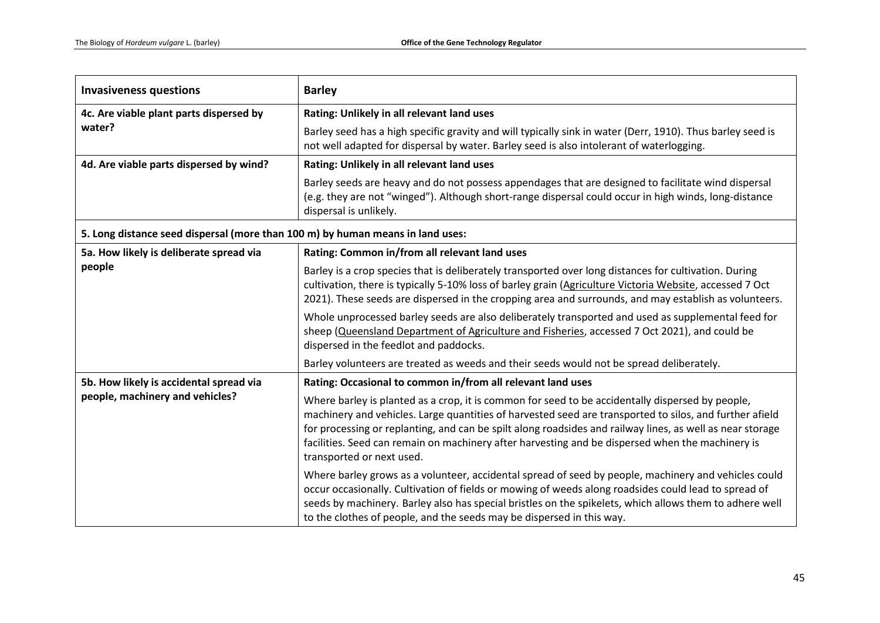| <b>Invasiveness questions</b>                                                  | <b>Barley</b>                                                                                                                                                                                                                                                                                                                                                                                                                                             |  |  |
|--------------------------------------------------------------------------------|-----------------------------------------------------------------------------------------------------------------------------------------------------------------------------------------------------------------------------------------------------------------------------------------------------------------------------------------------------------------------------------------------------------------------------------------------------------|--|--|
| 4c. Are viable plant parts dispersed by                                        | Rating: Unlikely in all relevant land uses                                                                                                                                                                                                                                                                                                                                                                                                                |  |  |
| water?                                                                         | Barley seed has a high specific gravity and will typically sink in water (Derr, 1910). Thus barley seed is<br>not well adapted for dispersal by water. Barley seed is also intolerant of waterlogging.                                                                                                                                                                                                                                                    |  |  |
| 4d. Are viable parts dispersed by wind?                                        | Rating: Unlikely in all relevant land uses                                                                                                                                                                                                                                                                                                                                                                                                                |  |  |
|                                                                                | Barley seeds are heavy and do not possess appendages that are designed to facilitate wind dispersal<br>(e.g. they are not "winged"). Although short-range dispersal could occur in high winds, long-distance<br>dispersal is unlikely.                                                                                                                                                                                                                    |  |  |
| 5. Long distance seed dispersal (more than 100 m) by human means in land uses: |                                                                                                                                                                                                                                                                                                                                                                                                                                                           |  |  |
| 5a. How likely is deliberate spread via                                        | Rating: Common in/from all relevant land uses                                                                                                                                                                                                                                                                                                                                                                                                             |  |  |
| people                                                                         | Barley is a crop species that is deliberately transported over long distances for cultivation. During<br>cultivation, there is typically 5-10% loss of barley grain (Agriculture Victoria Website, accessed 7 Oct<br>2021). These seeds are dispersed in the cropping area and surrounds, and may establish as volunteers.                                                                                                                                |  |  |
|                                                                                | Whole unprocessed barley seeds are also deliberately transported and used as supplemental feed for<br>sheep (Queensland Department of Agriculture and Fisheries, accessed 7 Oct 2021), and could be<br>dispersed in the feedlot and paddocks.                                                                                                                                                                                                             |  |  |
|                                                                                | Barley volunteers are treated as weeds and their seeds would not be spread deliberately.                                                                                                                                                                                                                                                                                                                                                                  |  |  |
| 5b. How likely is accidental spread via                                        | Rating: Occasional to common in/from all relevant land uses                                                                                                                                                                                                                                                                                                                                                                                               |  |  |
| people, machinery and vehicles?                                                | Where barley is planted as a crop, it is common for seed to be accidentally dispersed by people,<br>machinery and vehicles. Large quantities of harvested seed are transported to silos, and further afield<br>for processing or replanting, and can be spilt along roadsides and railway lines, as well as near storage<br>facilities. Seed can remain on machinery after harvesting and be dispersed when the machinery is<br>transported or next used. |  |  |
|                                                                                | Where barley grows as a volunteer, accidental spread of seed by people, machinery and vehicles could<br>occur occasionally. Cultivation of fields or mowing of weeds along roadsides could lead to spread of<br>seeds by machinery. Barley also has special bristles on the spikelets, which allows them to adhere well<br>to the clothes of people, and the seeds may be dispersed in this way.                                                          |  |  |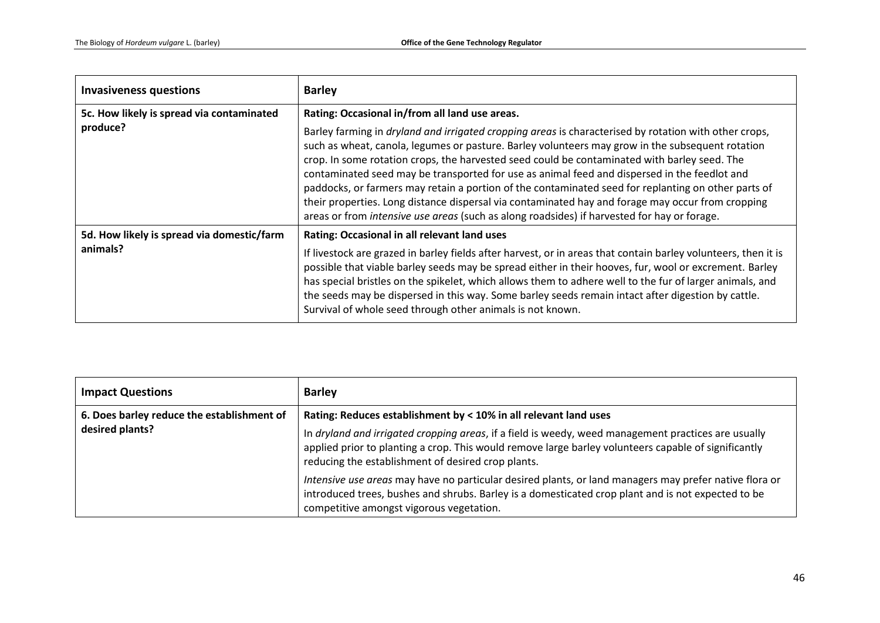| <b>Invasiveness questions</b>              | <b>Barley</b>                                                                                                                                                                                                                                                                                                                                                                                                                                                                                                                                                                                                                                                                                                        |
|--------------------------------------------|----------------------------------------------------------------------------------------------------------------------------------------------------------------------------------------------------------------------------------------------------------------------------------------------------------------------------------------------------------------------------------------------------------------------------------------------------------------------------------------------------------------------------------------------------------------------------------------------------------------------------------------------------------------------------------------------------------------------|
| 5c. How likely is spread via contaminated  | Rating: Occasional in/from all land use areas.                                                                                                                                                                                                                                                                                                                                                                                                                                                                                                                                                                                                                                                                       |
| produce?                                   | Barley farming in dryland and irrigated cropping areas is characterised by rotation with other crops,<br>such as wheat, canola, legumes or pasture. Barley volunteers may grow in the subsequent rotation<br>crop. In some rotation crops, the harvested seed could be contaminated with barley seed. The<br>contaminated seed may be transported for use as animal feed and dispersed in the feedlot and<br>paddocks, or farmers may retain a portion of the contaminated seed for replanting on other parts of<br>their properties. Long distance dispersal via contaminated hay and forage may occur from cropping<br>areas or from intensive use areas (such as along roadsides) if harvested for hay or forage. |
| 5d. How likely is spread via domestic/farm | Rating: Occasional in all relevant land uses                                                                                                                                                                                                                                                                                                                                                                                                                                                                                                                                                                                                                                                                         |
| animals?                                   | If livestock are grazed in barley fields after harvest, or in areas that contain barley volunteers, then it is<br>possible that viable barley seeds may be spread either in their hooves, fur, wool or excrement. Barley<br>has special bristles on the spikelet, which allows them to adhere well to the fur of larger animals, and<br>the seeds may be dispersed in this way. Some barley seeds remain intact after digestion by cattle.<br>Survival of whole seed through other animals is not known.                                                                                                                                                                                                             |

| <b>Impact Questions</b>                    | <b>Barley</b>                                                                                                                                                                                                                                                     |
|--------------------------------------------|-------------------------------------------------------------------------------------------------------------------------------------------------------------------------------------------------------------------------------------------------------------------|
| 6. Does barley reduce the establishment of | Rating: Reduces establishment by < 10% in all relevant land uses                                                                                                                                                                                                  |
| desired plants?                            | In dryland and irrigated cropping areas, if a field is weedy, weed management practices are usually<br>applied prior to planting a crop. This would remove large barley volunteers capable of significantly<br>reducing the establishment of desired crop plants. |
|                                            | Intensive use areas may have no particular desired plants, or land managers may prefer native flora or<br>introduced trees, bushes and shrubs. Barley is a domesticated crop plant and is not expected to be<br>competitive amongst vigorous vegetation.          |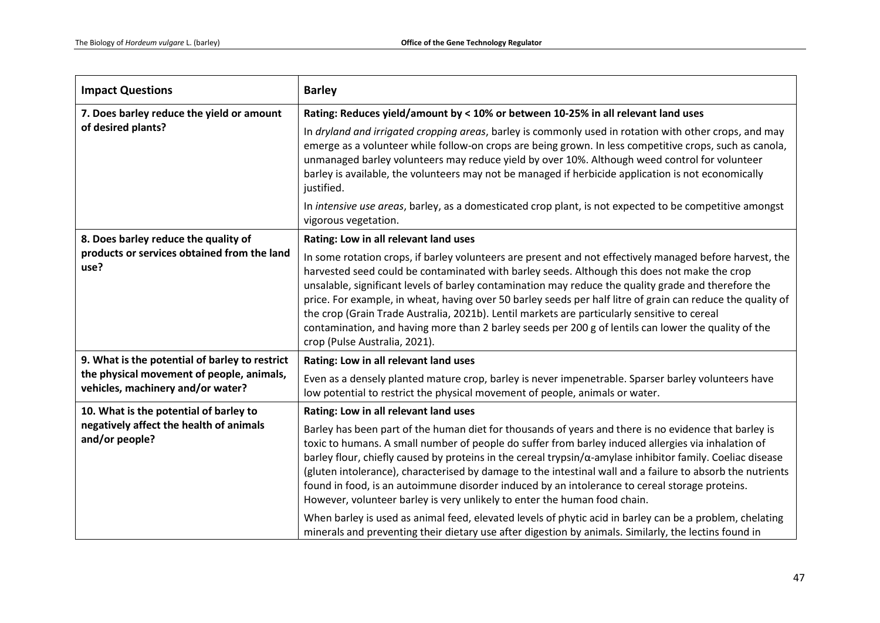$\mathbf{r}$ 

| <b>Impact Questions</b>                                                        | <b>Barley</b>                                                                                                                                                                                                                                                                                                                                                                                                                                                                                                                                                                                                                                                                                                                                                                                                                                |  |  |
|--------------------------------------------------------------------------------|----------------------------------------------------------------------------------------------------------------------------------------------------------------------------------------------------------------------------------------------------------------------------------------------------------------------------------------------------------------------------------------------------------------------------------------------------------------------------------------------------------------------------------------------------------------------------------------------------------------------------------------------------------------------------------------------------------------------------------------------------------------------------------------------------------------------------------------------|--|--|
| 7. Does barley reduce the yield or amount<br>of desired plants?                | Rating: Reduces yield/amount by < 10% or between 10-25% in all relevant land uses                                                                                                                                                                                                                                                                                                                                                                                                                                                                                                                                                                                                                                                                                                                                                            |  |  |
|                                                                                | In dryland and irrigated cropping areas, barley is commonly used in rotation with other crops, and may<br>emerge as a volunteer while follow-on crops are being grown. In less competitive crops, such as canola,<br>unmanaged barley volunteers may reduce yield by over 10%. Although weed control for volunteer<br>barley is available, the volunteers may not be managed if herbicide application is not economically<br>justified.                                                                                                                                                                                                                                                                                                                                                                                                      |  |  |
|                                                                                | In <i>intensive use areas</i> , barley, as a domesticated crop plant, is not expected to be competitive amongst<br>vigorous vegetation.                                                                                                                                                                                                                                                                                                                                                                                                                                                                                                                                                                                                                                                                                                      |  |  |
| 8. Does barley reduce the quality of                                           | Rating: Low in all relevant land uses                                                                                                                                                                                                                                                                                                                                                                                                                                                                                                                                                                                                                                                                                                                                                                                                        |  |  |
| products or services obtained from the land<br>use?                            | In some rotation crops, if barley volunteers are present and not effectively managed before harvest, the<br>harvested seed could be contaminated with barley seeds. Although this does not make the crop<br>unsalable, significant levels of barley contamination may reduce the quality grade and therefore the<br>price. For example, in wheat, having over 50 barley seeds per half litre of grain can reduce the quality of<br>the crop (Grain Trade Australia, 2021b). Lentil markets are particularly sensitive to cereal<br>contamination, and having more than 2 barley seeds per 200 g of lentils can lower the quality of the<br>crop (Pulse Australia, 2021).                                                                                                                                                                     |  |  |
| 9. What is the potential of barley to restrict                                 | Rating: Low in all relevant land uses                                                                                                                                                                                                                                                                                                                                                                                                                                                                                                                                                                                                                                                                                                                                                                                                        |  |  |
| the physical movement of people, animals,<br>vehicles, machinery and/or water? | Even as a densely planted mature crop, barley is never impenetrable. Sparser barley volunteers have<br>low potential to restrict the physical movement of people, animals or water.                                                                                                                                                                                                                                                                                                                                                                                                                                                                                                                                                                                                                                                          |  |  |
| 10. What is the potential of barley to                                         | Rating: Low in all relevant land uses                                                                                                                                                                                                                                                                                                                                                                                                                                                                                                                                                                                                                                                                                                                                                                                                        |  |  |
| negatively affect the health of animals<br>and/or people?                      | Barley has been part of the human diet for thousands of years and there is no evidence that barley is<br>toxic to humans. A small number of people do suffer from barley induced allergies via inhalation of<br>barley flour, chiefly caused by proteins in the cereal trypsin/a-amylase inhibitor family. Coeliac disease<br>(gluten intolerance), characterised by damage to the intestinal wall and a failure to absorb the nutrients<br>found in food, is an autoimmune disorder induced by an intolerance to cereal storage proteins.<br>However, volunteer barley is very unlikely to enter the human food chain.<br>When barley is used as animal feed, elevated levels of phytic acid in barley can be a problem, chelating<br>minerals and preventing their dietary use after digestion by animals. Similarly, the lectins found in |  |  |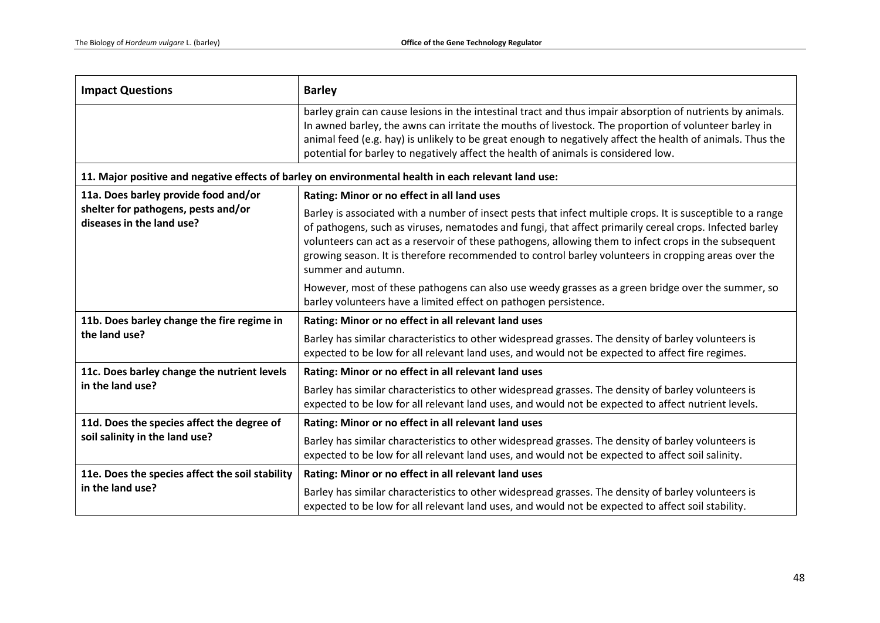| <b>Impact Questions</b>                                                                                  | <b>Barley</b>                                                                                                                                                                                                                                                                                                                                                                                                                                                |
|----------------------------------------------------------------------------------------------------------|--------------------------------------------------------------------------------------------------------------------------------------------------------------------------------------------------------------------------------------------------------------------------------------------------------------------------------------------------------------------------------------------------------------------------------------------------------------|
|                                                                                                          | barley grain can cause lesions in the intestinal tract and thus impair absorption of nutrients by animals.<br>In awned barley, the awns can irritate the mouths of livestock. The proportion of volunteer barley in<br>animal feed (e.g. hay) is unlikely to be great enough to negatively affect the health of animals. Thus the<br>potential for barley to negatively affect the health of animals is considered low.                                      |
| 11. Major positive and negative effects of barley on environmental health in each relevant land use:     |                                                                                                                                                                                                                                                                                                                                                                                                                                                              |
| 11a. Does barley provide food and/or<br>shelter for pathogens, pests and/or<br>diseases in the land use? | Rating: Minor or no effect in all land uses                                                                                                                                                                                                                                                                                                                                                                                                                  |
|                                                                                                          | Barley is associated with a number of insect pests that infect multiple crops. It is susceptible to a range<br>of pathogens, such as viruses, nematodes and fungi, that affect primarily cereal crops. Infected barley<br>volunteers can act as a reservoir of these pathogens, allowing them to infect crops in the subsequent<br>growing season. It is therefore recommended to control barley volunteers in cropping areas over the<br>summer and autumn. |
|                                                                                                          | However, most of these pathogens can also use weedy grasses as a green bridge over the summer, so<br>barley volunteers have a limited effect on pathogen persistence.                                                                                                                                                                                                                                                                                        |
| 11b. Does barley change the fire regime in<br>the land use?                                              | Rating: Minor or no effect in all relevant land uses                                                                                                                                                                                                                                                                                                                                                                                                         |
|                                                                                                          | Barley has similar characteristics to other widespread grasses. The density of barley volunteers is<br>expected to be low for all relevant land uses, and would not be expected to affect fire regimes.                                                                                                                                                                                                                                                      |
| 11c. Does barley change the nutrient levels<br>in the land use?                                          | Rating: Minor or no effect in all relevant land uses                                                                                                                                                                                                                                                                                                                                                                                                         |
|                                                                                                          | Barley has similar characteristics to other widespread grasses. The density of barley volunteers is<br>expected to be low for all relevant land uses, and would not be expected to affect nutrient levels.                                                                                                                                                                                                                                                   |
| 11d. Does the species affect the degree of<br>soil salinity in the land use?                             | Rating: Minor or no effect in all relevant land uses                                                                                                                                                                                                                                                                                                                                                                                                         |
|                                                                                                          | Barley has similar characteristics to other widespread grasses. The density of barley volunteers is<br>expected to be low for all relevant land uses, and would not be expected to affect soil salinity.                                                                                                                                                                                                                                                     |
| 11e. Does the species affect the soil stability<br>in the land use?                                      | Rating: Minor or no effect in all relevant land uses                                                                                                                                                                                                                                                                                                                                                                                                         |
|                                                                                                          | Barley has similar characteristics to other widespread grasses. The density of barley volunteers is<br>expected to be low for all relevant land uses, and would not be expected to affect soil stability.                                                                                                                                                                                                                                                    |